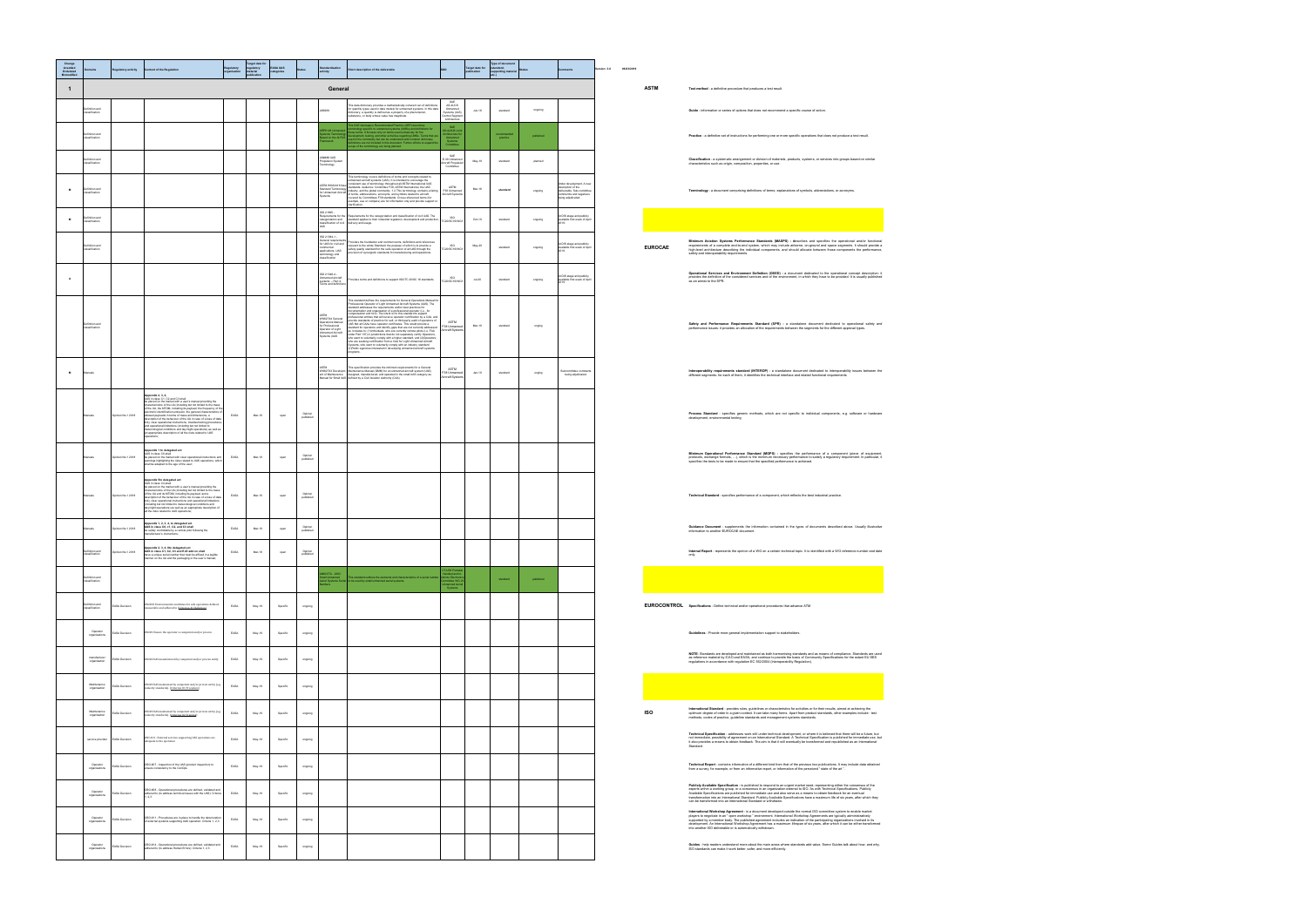| Change<br>A=added<br>D=deleted<br>M=modified |                                  | tory activity    | tent of the Regulatio                                                                                                                                                                                                                                                                                                                                                                                                                                                                                                                                                                                                                                                                                                      |      | arget date fo<br>regulatory<br>material<br>publication | EASA UAS<br>categories |                      | tivity                                                                                                      | iption of the deliverable                                                                                                                                                                                                                                                                                                                                                                                                                                                                                                                                                                                                                                                                                                                                                                                                                       |                                                                       | <b>Target date for<br/>publication</b> | Type of docu          |           |                                                                                                                              | rsion: 3.0 | 06/03/2019 |                |                                                                                                                                                                                                                                                                                                                                                                                                                                                                                                                                                                       |
|----------------------------------------------|----------------------------------|------------------|----------------------------------------------------------------------------------------------------------------------------------------------------------------------------------------------------------------------------------------------------------------------------------------------------------------------------------------------------------------------------------------------------------------------------------------------------------------------------------------------------------------------------------------------------------------------------------------------------------------------------------------------------------------------------------------------------------------------------|------|--------------------------------------------------------|------------------------|----------------------|-------------------------------------------------------------------------------------------------------------|-------------------------------------------------------------------------------------------------------------------------------------------------------------------------------------------------------------------------------------------------------------------------------------------------------------------------------------------------------------------------------------------------------------------------------------------------------------------------------------------------------------------------------------------------------------------------------------------------------------------------------------------------------------------------------------------------------------------------------------------------------------------------------------------------------------------------------------------------|-----------------------------------------------------------------------|----------------------------------------|-----------------------|-----------|------------------------------------------------------------------------------------------------------------------------------|------------|------------|----------------|-----------------------------------------------------------------------------------------------------------------------------------------------------------------------------------------------------------------------------------------------------------------------------------------------------------------------------------------------------------------------------------------------------------------------------------------------------------------------------------------------------------------------------------------------------------------------|
| $\mathbf{1}$                                 |                                  |                  |                                                                                                                                                                                                                                                                                                                                                                                                                                                                                                                                                                                                                                                                                                                            |      |                                                        |                        |                      | General                                                                                                     |                                                                                                                                                                                                                                                                                                                                                                                                                                                                                                                                                                                                                                                                                                                                                                                                                                                 |                                                                       |                                        |                       |           |                                                                                                                              |            |            | <b>ASTM</b>    | Test method - a definitive procedure that produces a test result.                                                                                                                                                                                                                                                                                                                                                                                                                                                                                                     |
|                                              | efinition and                    |                  |                                                                                                                                                                                                                                                                                                                                                                                                                                                                                                                                                                                                                                                                                                                            |      |                                                        |                        |                      | 96969                                                                                                       | This data dictionary provides a mathematically coherent set of definitions<br>for quantity types used in data models for urmanned systems. In this data<br>dictionary, a quantity is defined as a property of a phenomenon,<br>substanc                                                                                                                                                                                                                                                                                                                                                                                                                                                                                                                                                                                                         | AS-4UCS<br>Unmanned<br>Systems (UxS)<br>ontrol Segmen<br>Architecture | $Jun-18$                               | standard              | ongoing   |                                                                                                                              |            |            |                | Guide - information or series of options that does not recommend a specific course of action.                                                                                                                                                                                                                                                                                                                                                                                                                                                                         |
|                                              | nition and<br>assification       |                  |                                                                                                                                                                                                                                                                                                                                                                                                                                                                                                                                                                                                                                                                                                                            |      |                                                        |                        |                      | d on the ALFU                                                                                               | his SAE Aerospace Res<br>rminology specific to unmanned systems (UMSs) and definitions for<br>lose terms. It focuses only on terms used exclusively for the<br>evelopment, testing, and other activities regarding UMSs. Terms that a<br>sed in the community but can be understood with common dictionary<br>Istritions are not included in this document. Further efforts to expand th<br>ology are being planned                                                                                                                                                                                                                                                                                                                                                                                                                             | SAE<br>4JAUS Joi<br>Unmanned<br>Systems<br>Committee                  |                                        | ecommendi<br>practice | published |                                                                                                                              |            |            |                | Practice - a definitive set of instructions for performing one or more specific operations that does not produce a test result.                                                                                                                                                                                                                                                                                                                                                                                                                                       |
|                                              | che nottrifts<br>scificati       |                  |                                                                                                                                                                                                                                                                                                                                                                                                                                                                                                                                                                                                                                                                                                                            |      |                                                        |                        |                      | S#### LIAS<br>annee GRO<br>opulsion Syste<br>minology                                                       |                                                                                                                                                                                                                                                                                                                                                                                                                                                                                                                                                                                                                                                                                                                                                                                                                                                 | SAE<br>E-39 Unmar<br>craft Propu                                      | May-19                                 | standard              | planned   |                                                                                                                              |            |            |                | Classification - a systematic arrangement or division of materials, products, systems, or services into groups based on similar<br>characteristics such as origin, composition, properties, or use.                                                                                                                                                                                                                                                                                                                                                                   |
| M                                            | befinition and<br>sification     |                  |                                                                                                                                                                                                                                                                                                                                                                                                                                                                                                                                                                                                                                                                                                                            |      |                                                        |                        |                      |                                                                                                             | This terminology covers definitions of terms and concepts related to unmanned aircraft systems (UAS). It is intended to encourage the<br>ASTM WWED416 INNOVERSION ACCORDING TO A SUMMON OR CONTROL INTO A STATE OF A STATE OF A STATE OF A STATE OF A STATE OF A STATE OF A STATE OF A STATE OF A STATE OF A STATE OF A STATE OF A STATE OF A STATE OF A STATE OF A STA                                                                                                                                                                                                                                                                                                                                                                                                                                                                         | ASTM<br>F38 Unmanned<br>Aircraft Syster                               | Mar-18                                 | standard              | ongoing   | Under development. A nev<br>description of the<br>deliverable. Sub-committe<br>commernts and negatives<br>being adjudicated. |            |            |                | Terminology - a document comprising definitions of terms; explanations of symbols, abbreviations, or acronyms.                                                                                                                                                                                                                                                                                                                                                                                                                                                        |
| M                                            | inition and                      |                  |                                                                                                                                                                                                                                                                                                                                                                                                                                                                                                                                                                                                                                                                                                                            |      |                                                        |                        |                      | ISO 21895<br>irements for th<br>ategorization and<br>sification of civ                                      | .<br>Requirements for the categorization and classification of civil UAS. The<br>standard applies to their industrial regulation, development and production<br>elvery and usage.                                                                                                                                                                                                                                                                                                                                                                                                                                                                                                                                                                                                                                                               | 0/SC16/W                                                              | $Oct-19$                               | standard              | ongoing   | d DIS stage and public!<br>iable first week of Apr                                                                           |            |            |                |                                                                                                                                                                                                                                                                                                                                                                                                                                                                                                                                                                       |
|                                              |                                  |                  |                                                                                                                                                                                                                                                                                                                                                                                                                                                                                                                                                                                                                                                                                                                            |      |                                                        |                        |                      | ISO 21384-1 -<br>eneral requireme<br>r UAS for civil an<br>applications, UAS<br>ninology and<br>isification | Provides the foundation and common terms, definitions and reference<br>relevant to the whole Standard, the purpose of which is to provide a<br>safety quality standard for the safe operation of all UAS through the<br>provision of sy                                                                                                                                                                                                                                                                                                                                                                                                                                                                                                                                                                                                         | ISO.                                                                  | May-20                                 | standard              | ongoing   | At DIS stage and publicly<br>available first week of Apr                                                                     |            |            | <b>EUROCAE</b> | Minimum Aviation Systems Performance Standards (MASPS) - describes and specifies the operational and/or function<br>requirements of a complete end-to-end system, which may include airborne, on-ground and space segments. It should provide<br>high-level architecture describing the individual components, and should allocate between those comp<br>safety and interoperability requirements.                                                                                                                                                                    |
| $\mathbf{A}$                                 |                                  |                  |                                                                                                                                                                                                                                                                                                                                                                                                                                                                                                                                                                                                                                                                                                                            |      |                                                        |                        |                      | ISO 21348-4 -<br>Jnmanned aircraft<br>vystems -- Part 4:<br>ams and defin                                   | vides terms and definitions to support ISO/TC 20/SC 16 standards                                                                                                                                                                                                                                                                                                                                                                                                                                                                                                                                                                                                                                                                                                                                                                                | <b>ISO</b><br>C20/SC16/WG                                             | Jub20                                  | standard              | ongoing   | At DIS stage and publicly<br>available first week of April<br>2019.                                                          |            |            |                | Operational Services and Environment Definition (OSED) - a document dedicated to the operational concept description:<br>provides the definition of the considered services and of the environment, in which they have to be provided. It is usually publishe<br>as an annex to the SPR.                                                                                                                                                                                                                                                                              |
|                                              | finition and<br>ssifiratin       |                  |                                                                                                                                                                                                                                                                                                                                                                                                                                                                                                                                                                                                                                                                                                                            |      |                                                        |                        |                      | ASTM<br>WK62744 General<br><b>Doerations Manua</b><br>r Profeso<br>perator of Light<br>tems (UAS            | This standard defines the requirements for General Operations Manual for<br>Professional Operator of Light Unmanned Aircraft Systems (UAS). The<br>standard addresses the requirements and/or best practices for<br>documentation and organization of a professional operator (i.e., for<br>compensation and hire). The intent is for this standard to support<br>dessional entities that will receive onerator certification by a CAA an<br>provide standards of practice for self- or third-party audit of operators of<br>UAS Not all CAAs have operator certificates. This would provide a<br>UAS Not all CAAs have operated coefficiates. This would provide standard for operators and identify gaps that are not currently addresses as it institutes to: (1)findividuals, who are currently need to see the first $\alpha$<br>programs. | <b>ASTM</b><br>F38 Unmanned<br>Aircraft System                        | Mar-19                                 | standard              | onging    |                                                                                                                              |            |            |                | Safety and Performance Requirements Standard (SPR) - a standalone document dedicated to operational safety ar<br>performance issues: it provides an allocation of the requirements between the segments for the different approval types.                                                                                                                                                                                                                                                                                                                             |
| $\,$ M                                       | anuals                           |                  |                                                                                                                                                                                                                                                                                                                                                                                                                                                                                                                                                                                                                                                                                                                            |      |                                                        |                        |                      | WK62743 Developm<br>ent of Maintenance                                                                      | This specification provides the minimum requirements for a General<br>Maintenance Manual (GMM) for an unmanned aircraft system (UAS)<br>designed, manufactured, and operated in the small UAS category as<br>Manual for Small UAS defined by a Civil Aviation Authority (CAA).                                                                                                                                                                                                                                                                                                                                                                                                                                                                                                                                                                  | <b>ASTM</b><br>38 Unmanned<br>rcraft System                           | $Jan-19$                               | standard              | onging    | acommittee comme<br>. being adjudicated                                                                                      |            |            |                | Interoperability requirements standard (INTEROP) - a standalone document dedicated to interoperability issues between th<br>different segments: for each of them, it identifies the technical interface and related functional requirements                                                                                                                                                                                                                                                                                                                           |
|                                              | nuals                            | pinion No.1 2018 | opendix 2, 3, 4.<br><b>Applement A., o. T.</b> , C2 and C3 shall<br>UAS in class C1, C2 and C3 shall<br>be placed on the market with a user's manual providing the<br>characteristics of the UA (including but not limited to the mass<br>of the UA, the MTOM, i<br>ectronic identification emission, the general characteristics c<br>lowed payloads in terms of mass and dimensions, a<br>scription of the behaviour of the UA in case of a loss of dat<br>link), clear operational instructions, troubleshooting procedure<br>and operational limitations (including but not limited to<br>meteorological conditions and day/night operations) as well as<br>an appropriate description of all the risks related to UAS | EASA | Mar-19                                                 | open                   | Opinion<br>published |                                                                                                             |                                                                                                                                                                                                                                                                                                                                                                                                                                                                                                                                                                                                                                                                                                                                                                                                                                                 |                                                                       |                                        |                       |           |                                                                                                                              |            |            |                | Process Standard - specifies generic methods, which are not specific to individual components, e.g. software or hardwar<br>development, environmental testing                                                                                                                                                                                                                                                                                                                                                                                                         |
|                                              | huals                            | pinion No.1 2018 | opendix 1 to delegated act<br><b>UAS</b> in class CO.shall<br>be placed on the market with clear operational instructions and<br>warnings highlighting the risks related to UAS operations, which shall be adapted to the age of the user;                                                                                                                                                                                                                                                                                                                                                                                                                                                                                 | EASA | Mar-19                                                 | coen                   | Opinior<br>published |                                                                                                             |                                                                                                                                                                                                                                                                                                                                                                                                                                                                                                                                                                                                                                                                                                                                                                                                                                                 |                                                                       |                                        |                       |           |                                                                                                                              |            |            |                | Minimum Operational Performance Standard (MOPS) - specifies the performance of a component (piece of equipmer<br>protocols, exchange formats,  ), which is the minimum necessary performance to satisfy a regulatory requirement. In particular, specifies the tests to be made to ensure that the specified performance is achieved.                                                                                                                                                                                                                                 |
|                                              | nuals                            | pinion No.1 2018 | Appendix 5to delegated act<br>UAS in class C4, shall<br>be placed on the market with a user's manual novviding the<br>characteristics of the UA (including but not limited to the mass<br>the term with the behaviour mistanting its payboad, and a<br>description of the behaviour of the UA in case of data<br>link), clear operational instructions and operational limitations<br>(including but not limited to methodoxical<br>day hight operations) as well as an appropriate description of<br>all the risks related to UAS operations;                                                                                                                                                                             | EASA | Mar-19                                                 | open                   | Opinion<br>published |                                                                                                             |                                                                                                                                                                                                                                                                                                                                                                                                                                                                                                                                                                                                                                                                                                                                                                                                                                                 |                                                                       |                                        |                       |           |                                                                                                                              |            |            |                | Technical Standard - specifies performance of a component, which reflects the best industrial practice.                                                                                                                                                                                                                                                                                                                                                                                                                                                               |
|                                              | nuals                            | inion No.1 2018  | Appendix 1, 2, 3, 4, to delegated act<br>UAS in class C0, c1, C2, and C3 shall<br>safely controllable by a remote pilot following the<br>rufacturer's instructions;                                                                                                                                                                                                                                                                                                                                                                                                                                                                                                                                                        | EASA | Mar-19                                                 | open                   | published            |                                                                                                             |                                                                                                                                                                                                                                                                                                                                                                                                                                                                                                                                                                                                                                                                                                                                                                                                                                                 |                                                                       |                                        |                       |           |                                                                                                                              |            |            |                | Guidance Document - supplements the information contained in the types of documents described above. Usually illustrativ<br>information to another EUROCAE document.                                                                                                                                                                                                                                                                                                                                                                                                  |
|                                              | assification                     | pinion No.1 2018 | Appendix 2, 3, 4, 6to delegated act<br>UAS in class C1, C2, C3 and E-ID add on shall<br>have a unique serial number that must be affleed in a legible<br>manner on the UA and the packaging or the user's manual;                                                                                                                                                                                                                                                                                                                                                                                                                                                                                                          | EASA | Mar-19                                                 | open                   | published            |                                                                                                             |                                                                                                                                                                                                                                                                                                                                                                                                                                                                                                                                                                                                                                                                                                                                                                                                                                                 |                                                                       |                                        |                       |           |                                                                                                                              |            |            |                | Internal Report - represents the opinion of a WG on a certain technical topic. It is identified with a WG reference number and date<br>only.                                                                                                                                                                                                                                                                                                                                                                                                                          |
|                                              | efinition and<br>assification    |                  |                                                                                                                                                                                                                                                                                                                                                                                                                                                                                                                                                                                                                                                                                                                            |      |                                                        |                        |                      | CTA - 2063<br>iall Unma<br>rial Syste                                                                       | is standard outlines the elements and charact<br>be used by small unmanned aerial systems.                                                                                                                                                                                                                                                                                                                                                                                                                                                                                                                                                                                                                                                                                                                                                      | TA R6 Por<br>Electric<br>Manned A<br>System                           |                                        | standard              | oublished |                                                                                                                              |            |            |                |                                                                                                                                                                                                                                                                                                                                                                                                                                                                                                                                                                       |
|                                              | finition and<br>ssification      | ASA Decision     | 0#23 En<br>s accommended to (Criterion #1 Defintion)<br>rable and adhered to (Criterion #1 Defintion)                                                                                                                                                                                                                                                                                                                                                                                                                                                                                                                                                                                                                      | EASA | May-19                                                 | Specific               | orgoing              |                                                                                                             |                                                                                                                                                                                                                                                                                                                                                                                                                                                                                                                                                                                                                                                                                                                                                                                                                                                 |                                                                       |                                        |                       |           |                                                                                                                              |            |            |                | EUROCONTROL Specifications - Define technical and/or operational procedures that advance ATM                                                                                                                                                                                                                                                                                                                                                                                                                                                                          |
|                                              | Operator<br>organisations        | ASA Decision     | OSO#1 Ensure the operator is competent and/or proven                                                                                                                                                                                                                                                                                                                                                                                                                                                                                                                                                                                                                                                                       | EASA | May-19                                                 | Specific               | orgoing              |                                                                                                             |                                                                                                                                                                                                                                                                                                                                                                                                                                                                                                                                                                                                                                                                                                                                                                                                                                                 |                                                                       |                                        |                       |           |                                                                                                                              |            |            |                | Guidelines - Provide more general implementation support to stakeholders.                                                                                                                                                                                                                                                                                                                                                                                                                                                                                             |
|                                              | manufacturer<br>organisation     | ASA Decision     | 0S0#2 UAS manufactured by competent and/or proven entity                                                                                                                                                                                                                                                                                                                                                                                                                                                                                                                                                                                                                                                                   | EASA | May-19                                                 | Specific               | orgoing              |                                                                                                             |                                                                                                                                                                                                                                                                                                                                                                                                                                                                                                                                                                                                                                                                                                                                                                                                                                                 |                                                                       |                                        |                       |           |                                                                                                                              |            |            |                | NOTE: Standards are developed and maintained as both harmonising standards and as means of compliance. Standards are use<br>as reference material by ICAO and EASA, and continue to provide the basis of Community Specifications for the extant EU SES<br>regulations in accordance with regulation EC 552/2004 (Interoperability Regulation).                                                                                                                                                                                                                       |
|                                              | Maintenance<br>organisation      | ASA Decision     | SO#3 UAS maintained by competent and/or proven entity (ea<br>ustry standards). (Criterion #1 Procedure)                                                                                                                                                                                                                                                                                                                                                                                                                                                                                                                                                                                                                    | EASA | May-19                                                 | Specific               | ongoing              |                                                                                                             |                                                                                                                                                                                                                                                                                                                                                                                                                                                                                                                                                                                                                                                                                                                                                                                                                                                 |                                                                       |                                        |                       |           |                                                                                                                              |            |            |                |                                                                                                                                                                                                                                                                                                                                                                                                                                                                                                                                                                       |
|                                              | Maintenance<br>organisation      | SA Decision      | SO#3 UAS maintained by competent and/or proven entity (e.g.<br>ndustry standards). ( <u>Criterion #2 Training</u> )                                                                                                                                                                                                                                                                                                                                                                                                                                                                                                                                                                                                        | EASA | May-19                                                 | Specific               | ongoing              |                                                                                                             |                                                                                                                                                                                                                                                                                                                                                                                                                                                                                                                                                                                                                                                                                                                                                                                                                                                 |                                                                       |                                        |                       |           |                                                                                                                              |            |            | ISO            | International Standard - provides rules, quidelines or characteristics for activities or for their results, aimed at achieving the<br>optimum degree of order in a given context. It can take many forms. Apart from product standards, other examples include : test<br>methods, codes of practice, guideline standards and management systems standards.                                                                                                                                                                                                            |
|                                              | service provider                 | ASA Decision     | OSO #13 - External services supporting UAS operations are<br>equate to the operation                                                                                                                                                                                                                                                                                                                                                                                                                                                                                                                                                                                                                                       | EASA | May-19                                                 | Specific               | orgoing              |                                                                                                             |                                                                                                                                                                                                                                                                                                                                                                                                                                                                                                                                                                                                                                                                                                                                                                                                                                                 |                                                                       |                                        |                       |           |                                                                                                                              |            |            |                | Technical Specification - addresses work still under technical development, or where it is believed that there will be a future, but<br>not immediate, possibility of agreement on an International Standard. A Technical Specification is published for immediate use, bi<br>it also provides a means to obtain feedback. The aim is that it will eventually be transformed and republished as an International<br>Standard.                                                                                                                                         |
|                                              | Operator<br>organisations        | ASA Decision     | OSO #07 - Inspection of the UAS (product inspection) to<br>sure consistency to the ConOps                                                                                                                                                                                                                                                                                                                                                                                                                                                                                                                                                                                                                                  | EASA | May-19                                                 | Specific               | ongoing              |                                                                                                             |                                                                                                                                                                                                                                                                                                                                                                                                                                                                                                                                                                                                                                                                                                                                                                                                                                                 |                                                                       |                                        |                       |           |                                                                                                                              |            |            |                | Technical Report - contains information of a different kind from that of the previous two publications. It may include data obtained<br>from a survey, for example, or from an informative report, or information of the perceived " state of the art".                                                                                                                                                                                                                                                                                                               |
|                                              | Operator<br><b>Ingenisations</b> | ASA Decision     | OSO #08 - Operational procedures are defined, validated and<br>adhered to (to address technical issues with the UAS): Criteria<br>1, 2,3                                                                                                                                                                                                                                                                                                                                                                                                                                                                                                                                                                                   | EASA | May-19                                                 | Specific               | orgoing              |                                                                                                             |                                                                                                                                                                                                                                                                                                                                                                                                                                                                                                                                                                                                                                                                                                                                                                                                                                                 |                                                                       |                                        |                       |           |                                                                                                                              |            |            |                | Publicly Available Specification - is published to respond to an urgent market need, representing either the consensus of the<br>experts within a working group, or a consensus in an organization external to ISO. As with Technical Specifications, Publicly<br>Available Specifications are published for immediate use and also serve as a means to obtain feedback for an eventual<br>transformation into an International Standard. Publicly Available Specifications have a maximum life of<br>can be transformed into an International Standard or withdrawn. |
|                                              | Operator<br>organisations        | ASA Decision     | OSO #11 - Procedures are in-place to handle the deterioration<br>of external systems supporting UAS operation: Criteria 1, 2,3                                                                                                                                                                                                                                                                                                                                                                                                                                                                                                                                                                                             | EASA | May-19                                                 | Specific               | orgoing              |                                                                                                             |                                                                                                                                                                                                                                                                                                                                                                                                                                                                                                                                                                                                                                                                                                                                                                                                                                                 |                                                                       |                                        |                       |           |                                                                                                                              |            |            |                | International Workshop Agreement - is a document developed outside the normal ISO committee system to enable market<br>players to negotiate in an " open workshop " environment. International Workshop Agreements are typically administratively<br>supported by a member body. The published agreement includes an indication of the participating org<br>development. An International Workshop Agreement has a maximum lifespan of six years, after which it can be either transformed<br>into another ISO deliverable or is automatically withdrawn.             |
|                                              | Operator<br>organisations        | ASA Decision     | OSO #14 - Operational procedures are defined, validated and<br>adhered to (to address Human Errors): Criteria 1, 2,3                                                                                                                                                                                                                                                                                                                                                                                                                                                                                                                                                                                                       | EASA | May-19                                                 | Specific               | orgoing              |                                                                                                             |                                                                                                                                                                                                                                                                                                                                                                                                                                                                                                                                                                                                                                                                                                                                                                                                                                                 |                                                                       |                                        |                       |           |                                                                                                                              |            |            |                | Guides - help readers understand more about the main areas where standards add value. Some Guides talk about how, and why,<br>ISO standards can make it work better, safer, and more efficiently.                                                                                                                                                                                                                                                                                                                                                                     |

| it date for<br>cation | Type of document<br>(standard,<br>supporting material<br>etc.) | <b>Status</b> | ients                                                                                                                      | Version: 3.0<br>06/03/2019 |                |                                                                                                                                                                                                                                                                                                                                                                                                      |
|-----------------------|----------------------------------------------------------------|---------------|----------------------------------------------------------------------------------------------------------------------------|----------------------------|----------------|------------------------------------------------------------------------------------------------------------------------------------------------------------------------------------------------------------------------------------------------------------------------------------------------------------------------------------------------------------------------------------------------------|
|                       |                                                                |               |                                                                                                                            |                            | <b>ASTM</b>    | Test method - a definitive procedure that produces a test result.                                                                                                                                                                                                                                                                                                                                    |
| $Jun-18$              | standard                                                       | ongoing       |                                                                                                                            |                            |                | Guide - information or series of options that does not recommend a specific course of action.                                                                                                                                                                                                                                                                                                        |
|                       | practice                                                       | published     |                                                                                                                            |                            |                | Practice - a definitive set of instructions for performing one or more specific operations that does not produce a test result.                                                                                                                                                                                                                                                                      |
| May-19                | standard                                                       | planned       |                                                                                                                            |                            |                | Classification - a systematic arrangement or division of materials, products, systems, or services into groups based on similar<br>characteristics such as origin, composition, properties, or use.                                                                                                                                                                                                  |
| Mar-18                | standard                                                       | ongoing       | Inder development. A new<br>lescription of the<br>leliverable. Sub-committee<br>ommernts and negatives<br>eing adjudicated |                            |                | Terminology - a document comprising definitions of terms; explanations of symbols, abbreviations, or acronyms.                                                                                                                                                                                                                                                                                       |
| Oct-19                | standard                                                       | ongoing       | At DIS stage and publicly<br>available first week of April<br>2019.                                                        |                            |                |                                                                                                                                                                                                                                                                                                                                                                                                      |
| May-20                | standard                                                       | ongoing       | At DIS stage and publicly<br>available first week of April<br>2019.                                                        |                            | <b>EUROCAE</b> | Minimum Aviation Systems Performance Standards (MASPS) - describes and specifies the operational and/or functional<br>requirements of a complete end-to-end system, which may include airborne, on-ground and space segments. It should provide a<br>high-level architecture describing the individual components, and should allocate between those co<br>safety and interoperability requirements. |
| Jul-20                | standard                                                       | ongoing       | At DIS stage and publicly<br>available first week of April<br>2019.                                                        |                            |                | Operational Services and Environment Definition (OSED) - a document dedicated to the operational concept description: it<br>provides the definition of the considered services and of the environment, in which they have to be provided. It is usually published<br>as an annex to the SPR.                                                                                                         |
| Mar-19                | standard                                                       | onging        |                                                                                                                            |                            |                | Safety and Performance Requirements Standard (SPR) - a standalone document dedicated to operational safety and<br>performance issues: it provides an allocation of the requirements between the segments for the different approval types.                                                                                                                                                           |
| Jan-19                | standard                                                       | onging        | Subcommittee comments<br>being adjudicated.                                                                                |                            |                | Interoperability requirements standard (INTEROP) - a standalone document dedicated to interoperability issues between the<br>different segments: for each of them, it identifies the technical interface and related functional requirements                                                                                                                                                         |
|                       |                                                                |               |                                                                                                                            |                            |                | Process Standard - specifies generic methods, which are not specific to individual components, e.g. software or hardware<br>development, environmental testing                                                                                                                                                                                                                                       |
|                       |                                                                |               |                                                                                                                            |                            |                | Minimum Operational Performance Standard (MOPS) - specifies the performance of a component (piece of equipment,<br>protocols, exchange formats, ), which is the minimum necessary performance to satisfy a regulatory requirem<br>specifies the tests to be made to ensure that the specified performance is achieved.                                                                               |
|                       |                                                                |               |                                                                                                                            |                            |                | Technical Standard - specifies performance of a component, which reflects the best industrial practice.                                                                                                                                                                                                                                                                                              |
|                       |                                                                |               |                                                                                                                            |                            |                | Guidance Document - supplements the information contained in the types of documents described above. Usually illustrative<br>information to another EUROCAE document.                                                                                                                                                                                                                                |
|                       |                                                                |               |                                                                                                                            |                            |                | Internal Report - represents the opinion of a WG on a certain technical topic. It is<br>only.                                                                                                                                                                                                                                                                                                        |
|                       | standard                                                       | published     |                                                                                                                            |                            |                |                                                                                                                                                                                                                                                                                                                                                                                                      |
|                       |                                                                |               |                                                                                                                            |                            |                | EUROCONTROL Specifications - Define technical and/or operational procedures that advance ATM                                                                                                                                                                                                                                                                                                         |
|                       |                                                                |               |                                                                                                                            |                            |                | Guidelines - Provide more general implementation support to stakeholders.                                                                                                                                                                                                                                                                                                                            |
|                       |                                                                |               |                                                                                                                            |                            |                | NOTE: Standards are developed and maintained as both harmonising standards and as means of compliance. Standards are used<br>as reference material by ICAO and EASA, and continue to provide the basis of Community Specification<br>regulations in accordance with regulation EC 552/2004 (Interoperability Regulation).                                                                            |
|                       |                                                                |               |                                                                                                                            |                            |                |                                                                                                                                                                                                                                                                                                                                                                                                      |
|                       |                                                                |               |                                                                                                                            |                            | <b>ISO</b>     | International Standard - provides rules, guidelines or characteristics for activities or for their results, aimed at achieving the<br>optimum degree of order in a given context. It can take many forms. Apart from product standards, other examples include : test<br>methods, codes of practice, guideline standards and management systems standards.                                           |

| Technical Specification - addresses work still under technical development, or where it is believed that there will be a future, but |  |
|--------------------------------------------------------------------------------------------------------------------------------------|--|
| not immediate, possibility of agreement on an International Standard. A Technical Specification is published for immediate use, but  |  |
| it also provides a means to obtain feedback. The aim is that it will eventually be transformed and republished as an International   |  |
| Standard                                                                                                                             |  |
|                                                                                                                                      |  |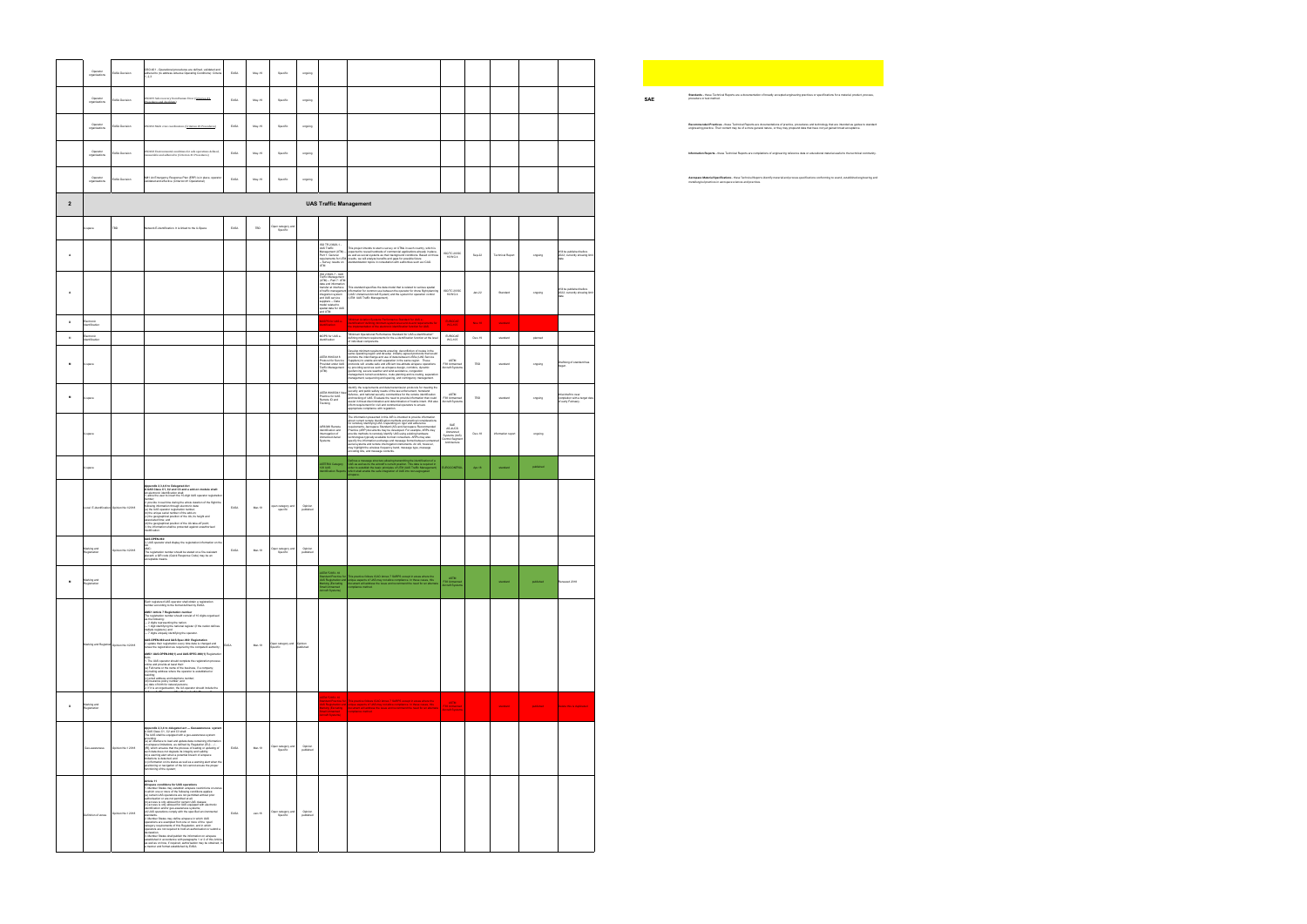|                  | Operator<br>organisations            | EASA Decision                            | OSO #21 - Operational procedures are defined, validated and<br>adhered to (to address Adverse Operating Conditions): Criteria<br>.23                                                                                                                                                                                                                                                                                                                                                                                                                                                                                                                                                                                                                                                                                                                                                                                                                                                                                                                                                                                                                         | EASA                    | May-19       | Specific                                        | ongoing              |                                                                                                                                                                                                                                                                      |                                                                                                                                                                                                                                                                                                                                                                                                                                                                                    |                                                            |          |                         |           |                                                                            |
|------------------|--------------------------------------|------------------------------------------|--------------------------------------------------------------------------------------------------------------------------------------------------------------------------------------------------------------------------------------------------------------------------------------------------------------------------------------------------------------------------------------------------------------------------------------------------------------------------------------------------------------------------------------------------------------------------------------------------------------------------------------------------------------------------------------------------------------------------------------------------------------------------------------------------------------------------------------------------------------------------------------------------------------------------------------------------------------------------------------------------------------------------------------------------------------------------------------------------------------------------------------------------------------|-------------------------|--------------|-------------------------------------------------|----------------------|----------------------------------------------------------------------------------------------------------------------------------------------------------------------------------------------------------------------------------------------------------------------|------------------------------------------------------------------------------------------------------------------------------------------------------------------------------------------------------------------------------------------------------------------------------------------------------------------------------------------------------------------------------------------------------------------------------------------------------------------------------------|------------------------------------------------------------|----------|-------------------------|-----------|----------------------------------------------------------------------------|
|                  | Operator<br>organisations            | <b>ASA Decision</b>                      | <b>ISO#19 Safe recovery from Human Error (Criterion #1)</b><br>hospitalisms and checklines)<br>secklists)                                                                                                                                                                                                                                                                                                                                                                                                                                                                                                                                                                                                                                                                                                                                                                                                                                                                                                                                                                                                                                                    | EASA                    | $May-19$     | Specific                                        | ongoing              |                                                                                                                                                                                                                                                                      |                                                                                                                                                                                                                                                                                                                                                                                                                                                                                    |                                                            |          |                         |           |                                                                            |
|                  | Operator<br>organisations            | ASA Decision                             | 0S0#16 Multi crew coordination. (Criterion #1 Procedures)                                                                                                                                                                                                                                                                                                                                                                                                                                                                                                                                                                                                                                                                                                                                                                                                                                                                                                                                                                                                                                                                                                    | $_{\mbox{\small EASA}}$ | $May-19$     | Specific                                        | ongoing              |                                                                                                                                                                                                                                                                      |                                                                                                                                                                                                                                                                                                                                                                                                                                                                                    |                                                            |          |                         |           |                                                                            |
|                  | Operator<br>organisations            | ASA Decision                             | OSO#23 Environmental conditions for safe operations defined,<br>measurable and adhered to (Criterion #1 Procedures)                                                                                                                                                                                                                                                                                                                                                                                                                                                                                                                                                                                                                                                                                                                                                                                                                                                                                                                                                                                                                                          | EASA                    | May-19       | Specific                                        | orgoing              |                                                                                                                                                                                                                                                                      |                                                                                                                                                                                                                                                                                                                                                                                                                                                                                    |                                                            |          |                         |           |                                                                            |
|                  | Operator<br>organisations            | EASA Decision                            | M#1 An Emergency Response Plan (ERP) is in place, operator<br>validated and effective (Criterion #1 Operational)                                                                                                                                                                                                                                                                                                                                                                                                                                                                                                                                                                                                                                                                                                                                                                                                                                                                                                                                                                                                                                             | EASA                    | May-19       | Specific                                        | ongoing              |                                                                                                                                                                                                                                                                      |                                                                                                                                                                                                                                                                                                                                                                                                                                                                                    |                                                            |          |                         |           |                                                                            |
| $\overline{2}$   |                                      |                                          |                                                                                                                                                                                                                                                                                                                                                                                                                                                                                                                                                                                                                                                                                                                                                                                                                                                                                                                                                                                                                                                                                                                                                              |                         |              |                                                 |                      | <b>UAS Traffic Management</b>                                                                                                                                                                                                                                        |                                                                                                                                                                                                                                                                                                                                                                                                                                                                                    |                                                            |          |                         |           |                                                                            |
|                  |                                      |                                          | work E-identification. It is linked to the U-Space                                                                                                                                                                                                                                                                                                                                                                                                                                                                                                                                                                                                                                                                                                                                                                                                                                                                                                                                                                                                                                                                                                           | EASA                    | $_{\tt TBD}$ | Open category and<br>Specific                   |                      |                                                                                                                                                                                                                                                                      |                                                                                                                                                                                                                                                                                                                                                                                                                                                                                    |                                                            |          |                         |           |                                                                            |
| A                |                                      |                                          |                                                                                                                                                                                                                                                                                                                                                                                                                                                                                                                                                                                                                                                                                                                                                                                                                                                                                                                                                                                                                                                                                                                                                              |                         |              |                                                 |                      | IO TR 23629-1 -                                                                                                                                                                                                                                                      | This project intends to start s survey on UTMs in each country, which is<br>UAS Traffice "This project intends to start is survey on UTMs in each country, which is Management (UTM) - the procedure to reveal the management (UTM) - the protection of the protection and palace, the protection of the p                                                                                                                                                                         | ISO/TC 20/SC<br>16/WG 4                                    | Sep-22   | <b>Technical Report</b> | ongoing   | Will be published before<br>2022; currently showing lin                    |
| $\,$ A           |                                      |                                          |                                                                                                                                                                                                                                                                                                                                                                                                                                                                                                                                                                                                                                                                                                                                                                                                                                                                                                                                                                                                                                                                                                                                                              |                         |              |                                                 |                      | ISO 23629-7 - UAS<br><b>Fraffic Mana</b><br>Traffic Management<br>(UTM) – Part 7: UTM<br>data and information<br>transfer at interface<br>of traffic management<br>integration system<br>and UAS service<br>suppliers – Data<br>suppliers – Data<br>suppliers – Data | This standard specifies the data model that is related to various spatial<br>Information for common use between the operator for drone flight planning<br>(UAS: Umnanned Aircraft System) and the system for operation control<br>(UTM:                                                                                                                                                                                                                                            | ISO/TC 20/SC                                               | $Jan-22$ | Standard                | ongoing   | Will be published before<br>2022; currently showing limi                   |
|                  |                                      |                                          |                                                                                                                                                                                                                                                                                                                                                                                                                                                                                                                                                                                                                                                                                                                                                                                                                                                                                                                                                                                                                                                                                                                                                              |                         |              |                                                 |                      | odel related to<br>atial data for UAS<br>nd UTM                                                                                                                                                                                                                      | Minimun Aviation Systems Performance Standard for UAS e-                                                                                                                                                                                                                                                                                                                                                                                                                           | 16/WG 4                                                    |          |                         |           |                                                                            |
| $\mathsf D$<br>M | Electronic<br>ificatio<br>Electronic |                                          |                                                                                                                                                                                                                                                                                                                                                                                                                                                                                                                                                                                                                                                                                                                                                                                                                                                                                                                                                                                                                                                                                                                                                              |                         |              |                                                 |                      | SPS for UAS e-<br>dication<br>MOPS for UAS e-                                                                                                                                                                                                                        | identification" defining minimum system level end-to-end requirements for the inplementation of the electronic lidentification function for UAS.                                                                                                                                                                                                                                                                                                                                   | EUROCAE<br><b>WG-105</b>                                   | Nov-18   | standard                |           |                                                                            |
|                  | dification                           |                                          |                                                                                                                                                                                                                                                                                                                                                                                                                                                                                                                                                                                                                                                                                                                                                                                                                                                                                                                                                                                                                                                                                                                                                              |                         |              |                                                 |                      | tifcation                                                                                                                                                                                                                                                            | "Minimum Operational Performance Standard for UAS e-Identification"<br>defining minimum requirements for the e-Identification function at the level<br>of individual components.<br>elop minimum requirements ensuring deconfliction of routes in the                                                                                                                                                                                                                              | EUROCAE<br>WG-105                                          | $Dec-19$ | standard                | planned   |                                                                            |
| M                | space                                |                                          |                                                                                                                                                                                                                                                                                                                                                                                                                                                                                                                                                                                                                                                                                                                                                                                                                                                                                                                                                                                                                                                                                                                                                              |                         |              |                                                 |                      | <b>ASTM WK63418</b><br>Protocol for Servic<br>rovided under UAS<br>Fraffic Management<br><b>UTMI</b>                                                                                                                                                                 | same operating region and develop industry agreed protocols that would<br>promote the interchange and use of data between USSs (UAS Service<br>Supplemy to enable aircraft separation in the same region. These<br>protocols will enabl<br>providing services such as alrepace design, comiders, dynamic<br>geodencing, services such as alrepace design, comiders, dynamic<br>geodencing, severe weather and wind avoidance, competition<br>management, sequencing and spacing, a | ASTM<br>F38 Unmanned<br>Aircraft System                    | TBD      | standard                | ongoing   | Draftiong of standard has                                                  |
| M                | space                                |                                          |                                                                                                                                                                                                                                                                                                                                                                                                                                                                                                                                                                                                                                                                                                                                                                                                                                                                                                                                                                                                                                                                                                                                                              |                         |              |                                                 |                      | TM WK6504<br>actice for UAS<br>anote ID and<br>racking                                                                                                                                                                                                               | identify the requirements and data transmission protocols for meeting the<br>Bottfly the requirements and data harantission protocols for meeting the spacetify are produced from the spacetify constant and the spacetify constant and the spacetific constant and the spacetific constant and the spacet                                                                                                                                                                         | ASTM<br>F38 Unmanned<br>Aircraft System                    | TBD      | standard                | ongoing   | Intial draft to near<br>completion with a target dat<br>of early February. |
|                  |                                      |                                          |                                                                                                                                                                                                                                                                                                                                                                                                                                                                                                                                                                                                                                                                                                                                                                                                                                                                                                                                                                                                                                                                                                                                                              |                         |              |                                                 |                      | UR6388 Remote<br>dentification and                                                                                                                                                                                                                                   | The information presented in this AIR is intended to provide information                                                                                                                                                                                                                                                                                                                                                                                                           | SAE<br>AS-4UCS                                             |          |                         |           |                                                                            |
|                  | lapace                               |                                          |                                                                                                                                                                                                                                                                                                                                                                                                                                                                                                                                                                                                                                                                                                                                                                                                                                                                                                                                                                                                                                                                                                                                                              |                         |              |                                                 |                      | errogation of<br>manned Aerial<br>stems                                                                                                                                                                                                                              | The information presented in this Afrik is internal to provide information presented in the stress of the stress of the stress of the stress of the stress of the stress of the stress of the stress of the stress of the str                                                                                                                                                                                                                                                      | Unmanned<br>Systems (UxS)<br>Control Segme<br>Architecture | $Dec-18$ | information repo        | ongoing   |                                                                            |
|                  | space                                |                                          |                                                                                                                                                                                                                                                                                                                                                                                                                                                                                                                                                                                                                                                                                                                                                                                                                                                                                                                                                                                                                                                                                                                                                              |                         |              |                                                 |                      | STERIX Category<br>9 UAS                                                                                                                                                                                                                                             | Defines a message structure allowing transmitting the identification of a<br>LIAS as well as its the alterati's current position. This data is required in<br>order to establish the basic principles of UTM (LIAS Traffic Managemen                                                                                                                                                                                                                                               | <b>JROCONTROL</b>                                          | Apr-18   | standard                | published |                                                                            |
|                  |                                      | Local E-identification Opinion No.1/2018 | endix 2,3,4,6 to Delegated Act<br>Appendix 2,3,4,6 to Delegated Act<br>A UAS Class C1, C2 and C3 and a add-on module shall:<br>electronic identification shall:<br>. allow the user to insert the 10-digit UAS operator registratio<br>.<br>2. provide in real time during the whole duration of the flicht the<br>2. provide in real time during the whole duration of the fight<br>stationing information through electronic data:<br>(a) the UAS operator registration runners;<br>(b) the UAS operator registration runners;<br>(c) the geographical pos<br>dfication.                                                                                                                                                                                                                                                                                                                                                                                                                                                                                                                                                                                   | EASA                    | Mar-19       | pen category and                                | Opinion<br>published |                                                                                                                                                                                                                                                                      |                                                                                                                                                                                                                                                                                                                                                                                                                                                                                    |                                                            |          |                         |           |                                                                            |
|                  | ing and<br>istration                 |                                          | <b>UAS.OPEN.060</b><br>3. UAS operator shall display the registration information on the<br>-<br>The registration number should be stated on a fire-resist<br>placand; a QR code (Quick Response Code) may be an<br>ceptable means.                                                                                                                                                                                                                                                                                                                                                                                                                                                                                                                                                                                                                                                                                                                                                                                                                                                                                                                          |                         | Mar-19       | Open category and<br>Specific                   | Opinion<br>published |                                                                                                                                                                                                                                                                      |                                                                                                                                                                                                                                                                                                                                                                                                                                                                                    |                                                            |          |                         |           |                                                                            |
| M                | Marking and<br>Registration          |                                          |                                                                                                                                                                                                                                                                                                                                                                                                                                                                                                                                                                                                                                                                                                                                                                                                                                                                                                                                                                                                                                                                                                                                                              |                         |              |                                                 |                      | STM F2851-18<br>tandard Practice fo<br>AS Registration an<br>tanking (Excluding<br>mail Unmanned<br>iccraft Systems)                                                                                                                                                 | or This practice follows ICAD Annex 7 SARPS except in areas where the<br>of unique aspects of UAS may not allow compliance. In these cases, this<br>document will address the issue and recommend the need for an alterna<br>commiteror                                                                                                                                                                                                                                            | ASTM<br>F38 Unmanne<br>Nicraft System                      |          | standard                | published | Renewed 2018                                                               |
|                  |                                      | arking and Registrati Opinion No.1/2018  | Art r:<br>Each registered UAS operator shall obtain a registration<br>number according to the format defined by EASA.<br>AMC1 Article 7 Registration number<br>The registration number should consist of 10 digits organised<br>as the following:<br>as our concerngs<br>— 2 digits inspresenting the nations!<br>— 2 digits identifying the national register (if the nation defines<br>multiple registers); and<br>— 7 digits uniquely identifying the operator.<br>UAS.OPEN.060 and UAS.Spec.060 Registration<br>2. update their registration every time data is changed and<br>renew the registration as required by the competent authority,<br>AMC1 UAS.OPEN.060(1) and UAS.SPEC.060(1) Registration<br>sum<br>1. The UAS operator should complete the registration process<br>celine and provide at least their.<br>(a) Full name or the name of the business, if a company,<br>(b) mailing address where the operator is established or<br>residing;<br>(c) email address and telephone number;<br>d) insurance policy number: and<br>.<br>(e) date of birth for natural persons;<br>2. If it is an organisation, the UA operator should include the | EASA                    | Mar-19       | Open category and Opinion<br>Specific published |                      |                                                                                                                                                                                                                                                                      |                                                                                                                                                                                                                                                                                                                                                                                                                                                                                    |                                                            |          |                         |           |                                                                            |
| $\,$ D           | Marking and<br>gistration            |                                          |                                                                                                                                                                                                                                                                                                                                                                                                                                                                                                                                                                                                                                                                                                                                                                                                                                                                                                                                                                                                                                                                                                                                                              |                         |              |                                                 |                      | M F2851-10                                                                                                                                                                                                                                                           | indard Practice for This practice follows ICAO Annex 7 SARPS except in anses where the<br>5 Registration and unique aspects of UAS may not allow compliance. In these cases, this<br>(ing (Encloding ) document will address the iss                                                                                                                                                                                                                                               | <b>ASTM</b><br>F38 Unmanned<br><b>Aircraft Systems</b>     |          | standard                | published | Delete this is diplicated                                                  |
|                  |                                      | inion No.1 2018                          | Appendix 2,3,4 to delegated act - Geoawareness syster<br>A UAS Class C1, C2 and C3 shall:<br>The UAS shall be equipped with a geo-awareness system<br>providing:<br>(a) an interface to load and update data containing information<br>on airspace limitations, as defined by Regulation (EU)<br>(IR), which ensures that the process of loading or updating<br>such data does not d<br>limitations is detected; and<br>(c) information on its status as well as a warning alert when the<br>positioning or navigation of the UA cannot ensure the proper<br>functioning of the system;                                                                                                                                                                                                                                                                                                                                                                                                                                                                                                                                                                      | EASA                    | Mar-19       | Open category and<br>Specific                   | Opinion<br>published |                                                                                                                                                                                                                                                                      |                                                                                                                                                                                                                                                                                                                                                                                                                                                                                    |                                                            |          |                         |           |                                                                            |
|                  | Definition of zones                  | sinion No.1 2018                         | Article 11<br>Article 11<br>A Member conditions for UAS operations<br>1. Member States may establish airspace restrictions on zones<br>in Which one or more of the following conditions applies:<br>(a) certain UAS operations are not p<br>(b) access is only allowed for certain UAS classes;<br>(c) access is only allowed for LIAS equipped with electronic<br>identification and/or geo-awareness systems;<br>(d) UAS operations comply with the specified environmental<br>2. Member States may define airspace in which UAS<br>- members cause may connect members in within the open<br>constance exempted from one or more of the 'open'<br>category requirements of this Regulation, and in which<br>operators are not required to hold an authorisation or submit<br>declaration.<br>3. Member States shall publish the information on airspace<br>established in accordance with paragraphs 1 or 2 of this Article,<br>is well as on how, if required, authorisation may be obtained, in<br>a manner and format established by EASA.                                                                                                             | EASA                    | $Jan-18$     | Open category and<br>Specific                   | Opinion<br>published |                                                                                                                                                                                                                                                                      |                                                                                                                                                                                                                                                                                                                                                                                                                                                                                    |                                                            |          |                         |           |                                                                            |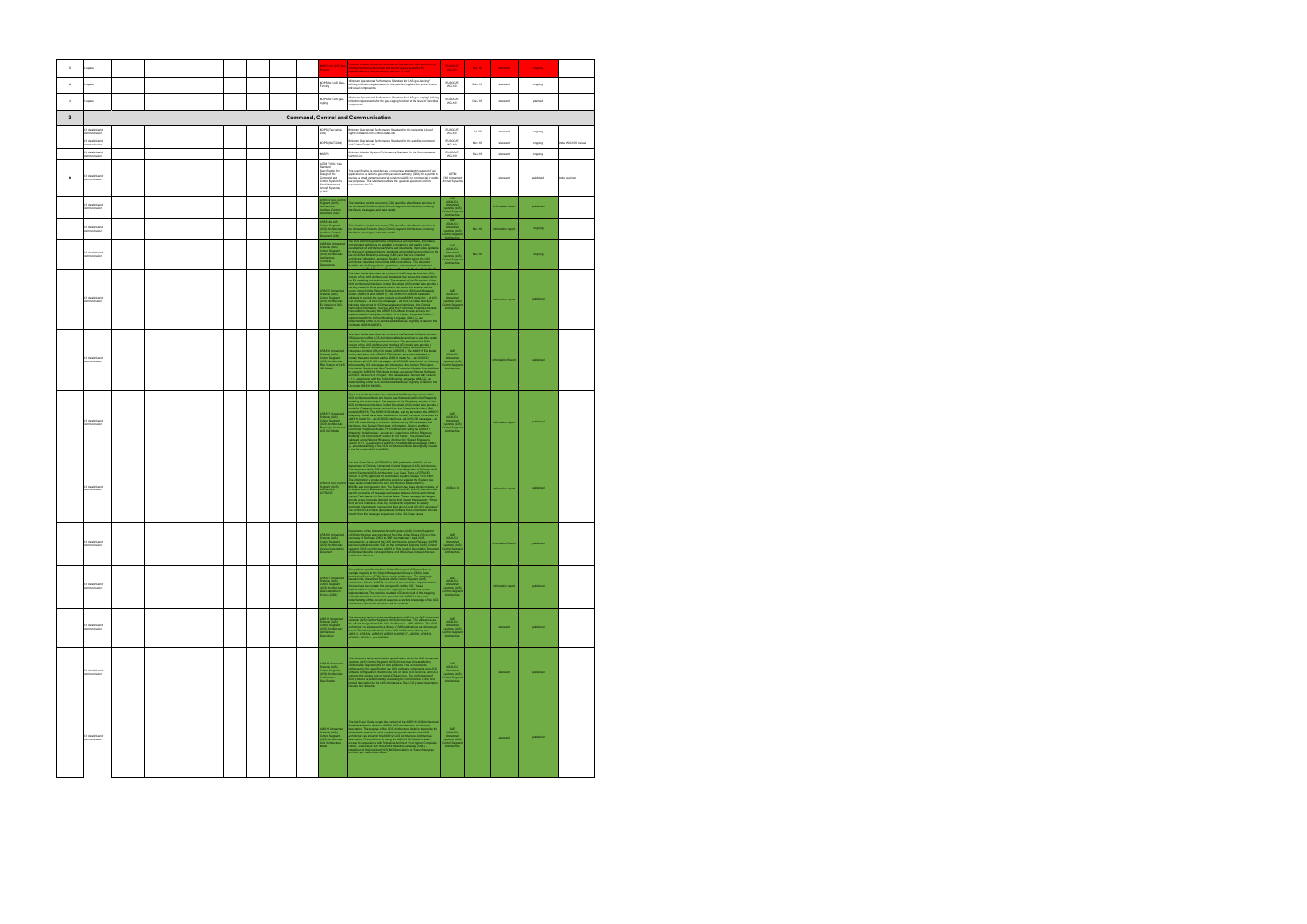| $\mathsf D$    | U-space                               |  |  |  | ncing                                                                                                                                                   | IGPS for UAS Geo- Minimun Aviation Systems Performance Standard for UAS geo-fencing"<br>fefining minimum system level end-to-end requirements for the .<br>mplementation of the geo-fencing function for UAS.                                                                                                                         | EUROCAE<br>WG-105                                                                                | Nov-18   | standard           | orgoing   |                     |
|----------------|---------------------------------------|--|--|--|---------------------------------------------------------------------------------------------------------------------------------------------------------|---------------------------------------------------------------------------------------------------------------------------------------------------------------------------------------------------------------------------------------------------------------------------------------------------------------------------------------|--------------------------------------------------------------------------------------------------|----------|--------------------|-----------|---------------------|
| $\overline{M}$ | J-space                               |  |  |  | MOPS for UAS Geo-<br>Fencing                                                                                                                            | "Minimum Operational Performance Standard for UAS geo-fencing"<br>defining minimum requirements for the geo-fencing function at the level of<br>individual components.                                                                                                                                                                | EUROCAE<br>WG-105                                                                                | Dec-19   | standard           | orgoing   |                     |
| $\mathbb A$    | U-space                               |  |  |  | MOPS for UAS geo-<br>caging                                                                                                                             | "Minimum Operational Performance Standard for UAS geo-caping" definit<br>minimum requirements for the geo-caging function at the level of individua<br>components.                                                                                                                                                                    | EUROCAE<br>WG-105                                                                                | Dec-19   | standard           | planned   |                     |
| $\mathbf{3}$   |                                       |  |  |  |                                                                                                                                                         | <b>Command, Control and Communication</b>                                                                                                                                                                                                                                                                                             |                                                                                                  |          |                    |           |                     |
|                | C3 datalink and<br>communication      |  |  |  | MOPS (Terrestrial<br>OS)                                                                                                                                | Minimum Operational Performance Standard for the terrestrial Line of<br>Sight Command and Control Data Link                                                                                                                                                                                                                           | EUROCAE<br>WG-105                                                                                | $Jun-20$ | standard           | orgoing   |                     |
|                | .<br>C3 datalink and<br>communication |  |  |  | MOPS (SATCOM)                                                                                                                                           | Minimum Operational Performance Standard for the satellite Command<br>and Control Data Link                                                                                                                                                                                                                                           | EUROCAE<br>WG-105                                                                                | Nov-18   | standard           | ongoing   | Inder WG-105 review |
|                | C3 datalink and<br>ommunication       |  |  |  | MASPS<br>ASTM F3002-14a                                                                                                                                 | Minimum Aviation System Performance Standard for the Command and<br>Control Link                                                                                                                                                                                                                                                      | EUROCAE<br>WG-105                                                                                | Sep-19   | standard           | orgoing   |                     |
| $\mathbf{M}$   | C3 datalink and<br>communication      |  |  |  | bandard<br>Inerification for<br>specification for<br>Design of the<br>Command and<br>Control System for<br>Small Unmanned<br>Aircraft Systems<br>(sUAS) | This snecification is netwided as a consensus standard in support of an<br>equirements for C2.                                                                                                                                                                                                                                        | <b>ASTM</b><br>F38 Unmanned<br>Aircraft System                                                   |          | standard           | published | Inder revision      |
|                | C3 datalink and<br>ommunication       |  |  |  | R6514 UxS Contr<br>egment (UCS)<br>rchitecture:<br>nerface Control<br>ocument (ICD)                                                                     | .<br>This interface control document (ICD) specifies all software services in<br>the Ummanned Systems (UxS) Control Segment Architecture, including<br>nterfaces, messages, and data model.                                                                                                                                           | AS-4UCS<br>Unmanned<br>Systems (UkS)<br>Control Segmen<br>Architecture                           |          | information report | published |                     |
|                | C3 datalink and<br>ommunication       |  |  |  | uR6514A UxS<br>Control Segment<br>UCS) Architecturi<br>nterface Control<br>Document (ICD)                                                               | This interface control document (ICD) specifies all software services in<br>he Ummanned Systems (UxS) Control Segment Architecture, including<br>nterfaces, messages, and data model.                                                                                                                                                 | SAE<br>AS-4UCS<br>Unmanned<br>Systems (UxS)<br>Dontrol Segmen<br>Architecture                    | Nov-18   | inform             | orgoing   |                     |
|                | C3 datalink and<br>ommunication       |  |  |  | S6522A Unmarne<br>ystems (UxS)<br>:cntrol Segment<br>JCS) Architecture:<br>:chitecture<br>:hnical<br>vernance                                           | The UCS lectrical governance comprises a set of policies, processes,<br>absorbed and consider the set of policies and the constant of activation<br>of the use of adopted changes and the constant of the constant of a<br>result of t                                                                                                | SAE<br>AS-4UCS<br>Unmanned<br>Systems (UxS)<br>Control Segmen<br>Architecture                    | Nov-18   |                    | orgoing   |                     |
|                | .<br>C3 datalink and<br>communication |  |  |  | UR6515 Unmarmed<br>Systems (UxS)<br>Control Segment<br>UCS) Architecture:<br>:A Version of UCS<br>CD Model                                              | The User Calcie decision is content of the Enterprise Architect (EA)<br>we have Calcie decisions in content of the Enterprise Architect (EA)<br>we have Calcie decisions of the Enterprise Architect (EA)<br>we have a content of t                                                                                                   | SAE<br>AS-4UCS<br>Unmanned<br>Systems (UxS<br>Control Segme<br>Architecture                      |          | inform             | published |                     |
|                | C3 datalink and<br>mmunication        |  |  |  | AIR6516 Unmarmed<br>Systems (UxS)<br>Control Segment<br>(UCS) Architecture:<br>RSA Version of UCS<br>ICD Model                                          | This User Guide discusses the content of the Raincell Schwarz Ancheology<br>(1980) 1981 - An american content of the Raincell Schwarz Ancheology<br>(1980) 1981 - An american content of the popular stress of the Raincell<br>stress                                                                                                 | SAE<br>AS-4UCS<br>Unmanned<br>Systems (UkS)<br>Control Segmen<br>Architecture                    |          |                    | published |                     |
|                | C3 datalink and<br>ommunication       |  |  |  | AIR6517 Unmanned<br>Systems (UxS)<br>Control Segment<br>(UCS) Architecture:<br>Rhapsody Version o<br>UCS ICD Model                                      | This later Guide depends the content of the Responsition terms of the Schwarz content of the Schwarz Content of the Regional Content of the Regional Content of the Regional Content of the Regional Content of the Regional                                                                                                          | SAE<br>AS-4UCS<br>Unmanned<br>Systems (UxS)<br>Control Segmer<br>Architecture                    |          | information report | published |                     |
|                | C3 datalink and<br>ommunication       |  |  |  | AIR6519 LtxS Contr<br>Segment (UCS)<br>Architecture:<br><b>JCTRACE</b>                                                                                  | The Use Case Trace (UCTRACE) is BMF published<br>to MMS11 of the Hamiltonian Company of the Use Case Trace (UCTRACE) is the<br>published of the Use Case of the Use Case Trace (UCTRACE) and the<br>space (UCT) Arctification Use Case                                                                                                | 20-Dec-16                                                                                        |          | information report | published |                     |
|                | C3 datalink and<br>ommunication       |  |  |  | IR6520 Unmanned<br>ystems (UxS)<br>ontrol Segment<br>JCS) Architecture:<br>ion Description<br>Document                                                  | Governance of the Unmarned Aircraft System (UAS) Control Segment<br>(UCS) Anthilectric was transferred from the United States Office of the<br>Secretary of Defense (OSD) to SAE International in April 2015.<br>Consequenty, a subs<br>(VDD) describes the correspondence and differences between the two<br>architecture libraries. | SAE<br>AS-4UCS<br>Unmanned<br>Systems (UxS)<br>Control Segmen<br>Assisted Segmen<br>Architecture |          | Information Report | published |                     |
|                | C3 datalink and<br>ommunication       |  |  |  | AIR6521 Unmarmed<br>Systems (UxS)<br>Control Segment<br>(UCS) Architecture:<br>Data Distribution<br>Service (DDS)                                       | This platform specific Interface Control Document (ICD) provides an<br>example mapping to the Cliptot Management Group's (CMD) Data<br>Clickritudion Service (DDS) infrastructure middeware. The mapping is<br>based on the Unnarmod Sy                                                                                               | SAE<br>AS-4UCS<br>Unmanned<br>Systems (UxS)<br>Control Segment<br>Architecture                   |          | information report | published |                     |
|                | C3 datalink and<br>mmunicatio         |  |  |  | AS6512 Unmanned<br>Systems (LkS)<br>Control Segment<br>UCS) Architecture:<br>Architecture<br>escription                                                 | This document is the Architecture Description (AD) for the SAE Liemannes<br>Systemic (USI) Coeteri Segment (UCS) Architecture. This AD serves as<br>the official disignation of the UCS Architecture - SAE AS6512. The UCS<br>Architect                                                                                               | SAE<br>AS-4UCS<br>Unmanned<br>Systems (UnS)<br>Control Segment<br>Architecture                   |          | standard           | published |                     |
|                | C3 datalink and<br>ommunication       |  |  |  | AS6513 Unmanned<br>Systems (UxS)<br>Control Segment<br>(UCS) Architecture:<br>Conformance<br>Specification                                              | This decreases is the addressible specifical<br>constitution in Social constants and the constant point of the specific<br>decreases the constant of the US production of the SS production of<br>addressed by this specification as U                                                                                                | SAE<br>AS-4UCS<br>Unmanned<br>Systems (UxS)<br>Control Segmen<br>Architecture                    |          | standard           | published |                     |
|                | 23 datalink and<br>mmunicatio         |  |  |  | SB518 Unmanned<br>Systems (UxS)<br>Control Segment<br>UCS) Architecture<br>JCS Architecture                                                             | This blad Gaude Guide recaps the context of the ASBS18 UCS Accidentation<br>Absolute Consider in stati in ABSC 1 UCS Accidentation, according to the<br>consideration of the propose of the UCS Accidentation, helight to provide t                                                                                                   | SAE<br>AS-4UCS<br>Unmanned<br>Systems (UnS)<br>Control Segmen<br>Architecture                    |          | standard           | published |                     |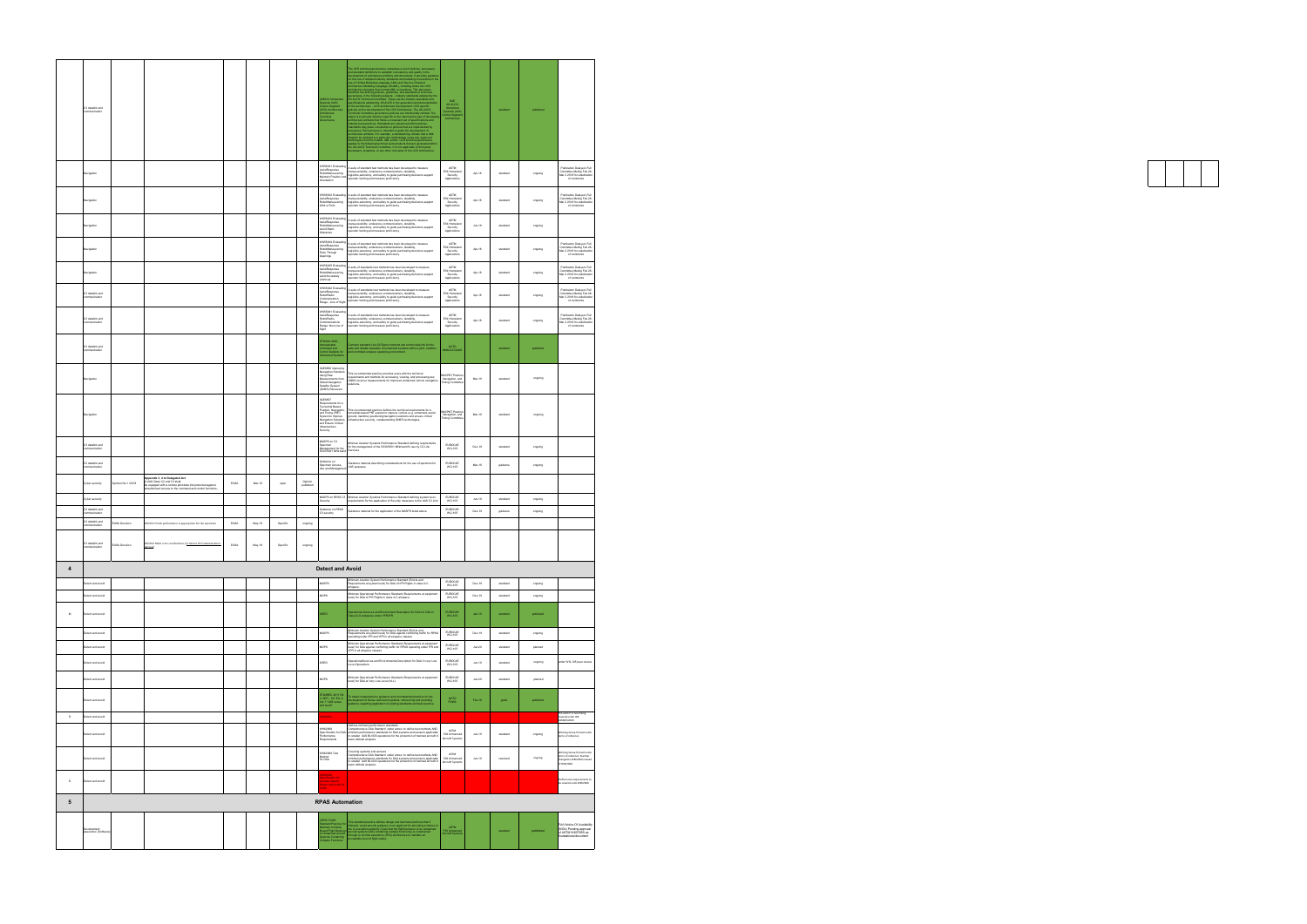|             | C3 datalink and<br>communication                    |                               |                                                                                                                                                                                              |              |                    |                      |                      | 16522 Unmarr<br>stems (UxS)<br>introl Segment<br>CS) Architectu<br>chitecture                                                                                                                        | The UCE inclusion of generation computes a set of policies, processes,<br>and the inclusion of the state of the state of the state of the state<br>of the state of the state of the state of the state of the state of<br>$\alpha$ and the                                                                                  | SAE<br>AS-4UCS<br>Unmanned<br>Vistems (UkS)<br>Ontrol Segmen<br>Architecture |               |          | published       |                                                                                                      |
|-------------|-----------------------------------------------------|-------------------------------|----------------------------------------------------------------------------------------------------------------------------------------------------------------------------------------------|--------------|--------------------|----------------------|----------------------|------------------------------------------------------------------------------------------------------------------------------------------------------------------------------------------------------|-----------------------------------------------------------------------------------------------------------------------------------------------------------------------------------------------------------------------------------------------------------------------------------------------------------------------------|------------------------------------------------------------------------------|---------------|----------|-----------------|------------------------------------------------------------------------------------------------------|
|             | Navigation                                          |                               |                                                                                                                                                                                              |              |                    |                      |                      | VK58931 Evaluating<br>AerialResponse<br>RobotManeuvering<br>Maintain Position and<br><b>Drientation</b>                                                                                              | auite of standard test methods has been developed to measure<br>manueverability, endurance,communications, durability,<br>logisitics,autonomy, and safety to guide purchasing decisions,support<br>perator training and measure proficiency.                                                                                | <b>ASTM</b><br>E54 Homeland<br>Security<br>Applications                      | Apr-18        | standard | orgoing         | Publication Delayed -Ful<br>Committee Meting Feb 28-<br>Mar 2 2018 for adudication<br>of comments    |
|             | Navigation                                          |                               |                                                                                                                                                                                              |              |                    |                      |                      | VK58932 Evaluatin<br>erialResponse<br>Minerverp<br>RobotManeuvering<br>Irbit a Point                                                                                                                 | suite of standard test methods has been developed to measure<br>- and construct was massed and control experience of the massed of the massed construction and construction of the massed of the production of the set of the set of the set of the set of the set of the set of the set of th                              | ASTM<br>E54 Homeland<br>Security<br>Applications                             | Apr-18        | standard | orgoing         | Publication Delayed -Ful<br>Committee Meting Feb 28-<br>Mar 2 2018 for adudication                   |
|             | lavigation                                          |                               |                                                                                                                                                                                              |              |                    |                      |                      | VK58933 Evaluati<br>AerialResponse<br>RobotMansuvering<br>Vivoid Static<br>Jestacles                                                                                                                 | suite of standard test methods has been developed to measure<br>manueverability, conduction of the well terretations of measure<br>logislikes,autonomy, and safety to guide purchasing decisions,support<br>logislikes,autonomy, and safety to guide purchasing decisions,support<br>operator training                      | $\texttt{ASTM}$<br>E54 Homeland<br>Security<br>Applications                  | Jun.18        | standard | orgoing         |                                                                                                      |
|             | Navigation                                          |                               |                                                                                                                                                                                              |              |                    |                      |                      | WK58934 Evaluating<br>AerialResponse<br>RobotManeuvering<br>ass Through<br>penings<br>WK58935 Evaluatin                                                                                              | A suite of standard test methods has been developed to measure<br>manueverability, endurance.communications, durability,<br>logisitics,autonomy, and safety to guide purchasing decisions,support<br>operator training and measure proficiency.                                                                             | <b>ASTM</b><br>E54 Homeland<br>Security<br>Applications                      | Apr-18        | standard | ongoing         | Publication Delayed -Ful<br>Committee Meting Feb 28-<br>Mar 2 2018 for adudication<br>of comments    |
|             | Navigation                                          |                               |                                                                                                                                                                                              |              |                    |                      |                      | <b><i>MarialResponse</i></b><br>RobotManeuvering<br>and Accurately<br>/ertical)                                                                                                                      | suite of standards test methods has been developed to measure<br>manueverability, endurance,communications, durability,<br>logisitics,autonomy, and safety to guide purchasing decisions,support<br>perator training and measure proficiency.                                                                               | <b>ASTM</b><br>E54 Homeland<br>Security<br>Applications                      | Apr-18        | standard | ongoing         | Publication Delayed -Full<br>Committee Meting Feb 28-<br>Mar 2 2018 for adudication<br>of comments   |
|             | C3 datalink and<br>mmunication                      |                               |                                                                                                                                                                                              |              |                    |                      |                      | VK58942 Evaluating<br>AerialResponse<br>RobotRadio<br>communication<br>tange : Line of Sight                                                                                                         | A suite of standards test methods has been developed to measure<br>nanueverability, endurance.communications, durability,<br>logisitics,autonomy, and safety to guide purchasing decisions,support<br>sperator training and measure proficiency.                                                                            | <b>ASTM</b><br>E54 Homeland<br>Security<br>Applications                      | Apr-18        | standard | orgoing         | Publication Delayed -Full<br>Committee Meting Feb 28-<br>Mar 2 2018 for adudication<br>of comments   |
|             | C3 datalink and<br>mmunication                      |                               |                                                                                                                                                                                              |              |                    |                      |                      | WK58941 Evaluatin<br>مبين<br>Response<br>RobotRadio<br>News<br>communications<br>lange: Non Line of<br>ight                                                                                          | A suite of standards test methods has been developed to measure<br>ry antistic and also a member of the section of the members of the members of the members of the members of the<br>installation and safety to guide purchasing decisions support<br>operator training and measure proficiency.                           | ASTM<br>E54 Homeland<br>Security<br>Application                              | Apr-18        | standard | ongoing         | Publication Delayed -Full<br>Committee Meting Feb 28-<br>Mar 2 2018 for adudicatio<br>of comments    |
|             | C3 datalink and<br>mmunication                      |                               |                                                                                                                                                                                              |              |                    |                      |                      | TANAG 4660 -<br>teroperable<br>:cmmand and<br>:cntrol Datalink for<br>anned Systems                                                                                                                  | Common standard Line-Of-Sight command and control data link for the<br>safe and reliable operation of unmanned systems within a joint, coalition<br>and controlled airspace operating environment.                                                                                                                          | NATO<br>NNAGLICGLIAS                                                         |               | standard | published       |                                                                                                      |
|             | Navigation                                          |                               |                                                                                                                                                                                              |              |                    |                      |                      | AE6856 Improving<br>Navigation Solutions<br>Jsing Raw<br><b>Measurements</b> from<br>noitspivsk ladolE<br>atelite System<br>GNSS) Receivers                                                          | his recommended practice provides users with the technical<br>requirements and methods for accessing, viewing, and processing raw<br>GNSS receiver measurements for improved unmanned vehicle navigation<br>olutions.                                                                                                       | MCPNT Positi<br>Navigation, and<br>Timing Committee                          | Mar-19        | standard | orgoing         |                                                                                                      |
|             | Navigation                                          |                               |                                                                                                                                                                                              |              |                    |                      |                      | AE6857<br>-<br>Requirements for a<br>Terrestrial Based<br>Position, Navigation,<br>and Timing (PNT)<br>System to Improve<br>Navigation Solutions<br>and Ensure Critical<br>nfrastructure<br>lecurity | his recommended practice defines the technical requirements for a<br>terrestrial-based PNT system to improve vehicle (e.g. unmanned, aerial,<br>ground, maritime) positioning/navigation solutions and ensure critical<br>infrastructure security, complementing GNSS technologies.                                         | MCPNT Positic<br>Navigation, and<br>Timing Committee                         | Mar-19        | standard | orgoing         |                                                                                                      |
|             | C3 datalink and<br>ommunication                     |                               |                                                                                                                                                                                              |              |                    |                      |                      | MASPS on C3<br>Spectrum<br>Management for the<br>030/5091 MHz band                                                                                                                                   | Animun Aviation Systems Performance Standard defining requirements<br>for the management of the 5030/5091 MHz band fir use by C2 Link<br>Services                                                                                                                                                                           | EUROCAE<br>WG-105                                                            | Dec-18        | standard | orgoing         |                                                                                                      |
|             | C3 datalink and<br>mmunication                      |                               |                                                                                                                                                                                              |              |                    |                      |                      | Guidance on<br>Spectrum Access,<br>Use and Manageme                                                                                                                                                  | luidance material describing considerations for the use of spectrum for<br>JAS purposes                                                                                                                                                                                                                                     | EUROCAE<br>WG-105                                                            | Mar-19        | guidance | ongoing         |                                                                                                      |
|             | Cyber security<br>Cyber security                    | Dpinion No.1 /2018            | ppendix 3, 4 to Delegated Act<br>.<br>LUAS Class C2 and C3 shalt<br>le equipped with a remote pilot data link protected against<br>inauthorised access to the command and control functions; | EASA         | Mar-19             | open                 | Opinion<br>published | MASPS on RPAS C3<br>ecurity                                                                                                                                                                          | Minimun Aviation Systems Performance Standard defining system level<br>equirements for the application of Security measures to the UAS C3 Link                                                                                                                                                                              | EUROCAE<br>WG-105                                                            | $Jun-19$      | standard | ongoing         |                                                                                                      |
|             |                                                     |                               |                                                                                                                                                                                              |              |                    |                      |                      | Guidance on RPAS<br>C3 security                                                                                                                                                                      | uidance material for the application of the MASPS listed above                                                                                                                                                                                                                                                              | EUROCAE<br>WG-105                                                            | $Dec-19$      | guidance | ongoing         |                                                                                                      |
|             | C3 datalink and<br>communication<br>C3 datalink and |                               |                                                                                                                                                                                              |              |                    |                      |                      |                                                                                                                                                                                                      |                                                                                                                                                                                                                                                                                                                             |                                                                              |               |          |                 |                                                                                                      |
|             | ommunication<br>C3 datalink and<br>communication    | ASA Decision<br>EASA Decision | 350#6 C3 link performance is appropriate for the operation<br>0S0#16 Multi crew coordination. (Criterion #3 Comm<br>levices)                                                                 | EASA<br>EASA | $May-19$<br>May-19 | Specific<br>Specific | ongoing<br>ongoing   |                                                                                                                                                                                                      |                                                                                                                                                                                                                                                                                                                             |                                                                              |               |          |                 |                                                                                                      |
| 4           |                                                     |                               |                                                                                                                                                                                              |              |                    |                      |                      | <b>Detect and Avoid</b>                                                                                                                                                                              |                                                                                                                                                                                                                                                                                                                             |                                                                              |               |          |                 |                                                                                                      |
|             | etect and avoid                                     |                               |                                                                                                                                                                                              |              |                    |                      |                      | MSPS                                                                                                                                                                                                 | finimum Aviation System Performance Standard (End-to-end<br>tequirements at system level) for DAA of IFR Flights in class A-C<br>irspace.                                                                                                                                                                                   | EUROCAE<br>WG-105                                                            | $Dec-18$      | standard | ongoing         |                                                                                                      |
|             | betect and avoid                                    |                               |                                                                                                                                                                                              |              |                    |                      |                      | MOPS                                                                                                                                                                                                 | Animum Operational Performance Standard (Requirements at equipment<br>level) for DAA of IFR Flights in class A-C airspace.                                                                                                                                                                                                  | EUROCAE<br>WG-105                                                            | Dec-19        | standard | orgoing         |                                                                                                      |
| $_{\rm M}$  | Detect and avoid                                    |                               |                                                                                                                                                                                              |              |                    |                      |                      | OSED                                                                                                                                                                                                 | Operational Services and Environment Description for DAA for DAA in<br>Class D-G airspaces under VFR/IFR                                                                                                                                                                                                                    | EUROCAE<br>WG-105                                                            | $Jan-19$      | standard | published       |                                                                                                      |
|             | etect and avoid                                     |                               |                                                                                                                                                                                              |              |                    |                      |                      | MSPS                                                                                                                                                                                                 | Minimum Aviation System Performance Standard (End-to-end<br>Requirements at system level) for DAA against conflicting traffic for RPAS<br>operating under IFR and VFR in all airspace classes                                                                                                                               | EUROCAE<br>WG-105                                                            | Dec-19        | standard | orgoing         |                                                                                                      |
|             | etect and avoid                                     |                               |                                                                                                                                                                                              |              |                    |                      |                      | MOPS                                                                                                                                                                                                 | Minimum Operational Performance Standard (Requirements at equipment<br>level) for DAA against conflicting traffic for RPAS operating under IFR and<br>VFR in all airspace classes                                                                                                                                           | EUROCAE<br>WG-105                                                            | $Jun-20$      | standard | planned         |                                                                                                      |
|             | etect and avoid                                     |                               |                                                                                                                                                                                              |              |                    |                      |                      | OSED                                                                                                                                                                                                 | OperationalServices and Environmental Description for DAA in very Low<br>Level Operations                                                                                                                                                                                                                                   | EUROCAE<br>WG-105                                                            | $Jun-19$      | standard | orgoing         | nder WG-105 peer review                                                                              |
|             | etect and avoid                                     |                               |                                                                                                                                                                                              |              |                    |                      |                      | MOPS                                                                                                                                                                                                 | Minimum Operational Performance Standard (Requirements at equipment<br>level) for DAA at Very Low Level (VLL)                                                                                                                                                                                                               | EUROCAE<br>WG-105                                                            | $Jun-20$      | standard | planned         |                                                                                                      |
| $\mathsf D$ | Detect and avoid<br>betect and avoid                |                               |                                                                                                                                                                                              |              |                    |                      |                      | FTANREC 4811 Ed.<br>/ AEP-, 101 Ed. A<br>er.1 "LIAS sense<br>nd avoid"<br>100000                                                                                                                     | .<br>To detail comprehensive guidance and recommended practice for the<br>development of Sense and Avoid systems, referencing and providing<br>guidance regarding application of existing standards and best practice                                                                                                       | NATO<br>FINAS                                                                | Feb-18        | guide    | published       | The work it is now being                                                                             |
|             | Detect and avoid                                    |                               |                                                                                                                                                                                              |              |                    |                      |                      | WK62668<br>Requirements                                                                                                                                                                              | Defines minimum performance standards<br>Comprehensive DAA Standard under annex to define test methods AND<br>Specification for DAA minimum performance standards for DAA systems and sensors applicable<br>Performance to smaller UAS BLVOS operations for the protection of manned aircraft in<br>lower altitude airspace | $\texttt{ASTM}{}$<br>F38 Unmanned<br>Aircraft Systems                        | <b>Jun-19</b> | standard | orgoing         | vered under WK<br>62668/62669<br>Working Group formed under<br>terms of reference                    |
|             | Detect and avoid                                    |                               |                                                                                                                                                                                              |              |                    |                      |                      | VK62669 Test<br>Method<br>for DAA                                                                                                                                                                    | Covering systems and sensors<br>Comprehensive DAA Standard under annex to define test methods AND<br>minimum performance standards for DAA systems and sensors applicable<br>to smaller LIAS BLVOS operations for the protection of man<br>ower altitude airspace.                                                          | ASTM<br>F38 Unmanned<br>Aircraft Systems                                     | $Jun-19$      | standard | $\alpha$ ngoing | Working Group formed under<br>terms of reference. Number<br>changed to WK62669 instead<br>of WK62668 |
| $\mathsf D$ | Detect and avoid                                    |                               |                                                                                                                                                                                              |              |                    |                      |                      | K60936<br>noosee<br>localication for<br>localication Avoid for<br>localized Avoid for                                                                                                                |                                                                                                                                                                                                                                                                                                                             |                                                                              |               |          |                 | Nerformance requirem<br>be covered unde WK62668                                                      |
| 5           |                                                     |                               |                                                                                                                                                                                              |              |                    |                      |                      | <b>RPAS Automation</b>                                                                                                                                                                               |                                                                                                                                                                                                                                                                                                                             |                                                                              |               |          |                 |                                                                                                      |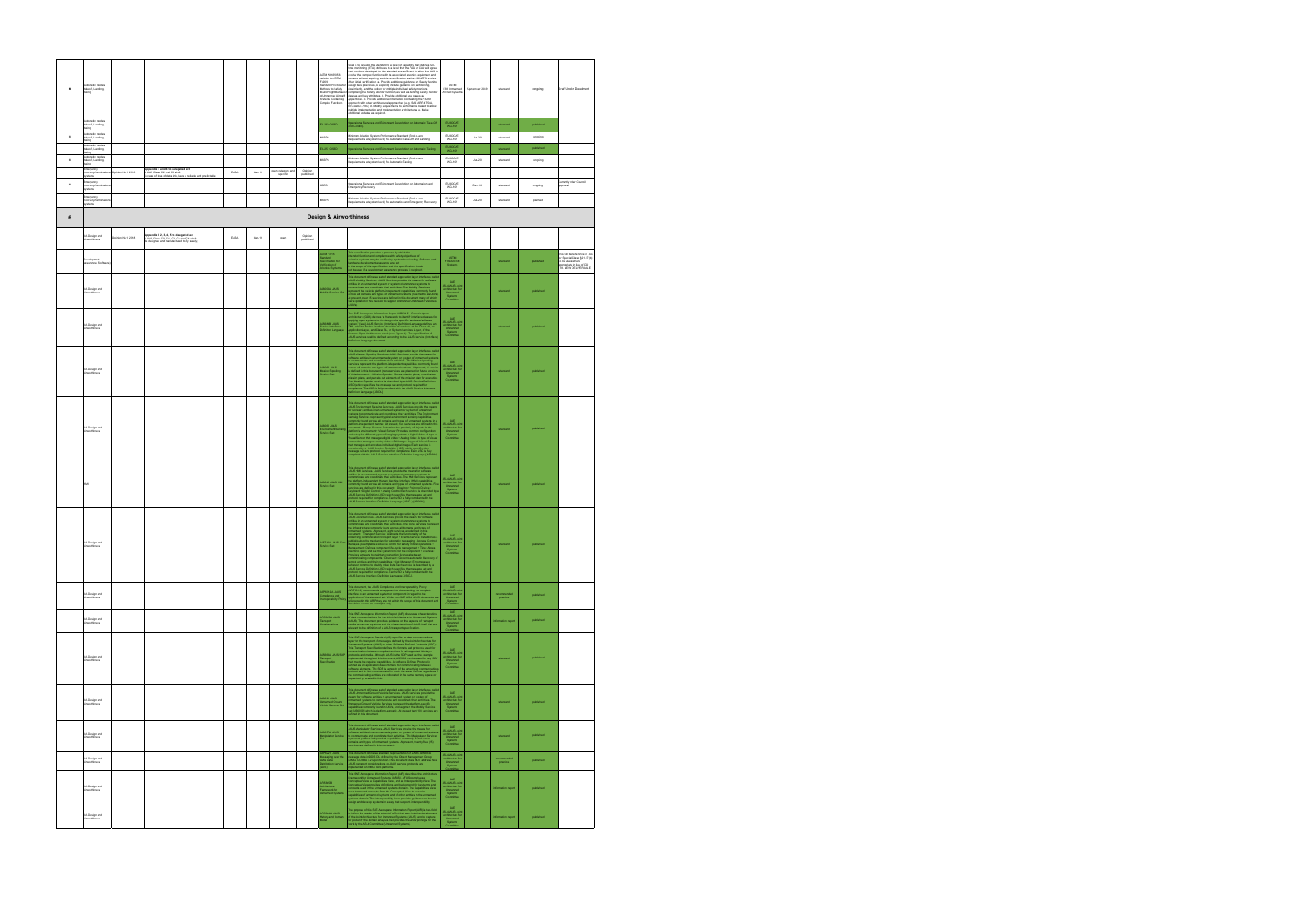| M                   | Automatic modes<br>takeoff, Landing,<br>taxing                                  |                   |                                                                                                                                          |      |        |                              |                      | <b>ASTM WK65056</b><br>vision to ASTM<br>F3269<br>Standard Practice for<br>Methods to Safely<br><b>Bound Flight Behavio</b><br>of Unmanned Aircraft<br>Systems Containing | Goal is to develop the standard to a level of capability that defines run-<br>time moriforing (RTA) attributes to a level that the FAA or CAA will agree<br>that mentions developed to this standard are sufficient to allow the UAS<br>after initial certification. a. Provide additional guidance on Safety Monito<br>design best practices, to explicitly include guidance on partitioning.<br>dissimilarity, and the option for multiple individual safety monitors<br>dissimilariny, and the option for multiple individual safety monitors<br>comprising the Safety Monter function, as well as defining safety monitor<br>chases and levy attributes. D. Provide additional use cases as<br>a specification | ASTM<br>F38 Unmanned<br>Aircraft Systems                                                     | Spetember 2019 | standard                | ongoing   | <b>Draft Under Develment</b>                                                                                                                       |
|---------------------|---------------------------------------------------------------------------------|-------------------|------------------------------------------------------------------------------------------------------------------------------------------|------|--------|------------------------------|----------------------|---------------------------------------------------------------------------------------------------------------------------------------------------------------------------|--------------------------------------------------------------------------------------------------------------------------------------------------------------------------------------------------------------------------------------------------------------------------------------------------------------------------------------------------------------------------------------------------------------------------------------------------------------------------------------------------------------------------------------------------------------------------------------------------------------------------------------------------------------------------------------------------------------------|----------------------------------------------------------------------------------------------|----------------|-------------------------|-----------|----------------------------------------------------------------------------------------------------------------------------------------------------|
|                     | tatic modes<br>utomatic modes<br>ikeoff, Landing,<br>gnixat<br>Automatic modes. |                   |                                                                                                                                          |      |        |                              |                      | D-252 OSED                                                                                                                                                                | Operational Services and Enfromment Description for Automatic Take-Off<br>and Landing.                                                                                                                                                                                                                                                                                                                                                                                                                                                                                                                                                                                                                             | EUROCAE<br>WG-105                                                                            |                | standard                | published |                                                                                                                                                    |
| $\mathsf{M}\xspace$ | akeoff, Landing,<br>oring<br>Automatic modes                                    |                   |                                                                                                                                          |      |        |                              |                      | MSPS                                                                                                                                                                      | .<br>Minimum Aviation System Performance Standard (End-to-end<br>Requirements at system level) for Automatic Take-Off and Landing                                                                                                                                                                                                                                                                                                                                                                                                                                                                                                                                                                                  | EUROCAE<br>WG-105                                                                            | $Jun-20$       | standard                | ongoing   |                                                                                                                                                    |
|                     | akeoff, Landing,<br>pna:<br>Automatic modes                                     |                   |                                                                                                                                          |      |        |                              |                      | D-251 OSED                                                                                                                                                                | tional Services and Entronment Description for Automatic Taxiing                                                                                                                                                                                                                                                                                                                                                                                                                                                                                                                                                                                                                                                   | EUROCAE<br>WG-105                                                                            |                | standard                | published |                                                                                                                                                    |
| $\mathsf{M}\xspace$ | ikeoff, Landing.<br>taxing                                                      |                   |                                                                                                                                          |      |        |                              |                      | MSPS                                                                                                                                                                      | Ainimum Aviation System Performance Standard (End-to-end<br>Requirements at system level) for Automatic Taxiing                                                                                                                                                                                                                                                                                                                                                                                                                                                                                                                                                                                                    | EUROCAE<br>WG-105                                                                            | $Jun-20$       | standard                | ongoing   |                                                                                                                                                    |
|                     | imergency<br>ecovery/terminal<br>stems                                          | Opinion No.1 2018 | Appendix 3 and 4 to delegated act<br>ULAS Class C2 and C3 shall:<br>case of loss of data link, have a reliable and predictable           | EASA | Mar-19 | pen category and<br>specific | Opinion<br>published |                                                                                                                                                                           |                                                                                                                                                                                                                                                                                                                                                                                                                                                                                                                                                                                                                                                                                                                    |                                                                                              |                |                         |           |                                                                                                                                                    |
| M                   | Emergency<br>ecovery/termina<br>ystems                                          |                   |                                                                                                                                          |      |        |                              |                      | OSED                                                                                                                                                                      | Operational Services and Enironment Description for Automation and<br>Imergency Recovery                                                                                                                                                                                                                                                                                                                                                                                                                                                                                                                                                                                                                           | EUROCAE<br>WG-105                                                                            | Dec-18         | standard                | ongoing   | Currently nder Council<br>prova                                                                                                                    |
|                     | imergency<br>acovery/terminati                                                  |                   |                                                                                                                                          |      |        |                              |                      | MSPS                                                                                                                                                                      | Amimum Aviation System Performance Standard (End-to-end<br>Requirements at system level) for automation and Emergency Recovery                                                                                                                                                                                                                                                                                                                                                                                                                                                                                                                                                                                     | EUROCAE<br>WG-105                                                                            | $Jun-20$       | standard                | planned   |                                                                                                                                                    |
|                     | systems                                                                         |                   |                                                                                                                                          |      |        |                              |                      |                                                                                                                                                                           |                                                                                                                                                                                                                                                                                                                                                                                                                                                                                                                                                                                                                                                                                                                    |                                                                                              |                |                         |           |                                                                                                                                                    |
| 6                   |                                                                                 |                   |                                                                                                                                          |      |        |                              |                      | <b>Design &amp; Airworthiness</b>                                                                                                                                         |                                                                                                                                                                                                                                                                                                                                                                                                                                                                                                                                                                                                                                                                                                                    |                                                                                              |                |                         |           |                                                                                                                                                    |
|                     | <b>UA Design and</b><br>Airworthiness                                           | Opinion No.1 2018 | <b>uppendix I, 2, 3, 4, 5 to delegated act</b><br>LUAS Class CD, C1, C2, C3 and C4 shall:<br>le designed and manufactured to fly safely; | EASA | Mar-19 | open                         | Opinion<br>published |                                                                                                                                                                           |                                                                                                                                                                                                                                                                                                                                                                                                                                                                                                                                                                                                                                                                                                                    |                                                                                              |                |                         |           |                                                                                                                                                    |
|                     | )evelopment<br>issurance (Softwar                                               |                   |                                                                                                                                          |      |        |                              |                      | STM F3151<br>ndard<br>Icification for<br>ification of<br>onics Systems1                                                                                                   | his specification provides a process by which the<br>risnolof function and compliance with safety objectives of<br>risnological propriation and propriate view of the specifical propriation of the specifical<br>cardinate development                                                                                                                                                                                                                                                                                                                                                                                                                                                                            | ASTM<br>F39 Aircraft<br>Systems                                                              |                | standard                | published | - mi uè reference in AC<br>for Special Class §21.17(b)<br>To be uses where<br>ppropriate in "<br>appropriate in lieu of DO<br>178. NEW DELIVERABLE |
|                     | <b>UA Design and</b><br>Airworthiness                                           |                   |                                                                                                                                          |      |        |                              |                      | .<br>S6009A JAUS<br>fobility Service Set                                                                                                                                  | This document defines a set of standard application layer interfaces calculated and state the matrix of the matrix of the matrix of states and the states of the matrix of the matrix of the matrix of the matrix of the matr                                                                                                                                                                                                                                                                                                                                                                                                                                                                                      | SAE<br>AS-4JAUS Join<br>Architecture for<br>Unmanned<br>Systems<br>Committee                 |                | standard                | published |                                                                                                                                                    |
|                     | <b>UA Design and</b><br>Airworthiness                                           |                   |                                                                                                                                          |      |        |                              |                      | 15684B JAUS<br>rvice Interface<br>finition Language                                                                                                                       | The SAE Austragues Information Report AIRS315 - Generic Open<br>applying control and System is the design of a specific Control and System Section<br>applying control and System is the design of a specific burden and Control<br>efinition Language document                                                                                                                                                                                                                                                                                                                                                                                                                                                    | SAE<br>AS-4JAUS Join<br>Architecture for<br>Unmanned<br>Systems<br>Committee                 |                | standard                | published |                                                                                                                                                    |
|                     | <b>UA Design and</b><br>rworthiness                                             |                   |                                                                                                                                          |      |        |                              |                      | (S6062 JAUS<br>Aission Spooling<br>Jervice Set                                                                                                                            | The decay<br>metric defines a set of translate application layer interfaces calculated<br>political and the set of the set of the set of the set of the set of<br>the contraction and conduct to the set of the set of the set of<br>set                                                                                                                                                                                                                                                                                                                                                                                                                                                                           | SAE<br>AS-4JAUS Join<br>Architecture for<br>Unmanned<br>Committee                            |                | standard                | published |                                                                                                                                                    |
|                     | <b>UA Design and</b><br>Airworthiness                                           |                   |                                                                                                                                          |      |        |                              |                      | 6060 JAUS<br>mironment Sens<br>Irvice Set                                                                                                                                 | This decorate dating a set of the<br>shall application by a starting calculated by the starting of the<br>same of the starting in the control of the starting control of the<br>starting product to control of the control of the star                                                                                                                                                                                                                                                                                                                                                                                                                                                                             | SAE<br>AS-4JAUS Join<br>Architecture for<br>Unmanned<br>Systems<br>Committee                 |                | standard                | published |                                                                                                                                                    |
|                     |                                                                                 |                   |                                                                                                                                          |      |        |                              |                      | 56040 JAUS HMI<br>arvice Set                                                                                                                                              | This decement defines a set of the<br>testing application type interfaces and the set of the control of<br>the set of the set of the set of the set of the set of the set of<br>the set of the set of the set of the set of the set of                                                                                                                                                                                                                                                                                                                                                                                                                                                                             | SAE<br>AS-4JAUS Joir<br>Architecture fo<br>Unmarined<br>Systems<br>Committee                 |                | standard                | published |                                                                                                                                                    |
|                     | <b>UA Design and</b><br>Airworthiness                                           |                   |                                                                                                                                          |      |        |                              |                      | S5710A JAUS Core<br>arvice Set                                                                                                                                            | This decorated defines a set of transland application by<br>an interface calculation in the control system of photon control of the<br>contraction in the control of the control of the control of the<br>contraction in the control o<br>Dietrico query and set the system time to the component - Liveness.<br>Provides a means to maintain correction liveness between<br>mustaching components - Discovery Coverns automatic discovery of<br>communically components - Discov                                                                                                                                                                                                                                  | AS-4JAUS Joint<br>Architecture for<br>Unmanned<br>Systems<br>Committee                       |                | standard                | published |                                                                                                                                                    |
|                     | <b>UA Design and</b><br>Airworthiness                                           |                   |                                                                                                                                          |      |        |                              |                      | ARP6012A JAUS<br>Compliance and<br>nteroperability Polic                                                                                                                  | This document, the JAUS Compliance and Interoperability Policy<br>(APP6121), recommends an approach to documenting the complete<br>interface of an urmanned system or component in regard to the<br>represenced in this standard set. W                                                                                                                                                                                                                                                                                                                                                                                                                                                                            | SAE<br>AS-4JAUS Joint<br>Architecture for<br>Unmanned<br>Systems<br>Committee                |                | recommended<br>practice | published |                                                                                                                                                    |
|                     | <b>UA Design and</b><br>Airworthiness                                           |                   |                                                                                                                                          |      |        |                              |                      | R5645A JAUS<br>ransport<br>onsiderations                                                                                                                                  | This SAE Aerospace Information Report (AIR) discusses characteristics<br>of data communications for the Joint Achitecture for Unnannot System<br>(JAUS). This document provides guidance on the aspects of transport<br>media, unmanned                                                                                                                                                                                                                                                                                                                                                                                                                                                                            | SAE<br>AS-4JAUS Joint<br>Architecture for<br>Unmanned<br>Systems<br>Committee                |                | information report      | published |                                                                                                                                                    |
|                     | <b>UA Design and</b><br>Airworthiness                                           |                   |                                                                                                                                          |      |        |                              |                      | 55669A JAUS/SDF<br>ransport<br>Ipecification                                                                                                                              | The Markov Markov Markov<br>Schwarz (1988) applied to the correspondent of the correspondence of<br>$\mathcal{H}$ and the correspondence of the correspondence of<br>$\mathcal{H}$ and the correspondence of the correspondence of<br>$\mathcal{H}$ and                                                                                                                                                                                                                                                                                                                                                                                                                                                            | SAE<br>AS-4JAUS Joint<br>Architecture for<br>Unmanned<br>Systems<br>Committee                |                | standard                | published |                                                                                                                                                    |
|                     | <b>UA Design and</b><br>ürworthiness                                            |                   |                                                                                                                                          |      |        |                              |                      | .<br>S6091 JAUS<br>/ehicle Service Set                                                                                                                                    | This document defines a set of standard application layer interfaces cale<br>JAUS Linnames Clocurs (Vehicle Services, JAUS Services provide the<br>means for scribare entities in an unnamed system or system of<br>premiered systems t<br>efined in this document.                                                                                                                                                                                                                                                                                                                                                                                                                                                | SAE<br>AS-4JAUS Joint<br>Architecture for<br>Unmanned<br>Systems<br>Committee                |                | standard                | published |                                                                                                                                                    |
|                     | <b>UA Design and</b><br>Airworthiness                                           |                   |                                                                                                                                          |      |        |                              |                      | S6057A JAUS<br><b>Ianipulator Service</b>                                                                                                                                 | This document defines a set of standard application layer interfaces called<br>JAUS Manpulator Services. JAUS Services provide the means for<br>bothware entities in an urmanned system or system of unrarmed systems<br>to communicate<br>ervices are defined in this document.                                                                                                                                                                                                                                                                                                                                                                                                                                   | SAE<br>AS-4JAUS Join<br>Architecture for<br>Unmanned<br>Systems<br>Committee                 |                | standard                | published |                                                                                                                                                    |
|                     | <b>UA Design and</b><br>Airworthiness                                           |                   |                                                                                                                                          |      |        |                              |                      | ARP6227 JAUS<br>Messaging over the<br>OMG Data<br>Distribution Service                                                                                                    | This document defines a standard representation of JAUS AS5684A<br>message data in DDS IDL defined by the Object Management Group<br>(OMG) CORBA 32 specification. This document does NOT address how<br>JAUS paraport considerations o                                                                                                                                                                                                                                                                                                                                                                                                                                                                            | $\begin{tabular}{c} SAE\\ AS-4JAUS Joint Architecture for Ummamed \\ System\\ \end{tabular}$ |                | recommended<br>practice | published |                                                                                                                                                    |
|                     | <b>UA Design and</b><br>Airworthiness                                           |                   |                                                                                                                                          |      |        |                              |                      | JR5665B<br>rchitecture<br>ramework for<br>Inmanned Systems                                                                                                                | This SAE Aerospace Information Report (ART) describes the Architecture<br>Transcending Constant (ART) describes the Architecture<br>Conceptual View architecture and buddy condition (API) and The Constant<br>Conceptual View provide                                                                                                                                                                                                                                                                                                                                                                                                                                                                             | SAE<br>AS-4JAUS Joint<br>Architecture for<br>Unmanned<br>Systems<br>Committee                |                | information report      | published |                                                                                                                                                    |
|                     | UA Design and<br>Airworthiness                                                  |                   |                                                                                                                                          |      |        |                              |                      | UR5664A JAUS<br>Estory and Domain<br><i>I</i> rodel                                                                                                                       | The purpose of this SAE Aerospace Information Report (ART) is two-fold<br>to inform the reader of the extent of effort that were into the development<br>of the Joint Architecture for Unmanned Systems (JAUS), and to capture<br>for p                                                                                                                                                                                                                                                                                                                                                                                                                                                                            | SAE<br>AS-4JAUS Joint<br>Architecture for<br>Unmanned<br>Systems<br>Committee                |                | information report      | published |                                                                                                                                                    |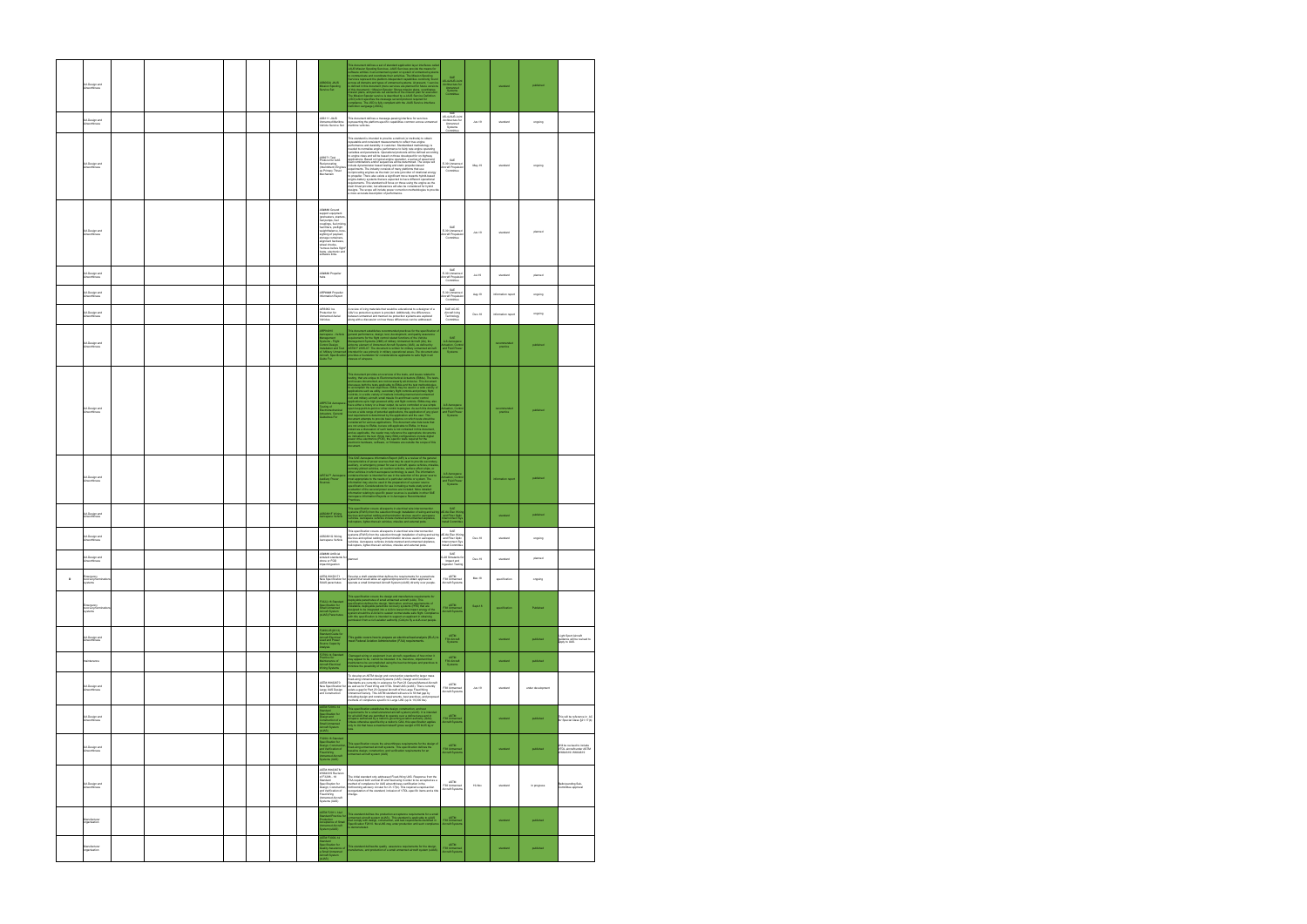|              | <b>UA Design and</b><br>Airworthiness        |  |  |  | 062A JAUS<br>lission Spooling<br>Iervice Set                                                                                                                                                                                                                                                                                              | This determines defines a set of standard application layer interfaces calculated and contained a state of the standard system of the contained applies of containing the contained part of the state of the standard state o                                                                                                                                                                                                                                                                                                                                                                                                                                                                                                                                                                                                                                                                                                                                        | SAE<br>AS-4JAUS Joir<br>Architecture for<br>Unmanned<br>Systems<br>Committee               |          | standard              | published         |                                                                             |
|--------------|----------------------------------------------|--|--|--|-------------------------------------------------------------------------------------------------------------------------------------------------------------------------------------------------------------------------------------------------------------------------------------------------------------------------------------------|----------------------------------------------------------------------------------------------------------------------------------------------------------------------------------------------------------------------------------------------------------------------------------------------------------------------------------------------------------------------------------------------------------------------------------------------------------------------------------------------------------------------------------------------------------------------------------------------------------------------------------------------------------------------------------------------------------------------------------------------------------------------------------------------------------------------------------------------------------------------------------------------------------------------------------------------------------------------|--------------------------------------------------------------------------------------------|----------|-----------------------|-------------------|-----------------------------------------------------------------------------|
|              | <b>UA Design and</b><br><b>Minvorthiness</b> |  |  |  | AS6111 JAUS<br>Unmanned Maritime<br>Vehicle Service Set                                                                                                                                                                                                                                                                                   | plance.<br>Inition Language [JSIDL].<br>This document defines a message-passing interface for services<br>representing the platform-specific capabilities common across unmanned<br>maritime vehicles.                                                                                                                                                                                                                                                                                                                                                                                                                                                                                                                                                                                                                                                                                                                                                               | SAE<br>AS-4JAUS Joint<br>Architecture for<br>Unmanned<br>Systems                           | Jun-19   | standard              | orgoing           |                                                                             |
|              | <b>UA Design and</b><br>Airworthiness        |  |  |  | AS6971 Test<br>Protocol for UAS<br>Reciprocating<br>(Intermittent) Engine<br>as Primary Thrust<br>lechanism                                                                                                                                                                                                                               | This standard is intended to provide a method (or methods) to obtain<br>repeatable and consistent measurements to reflect true engine<br>performance and durability in customer. Standardized methodology is<br>needed to normalize engine performance to fairly rate engine operating<br>variables and parameters. Operational protocols will be defined accordin<br>to engine class and will be based on those developed for on-highway<br>to engine class and will be based on those developed for on-higheary<br>applications. Based on typical engine operation, a series of speed and<br>scale contenuino and/or sequences will be determined. The scope will<br>track dynamic<br>requirements. This standard will focus on those using the engine as the<br>main thrust provider, but allowances will also be considered for hybrid<br>designs. The scope will include power correction methodologies to provi<br>a more accurate description of performance. | Committee<br>SAF.<br>E-39 Unmanned<br>Aircraft Propulsio<br>Committee                      | May-19   | standard              | ongoing           |                                                                             |
|              | <b>UA Design and</b><br><b>Mworthiness</b>   |  |  |  | AS#### Ground<br>support equipment<br>(preheaters, starters,<br>fuel pumps, fuel<br>couplings, fuel mixing<br>luel filters, preflight<br>weight/balance, bore<br>sighting of payload,<br>torage containers<br>ent hardware<br>alian<br>vheel chocks.<br>meur cristae,<br>Tremove before flight<br>tems, electronic and<br>software links. |                                                                                                                                                                                                                                                                                                                                                                                                                                                                                                                                                                                                                                                                                                                                                                                                                                                                                                                                                                      | SAE<br>E-39 Unmanned<br>Aircraft Propulsio<br>Committee                                    | Jun-19   | standard              | planned           |                                                                             |
|              | <b>UA Design and</b><br>Airworthiness        |  |  |  | AS#### Propeller<br><b>bubs</b>                                                                                                                                                                                                                                                                                                           |                                                                                                                                                                                                                                                                                                                                                                                                                                                                                                                                                                                                                                                                                                                                                                                                                                                                                                                                                                      | SAE<br>E-39 Unmanne<br>ircraft Propulsio<br>Committee                                      | $Jul-19$ | standard              | planned           |                                                                             |
|              | <b>UA Design and</b><br>Airworthiness        |  |  |  | RP#### Propelle<br>nformation Report                                                                                                                                                                                                                                                                                                      |                                                                                                                                                                                                                                                                                                                                                                                                                                                                                                                                                                                                                                                                                                                                                                                                                                                                                                                                                                      | SAE<br>E-39 Unmanne<br><b>Vircraft Propulsio</b><br>Committee                              | Aug-19   | information report    | orgoing           |                                                                             |
|              | <b>UA Design and</b><br>irworthiness         |  |  |  | AIR6962 loe<br>Protection for<br>Unmanned Aerial<br>Vehicles                                                                                                                                                                                                                                                                              | A review of icing materials that would be educational to a designer of a<br>UAV ice protection system is provided. Additionally, the differences<br>between unmanned and manned ice protection systems are explored<br>along with a discussion on how these differences can be addressed.                                                                                                                                                                                                                                                                                                                                                                                                                                                                                                                                                                                                                                                                            | SAF AC-RC<br>Aircraft Icing<br>Technology<br>Committee                                     | Dec-18   | information report    | ongoing           |                                                                             |
|              | <b>UA Design and</b><br>invorthiness         |  |  |  | ARP94910<br>Artrusulto<br>Aerospace - Vehicle<br>Management<br>Systems - Flight<br>Control Design,<br>Anstallation and Test<br>Aircraft, Specification<br>Aircraft, Specification<br>ide For                                                                                                                                              | This document establishes recommended practices by the specification<br>conjugation for the fight conductance of the specifical conduction for<br>the fight conductance of the specifical conduction of the Valeria of<br>Management f                                                                                                                                                                                                                                                                                                                                                                                                                                                                                                                                                                                                                                                                                                                               | SAE<br>A-6 Aerospace<br>A-6 Aerospace<br>and Fluid Power                                   |          | commended<br>practice | published         |                                                                             |
|              | <b>UA Design and</b><br><b>Mworthiness</b>   |  |  |  | <b>RP5724 Apr</b><br>ting of<br>:tromechanical<br>tuators, General<br>idelines For                                                                                                                                                                                                                                                        | This decorated provides an every level of the back, and instant television of the same and the same of the same of the same of the same decorated and the same of the same applicable to EMA and the same of the same of the<br>scument.                                                                                                                                                                                                                                                                                                                                                                                                                                                                                                                                                                                                                                                                                                                             | A-6 Aerosp<br>Actuation, Cont<br>and Fluid Pow                                             |          | practice              | published         |                                                                             |
|              | <b>UA Design and</b><br>worthiness           |  |  |  | 1744™ Aeros<br>dilary Power<br>uroes                                                                                                                                                                                                                                                                                                      | This EME Auroragean information Report (APE) is a review of the general and<br>the second control of the companying poses (with the control of the<br>second control of the companying points (with the control of the<br>second contr                                                                                                                                                                                                                                                                                                                                                                                                                                                                                                                                                                                                                                                                                                                               | A-6 Aerospace<br>Ictuation, Contr<br>and Fluid Powe<br>Systems                             |          | mation report         | published         |                                                                             |
|              | <b>UA Design and</b><br>Airworthiness        |  |  |  | .<br>SSOBB1F Wiring<br>Jerospace Vehicle                                                                                                                                                                                                                                                                                                  | This specification covers all aspects in electrical wire interconnection<br>systems (EWIS) from the selection through installation of wiring and wiring<br>devices and optical catiting and termination devices used in aerospace<br>ve                                                                                                                                                                                                                                                                                                                                                                                                                                                                                                                                                                                                                                                                                                                              | SAE<br>AE-8A Elec Wirin<br>and Fiber Optic<br>Interconnect Sys<br>Install Committee        |          | standard              | published         |                                                                             |
|              | <b>UA Design and</b><br>nvorthiness          |  |  |  | AS50881G Wining<br>rospace Vehicle                                                                                                                                                                                                                                                                                                        | his specification covers all aspects in electrical wire interconnection<br>systems (EWIS) from the selection through installation of wiring and wirir<br>devices and optical cabling and termination devices used in aerospace<br>vehicles. Aerospace vehicles include manned and unmanned airplanes.<br>relicooters. lighter-than-air vehicles, missiles and external pods.                                                                                                                                                                                                                                                                                                                                                                                                                                                                                                                                                                                         | SAE<br><b>LE-8A Elec Wirin</b><br>and Fiber Optic<br>Interconnect Sys<br>Install Committee | $Dec-18$ | standard              | ongoing           |                                                                             |
|              | <b>UA Design and</b><br>Airworthiness        |  |  |  | AS#### Artificial<br>simulant standards for<br>drone or FOD<br>impact/ingestion                                                                                                                                                                                                                                                           | larned                                                                                                                                                                                                                                                                                                                                                                                                                                                                                                                                                                                                                                                                                                                                                                                                                                                                                                                                                               | SAE<br>G-28 Simulants for<br>Impact and<br>Ingestion Testing                               | Dec-19   | standard              | planned           |                                                                             |
| $\mathbf{D}$ | mergency<br>recovery/terminatio<br>systems   |  |  |  | ASTM WK59171                                                                                                                                                                                                                                                                                                                              | Develop a draft standard that defines the requirements for a parachute<br>New Specification for pystem that would allow an applicant/proponent to obtain approval to<br>SUAS parachutes perrate a small Unmanned Aircraft System (sUAS) directly over people.                                                                                                                                                                                                                                                                                                                                                                                                                                                                                                                                                                                                                                                                                                        | ASTM<br>F38 Unmanned<br>Aircraft Systems                                                   | Mar-18   | specification         | orgoing           |                                                                             |
|              | Emergency<br>recovery/ter<br>systems         |  |  |  | F3322-18 Standard<br>Specification for<br>Small Unmanned<br>Aircraft System<br>(sUAS) Parachutes                                                                                                                                                                                                                                          | This specification covers the design and manufacture sequipments for specification confines and specification subsequently in the specification subsequent is dependently included to the interaction of the specification of                                                                                                                                                                                                                                                                                                                                                                                                                                                                                                                                                                                                                                                                                                                                        | <b>ASTM</b><br>F38 Unmanne<br>Aircraft Syste                                               | Sept-18  | specification         | Published         |                                                                             |
|              | <b>UA Design and</b><br>Airworthiness        |  |  |  | -<br>2490-05(2013)<br>Standard Guide for<br>Nicraft Electrical<br>Coad and Power<br>Source Capacity<br>dysis                                                                                                                                                                                                                              | .<br>This guide covers how to prepare an electrical load analysis (ELA) to<br>neet Federal Aviation Administration (FAA) requirements.                                                                                                                                                                                                                                                                                                                                                                                                                                                                                                                                                                                                                                                                                                                                                                                                                               | ASTM<br>F39 Aircraft<br>Systems                                                            |          | standard              | published         | Light Sport Aircraft<br>guidance will be revised to<br>apply to UAS.        |
|              | ntenance                                     |  |  |  | :2799-14 Standard<br>Yractice for<br>acuce ior<br>intenance of<br>ring Systems<br>ring Systems                                                                                                                                                                                                                                            | Damaged wiring or equipment in an aircraft, regardless of how minor it<br>may appear to be, cannot be tolerated. It is, therefore, important that<br>maintenance be accomplished using the best techniques and practices to<br>minimize                                                                                                                                                                                                                                                                                                                                                                                                                                                                                                                                                                                                                                                                                                                              | ASTM<br>F39 Aircraft<br>Systems                                                            |          | standard              | published         |                                                                             |
|              | <b>UA Design and</b><br>Airworthiness        |  |  |  | ASTM WK62670<br>New Specification for<br>Large UAS Design<br>and Construction                                                                                                                                                                                                                                                             | To develop an ASTM design and construction standard for larger mass<br>to develop University and Systems (UAS). Design and Construct of the fixed wing University (UAS). Design and Construct<br>Standards are currently in existence for Part 23 General Manned Aircraft<br>as well as for Fixed Wing and<br>exists a gap for Part 23 General Aircraft of the Large Fixed Wing<br>Unmanned Variety. This ASTM standard will serve to fill that gap by<br>including design and construct requirements, best practices, and propos<br>nethods of compliance specific to Large UAS (up to 19,000 lbs).                                                                                                                                                                                                                                                                                                                                                                 | ASTM<br>F38 Unmanned<br>Aircraft Systems                                                   | Jun-19   | standard              | under development |                                                                             |
|              | <b>UA Design and</b><br>irworthiness         |  |  |  | STM F2910-14<br>andard<br>ecification for<br>sign and<br>natruction of a<br>craft System<br>craft System                                                                                                                                                                                                                                  | This specification establishes the design, construction, and test<br>requirements for a small unnarmed aircraft system (AUAS), it is attained<br>aircraft system (AUAS), it is attained by a small distribution per matter<br>of speci                                                                                                                                                                                                                                                                                                                                                                                                                                                                                                                                                                                                                                                                                                                               | ASTM<br>F38 Unmanner<br>Aircraft System                                                    |          | standard              | published         | .<br>This will be reference in .AC<br>for Special Class §21.17(b)           |
|              | <b>UA Design and</b><br>Airworthiness        |  |  |  | <sup>5</sup> 3298-18 Standard<br>Specification for<br>Design, Construction<br>and Verification of<br>Flued-Wing<br>Jystems (UAS)                                                                                                                                                                                                          | This specification covers the airworthiness requirements for the design o<br>tead-wing unreanned aircraft systems. This specification defines the<br>asserine design, construction, and verification requirements for an<br>unreanned a                                                                                                                                                                                                                                                                                                                                                                                                                                                                                                                                                                                                                                                                                                                              | ASTM<br>F38 Unmanned<br>Aircraft System                                                    |          | standard              | published         | Will be revised to include<br>VTOL aircraft under ASTM<br>//K64619/ WK64619 |
|              | <b>UA Design and</b><br>rworthiness          |  |  |  | <b>ASTM WK63678/</b><br>WK64619 Revision<br>of F3298 - 18<br><b>Standard</b><br>Specification for<br>Design, Construction<br>and Verification of<br>ens vermaaken of<br>Fixed-Wing<br>Bystems (UAS)                                                                                                                                       | The initial standard only addressed Fixed-Wing UAS. Response from the<br>FAA required both vertical lift and fixed-wing in order to be accepted as a<br>method of compilance for UAS airworthiness certification in the<br>forthcoming advisory circular for 21-17(b). This required a rapid-action<br>reorganization of the standard, inclusion of VTOL-specific items and a title<br>hange.                                                                                                                                                                                                                                                                                                                                                                                                                                                                                                                                                                        | ASTM<br>F38 Unmanned<br>Aircraft Systems                                                   | 19-Nov   | standard              | In progress       | Ballot pending Sub-<br>Committee approval                                   |
|              | Manufacturer<br>organisation                 |  |  |  | STM F2911-14e1<br>MF2911-1461<br>ndard Practice for<br>duction<br>eptance of Small<br>nanned Aircraft<br>tem (sLIAS)                                                                                                                                                                                                                      | This standard defines the production acceptance requirements for a sma<br>amanmed aircraft system (gLMS). This standard is applicable to sLMS<br>that comply with design, construction, and test requirements identified in<br>Specific                                                                                                                                                                                                                                                                                                                                                                                                                                                                                                                                                                                                                                                                                                                              | ASTM<br>F38 Unmanne<br>Aircraft System                                                     |          | standard              | published         |                                                                             |
|              | Manufacturer<br>rganisation                  |  |  |  | STM F3003-14<br><b>Islandard<br/>Specification for<br/>Quality Assurance of<br/>Aircraft System</b>                                                                                                                                                                                                                                       | .<br>This standard defines<br>the quality assume requirements for the design, ranufacture, and production of a small unmanned aircraft system (sUAS                                                                                                                                                                                                                                                                                                                                                                                                                                                                                                                                                                                                                                                                                                                                                                                                                  | ASTM<br>F38 Unmanne<br>Aircraft System                                                     |          | standard              | published         |                                                                             |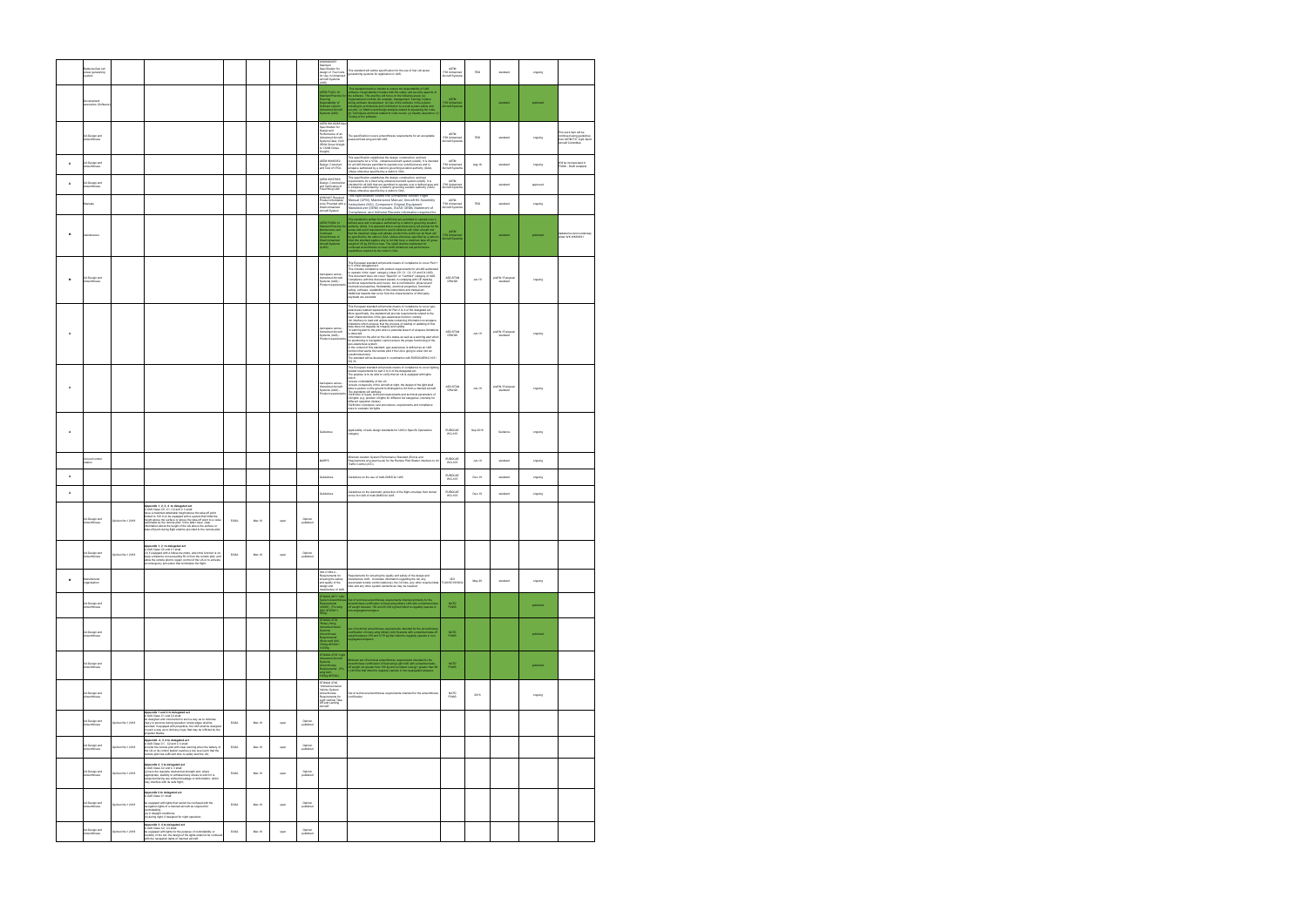|                | Batteries/fuel cell<br>oower generating<br>vystem   |                   |                                                                                                                                                                                                                                                                                                                                                                                                                                                                      |      |        |      |                      | WKWK60937<br>itandard<br>Ipecification for<br>pecimenon for<br>lesign of Fuel Cells<br>viccaft Systems<br>viccaft Systems                                                                                                                                                                                                                                                                                                                                              | This standard will outline specification for the use of fuel cell power<br>eneratinhg systems for application in UAS.                                                                                                                                                                                                                                                                                                                                                                                                                                                                                                                                                                                                                                                                                                                                                                                | ASTM<br>F38 Unmanned<br>Aircraft System | TBD        | standard                     | orgoing   |                                                                                              |
|----------------|-----------------------------------------------------|-------------------|----------------------------------------------------------------------------------------------------------------------------------------------------------------------------------------------------------------------------------------------------------------------------------------------------------------------------------------------------------------------------------------------------------------------------------------------------------------------|------|--------|------|----------------------|------------------------------------------------------------------------------------------------------------------------------------------------------------------------------------------------------------------------------------------------------------------------------------------------------------------------------------------------------------------------------------------------------------------------------------------------------------------------|------------------------------------------------------------------------------------------------------------------------------------------------------------------------------------------------------------------------------------------------------------------------------------------------------------------------------------------------------------------------------------------------------------------------------------------------------------------------------------------------------------------------------------------------------------------------------------------------------------------------------------------------------------------------------------------------------------------------------------------------------------------------------------------------------------------------------------------------------------------------------------------------------|-----------------------------------------|------------|------------------------------|-----------|----------------------------------------------------------------------------------------------|
|                | Development<br>assurance (Softwar                   |                   |                                                                                                                                                                                                                                                                                                                                                                                                                                                                      |      |        |      |                      | STM F3201-16<br>nsuring<br>ependability of<br>oftware Used in<br>manned Aircraft<br>/stems (UAS)                                                                                                                                                                                                                                                                                                                                                                       | The standard practice intends to ensure the dependential of Use<br>Similar and Contents in the product standard content of the special of<br>the polynomial control (for example, management, training in place<br>Dynamizational cont                                                                                                                                                                                                                                                                                                                                                                                                                                                                                                                                                                                                                                                               | ASTM<br>F38 Unmanner<br>Aircraft System |            | standard                     | published |                                                                                              |
|                | <b>UA Design and</b><br>Airworthiness               |                   |                                                                                                                                                                                                                                                                                                                                                                                                                                                                      |      |        |      |                      | ASTM WK16285 New<br>pecification for<br>bns rigisal<br>erformance of an<br>Jomanned Aircraft<br>wstern Class 1320<br>yasan Casa<br>550# Gross Weight<br>p 1320# Gross<br>Veight)                                                                                                                                                                                                                                                                                       | The specification covers airworthiness requirements for an acceptable<br>tred fixed wing aircraft UAS.                                                                                                                                                                                                                                                                                                                                                                                                                                                                                                                                                                                                                                                                                                                                                                                               | ASTM<br>F38 Unmanned<br>Aircraft System | <b>TBD</b> | standard                     | orgoing   | his work item will be<br>ontinued using guidelines<br>om ASTM F37 Light Sport<br>rcraft Comm |
| $\mathbf{D}$   | UA Design and<br>.<br>Invorthi                      |                   |                                                                                                                                                                                                                                                                                                                                                                                                                                                                      |      |        |      |                      | <b>ASTM WK60352</b><br>Design, Construct,<br>and Test of VTOL                                                                                                                                                                                                                                                                                                                                                                                                          | .<br>This specification establishes the design, construction, and test<br>requirements for a VTOL unmanned aircraft system (sUAS). It is intende<br>exponentions for a victor commensuration was exponentiated and a in<br>the all UAS that are permitted to operate over a defined area and in<br>airspace authorized by a nation's governing aviation authority (GAA).<br>Unless otherwis                                                                                                                                                                                                                                                                                                                                                                                                                                                                                                          | ASTM<br>F38 Unmanne                     | Aug-18     | standard                     | orgoing   | Will be incorporated in<br>F3298 - Draft complete                                            |
| $\mathbf{D}$   | UA Design and<br>Airworthiness                      |                   |                                                                                                                                                                                                                                                                                                                                                                                                                                                                      |      |        |      |                      | ASTM WK57659<br><b>Committee</b><br>Design, Construction<br>and Verification of<br>Fixed Wing UAS                                                                                                                                                                                                                                                                                                                                                                      | This specification establishes the design, construction, and test<br>requirements for a flood wing urmanned aircraft system (sUAS). It is<br>rinkinded for all UAS that are permitted to operate over a defined area as<br>in aircrace                                                                                                                                                                                                                                                                                                                                                                                                                                                                                                                                                                                                                                                               | ASTM<br>F38 Unmanned<br>Aircraft System |            | standard                     | approved  |                                                                                              |
|                | Manuals                                             |                   |                                                                                                                                                                                                                                                                                                                                                                                                                                                                      |      |        |      |                      | VK63407 Required<br>Product Information<br>b be Provided with<br>nall Unmanned<br>rcraft System                                                                                                                                                                                                                                                                                                                                                                        | his specification covers the Unmanned Aircraft Flight<br>Manual (UFM), Maintenance Manual, Aircraft Kit Assembly<br>structions (KAI), Component Original Equipment<br>Manufacturer (OEM) manuals, SUAS OEMs Statement of<br>pliance, and Airframe Records information required fo                                                                                                                                                                                                                                                                                                                                                                                                                                                                                                                                                                                                                    | ASTM<br>F38 Unmanned<br>Aircraft System | TBD        | standard                     | orgoing   |                                                                                              |
| $\mathbf{M}$   | naintenance                                         |                   |                                                                                                                                                                                                                                                                                                                                                                                                                                                                      |      |        |      |                      | STM F2909-14<br>Still Practice for<br>ainfenance and<br>entinued<br>mall Unmanned<br>mall Unmanned<br>straft Systems<br>LIAS)                                                                                                                                                                                                                                                                                                                                          | This standard is written for all stable that are permitted to operate over a<br>started press only airplace additionally a station's greening available profits and individual<br>authority (DAA). It is assumed that a visual dist                                                                                                                                                                                                                                                                                                                                                                                                                                                                                                                                                                                                                                                                  | ASTM<br>F38 Unmann<br>Aircraft Syste    |            | standard                     | published | Updated revision underway<br>.<br>hder WK WK63991                                            |
| M              | .<br>UA Design and<br>Airworthiness                 |                   |                                                                                                                                                                                                                                                                                                                                                                                                                                                                      |      |        |      |                      | erospace series<br>Inmanned Aircraft<br>ystems (UAS) -<br>roduct requiremer                                                                                                                                                                                                                                                                                                                                                                                            | This European standard will provide means of compliance to cover Part 1<br>This European standard will provide means of compliance to convert Part<br>1955: The designation of the product requirements for all UKS authorizes<br>The decorrent does not cover "Specific" or "Certification and UKS and<br>This d<br>wicads are excluded.                                                                                                                                                                                                                                                                                                                                                                                                                                                                                                                                                            | ASD-STAN<br>D5WG8                       | $Jun-19$   | preEN / Europear             | orgoing   |                                                                                              |
| A              |                                                     |                   |                                                                                                                                                                                                                                                                                                                                                                                                                                                                      |      |        |      |                      | prospace series<br>money hencem<br>ystems (UAS) -<br>roduct requirem                                                                                                                                                                                                                                                                                                                                                                                                   | This European standard will provide means of compliance to cover geo-<br>awareness related requirements for Part 2 to 4 of the delegated act.<br>More specifically, the standard will provide requirements related to the<br>main characteristics of the geo-awareness function, namely:<br>An interface to load and update data containing information on airspace<br>mitations which ensures that the process of loading or updating of this<br>interesting and degrade its integrity and validity.<br>Sata does not degrade its integrity and validity.<br>A warning alert to the pliot when a potential breach of airspace limitation.<br>-A wanting a<br>let of the procedure mean mean of the state and the state of the state<br>of defected to the prior on the UK's state as well as a warning allert when<br>the polynomial property of the state of the project functioni<br><b>SG 33</b> | ASD-STAN<br>D5WG8                       | $Jun-19$   | nreFN / Funnesen<br>standard | ongoing   |                                                                                              |
| A              |                                                     |                   |                                                                                                                                                                                                                                                                                                                                                                                                                                                                      |      |        |      |                      | rospace series<br>Inmanned Aircraft<br>stems (UAS)<br>roduct requirem                                                                                                                                                                                                                                                                                                                                                                                                  | This European standard will provide means of compliance to cover lighting<br>related requirements for part 2 to 4 of the delegated act.<br>The purpose is to be able to verify that an UA is equipped with lights<br>vhich<br>ensure controllability of the UA<br>-ensure controlability of the LiA<br>$\alpha$ -ensure controlability of the aircraft at right, the design of the light shall<br>althe anchorence of the aircraft of the simulation in U.S. (when a married attention<br>and the control                                                                                                                                                                                                                                                                                                                                                                                            | ASD-STAN<br>D5WG8                       | $Jun-19$   | preEN / European             | orgoing   |                                                                                              |
| A              |                                                     |                   |                                                                                                                                                                                                                                                                                                                                                                                                                                                                      |      |        |      |                      | <b>Juidelines</b>                                                                                                                                                                                                                                                                                                                                                                                                                                                      | Applicability of safe design standards for UAS in Specific Operations<br>ategory                                                                                                                                                                                                                                                                                                                                                                                                                                                                                                                                                                                                                                                                                                                                                                                                                     | EUROCAE<br>WG-105                       | Sep 2019   | Guidance                     | orgoing   |                                                                                              |
|                | Ground control<br>tation                            |                   |                                                                                                                                                                                                                                                                                                                                                                                                                                                                      |      |        |      |                      | MASPS                                                                                                                                                                                                                                                                                                                                                                                                                                                                  | Minimum Aviation System Performance Standard (End-to-end<br>Requirements at system level) for the Remote Pilot Station interface to A<br>Traffic Control (ATC).                                                                                                                                                                                                                                                                                                                                                                                                                                                                                                                                                                                                                                                                                                                                      | EUROCAE<br>WG-105                       | $Jun-19$   | standard                     | orgoing   |                                                                                              |
| A              |                                                     |                   |                                                                                                                                                                                                                                                                                                                                                                                                                                                                      |      |        |      |                      | luideline                                                                                                                                                                                                                                                                                                                                                                                                                                                              | Guidelines on the use of multi-GNSS for UAS                                                                                                                                                                                                                                                                                                                                                                                                                                                                                                                                                                                                                                                                                                                                                                                                                                                          | EUROCAE                                 | Dec-19     | standard                     | orgoing   |                                                                                              |
| $\overline{A}$ |                                                     |                   |                                                                                                                                                                                                                                                                                                                                                                                                                                                                      |      |        |      |                      | <b>Suidelines</b>                                                                                                                                                                                                                                                                                                                                                                                                                                                      | Suidelines on the Automatic protection of the flight envelope from human<br>rrors for UAS of multi-GNSS for UAS                                                                                                                                                                                                                                                                                                                                                                                                                                                                                                                                                                                                                                                                                                                                                                                      | EUROCAE<br>WG-105                       | Dec-19     | standard                     | orgoing   |                                                                                              |
|                | UA Design and                                       | Opinion No.1 2018 | Appendix 1, 2, 3, 4 to delegated act<br>LUAS Class CO. C1, C2 and C 3 shall:<br>ave a maximum attainable height above the take-off point<br>mited to 120 m or be equipped with a system that limits the<br>eight above the surface or above the take-off point to a value<br>electable by the remote nint: in the latter case, clear<br>formation about the height of the UA above the surface or<br>ake-off point during flight shall be provided to the remote pik | EASA | Mar-19 | open | Opinion<br>published |                                                                                                                                                                                                                                                                                                                                                                                                                                                                        |                                                                                                                                                                                                                                                                                                                                                                                                                                                                                                                                                                                                                                                                                                                                                                                                                                                                                                      |                                         |            |                              |           |                                                                                              |
|                | <b>UA Design and</b><br>Airworthiness               |                   | the hotspoloh of S. F vihnonul<br>"plements", a "so were greated and<br>3) If equipped with a follow-me mode, when this function is on,<br>3) If equipped with a follow-me mode, when this function is on,<br>usep a distance not exceeding 50 m from the remote plict, a<br>n emergency procedure that terminates the flight;                                                                                                                                       | EASA |        |      | Opinion<br>published |                                                                                                                                                                                                                                                                                                                                                                                                                                                                        |                                                                                                                                                                                                                                                                                                                                                                                                                                                                                                                                                                                                                                                                                                                                                                                                                                                                                                      |                                         |            |                              |           |                                                                                              |
| M              | Manufacturer<br>organisation                        |                   |                                                                                                                                                                                                                                                                                                                                                                                                                                                                      |      |        |      |                      | SO 21384-2-<br>equirements for<br>insuring the safety<br>ind quality of the<br>lesign and<br>nanufacture of UAS                                                                                                                                                                                                                                                                                                                                                        | Requirements for ensuring the quality and safety of the design and<br>manufacture UAS. It includes information regarding the UA, any<br>associated remote control station(s), the C2 links, any other required data<br>links and any ot                                                                                                                                                                                                                                                                                                                                                                                                                                                                                                                                                                                                                                                              | ISO<br>TC20/SC16/WG2                    | May-20     | standard                     | ongoing   |                                                                                              |
|                | <b>UA Design and</b><br><b>Nirworthiness</b>        |                   |                                                                                                                                                                                                                                                                                                                                                                                                                                                                      |      |        |      |                      | TANAG 4671 "LIA\<br>uirements<br>JSAR)". (Fix wing<br>AV, MTOW>1                                                                                                                                                                                                                                                                                                                                                                                                       | Set of technical alrworthiness requirements intended primarily for the<br>alrworthiness centification of florel-wing military UAS with a maximum take<br>of weight between 150 and 20,000 kg that intend to regularly operate in<br>ton                                                                                                                                                                                                                                                                                                                                                                                                                                                                                                                                                                                                                                                              | NATO<br>FINAS                           |            |                              | published |                                                                                              |
|                | <b>UA Design and</b><br>Airworthiness               |                   |                                                                                                                                                                                                                                                                                                                                                                                                                                                                      |      |        |      |                      | :TANAG 4702<br>Rotary Wing<br>Inmanned Aerial<br>lems<br>orthiness<br>quirements"<br>otorcraft LIAV,<br>OKg <mtow<< td=""><td>et of technical airworthiness requirements intended for the airworthines<br/>ertification of rotary-wing military UAV Systems with a maximum take-of<br/>veight between 150 and 3175 kg that intend to regularly operate in non-<br/>gregated airspace</td><td>NATO<br/>FINAS</td><td></td><td></td><td>published</td><td></td></mtow<<> | et of technical airworthiness requirements intended for the airworthines<br>ertification of rotary-wing military UAV Systems with a maximum take-of<br>veight between 150 and 3175 kg that intend to regularly operate in non-<br>gregated airspace                                                                                                                                                                                                                                                                                                                                                                                                                                                                                                                                                                                                                                                  | NATO<br>FINAS                           |            |                              | published |                                                                                              |
|                | <b>UA Design and</b><br>Airworthiness               |                   |                                                                                                                                                                                                                                                                                                                                                                                                                                                                      |      |        |      |                      | TANAG 4703 "Light<br>stems<br>worthiness<br>quirements", (Fix<br>ing LIAV,<br>SOKg <mtow).< td=""><td>emman sex or recrease an wommass requirements international or the<br/>involtings certification of food-wing Light UAS with a maximum take-<br/>iff weight not greater than 150 kg and an impact energy! greater than 6!<br/>I (49 ft-ib)</td><td>NATO<br/>FINAS</td><td></td><td></td><td>published</td><td></td></mtow).<>                                     | emman sex or recrease an wommass requirements international or the<br>involtings certification of food-wing Light UAS with a maximum take-<br>iff weight not greater than 150 kg and an impact energy! greater than 6!<br>I (49 ft-ib)                                                                                                                                                                                                                                                                                                                                                                                                                                                                                                                                                                                                                                                               | NATO<br>FINAS                           |            |                              | published |                                                                                              |
|                | <b>UA Design and</b><br>rworthiness                 |                   |                                                                                                                                                                                                                                                                                                                                                                                                                                                                      |      |        |      |                      | STANAG 4746<br>S Deveus 4746<br>"Urmanned Aerial<br>Vehicle System<br>Airworthiness<br>Requirements for<br>Off and Landing<br>Alland Landing<br>iteraft"                                                                                                                                                                                                                                                                                                               | Set of technical airworthiness requirements intended for the airworthine<br>ertification                                                                                                                                                                                                                                                                                                                                                                                                                                                                                                                                                                                                                                                                                                                                                                                                             | NATO<br>FINAS                           | 2018       |                              | orgoing   |                                                                                              |
|                | <b>UA Design and</b><br>Airworthiness               | Opinion No.1 2018 | Appendix 1 and 2 to delegated act<br>A UAS Class C1 and C2 shalt<br>be designed and constructed in such a way as to minimise<br>injury to persons during operation; sharp edges shall be<br>voided; if equipped with propellers, the UAS shall be designed<br>n such a way as to limit any injury that may be inflicted by the<br>opeller blades;                                                                                                                    | EASA | Mar-19 | open | Opinion<br>published |                                                                                                                                                                                                                                                                                                                                                                                                                                                                        |                                                                                                                                                                                                                                                                                                                                                                                                                                                                                                                                                                                                                                                                                                                                                                                                                                                                                                      |                                         |            |                              |           |                                                                                              |
|                | UA Design and<br>Airworthiness                      | Dpinion No.1 2018 | Appendix 2, 3, 4 to delegated act                                                                                                                                                                                                                                                                                                                                                                                                                                    | EASA | Mar-19 | oper | Opinion<br>published |                                                                                                                                                                                                                                                                                                                                                                                                                                                                        |                                                                                                                                                                                                                                                                                                                                                                                                                                                                                                                                                                                                                                                                                                                                                                                                                                                                                                      |                                         |            |                              |           |                                                                                              |
|                | <b>UA Design and</b><br><b>Minvorthi</b><br>.<br>SS | Opinion No.1 2018 | opendix 2, 3 to delegated act<br>.<br>A UAS Class C2 and C 3 shall:<br>[] have the requisite mechanical strength and, where<br>n mare un requiere interested any stress to which it is<br>ubjected during use without breakage or deformation, whi<br>nay interfere with its safe flight;<br>nay interfere with its safe flight;                                                                                                                                     | EASA | Mar-19 | open | Opinion<br>published |                                                                                                                                                                                                                                                                                                                                                                                                                                                                        |                                                                                                                                                                                                                                                                                                                                                                                                                                                                                                                                                                                                                                                                                                                                                                                                                                                                                                      |                                         |            |                              |           |                                                                                              |
|                | UA Design and<br>Airworthiness                      | pinion No.1 2018  | Appendix 2 to delegated act<br>A UAS Class C1 shall:<br>be equipped with lights that cannot be confused with the<br>navigation lights of a manned aircraft as required for<br>on<br>a) in daylight conditions;<br>b) during night, if designed for night operation;<br>(a) in daylight cr<br>Appendix 3, 4 to delegated act                                                                                                                                          | EASA | Mar-19 | open | Opinion<br>published |                                                                                                                                                                                                                                                                                                                                                                                                                                                                        |                                                                                                                                                                                                                                                                                                                                                                                                                                                                                                                                                                                                                                                                                                                                                                                                                                                                                                      |                                         |            |                              |           |                                                                                              |
|                | <b>UA Design and</b><br>invorthiness                | Ipinion No.1 2018 | A UAS Class C2, C3 shalt:<br>be equipped with lights for the purpose of controllability or<br>visibility of the UA; the design of the lights shall not be confus<br>with the navigation lights of manned aircraft;                                                                                                                                                                                                                                                   | EASA | Mar-19 | open | Opinion<br>published |                                                                                                                                                                                                                                                                                                                                                                                                                                                                        |                                                                                                                                                                                                                                                                                                                                                                                                                                                                                                                                                                                                                                                                                                                                                                                                                                                                                                      |                                         |            |                              |           |                                                                                              |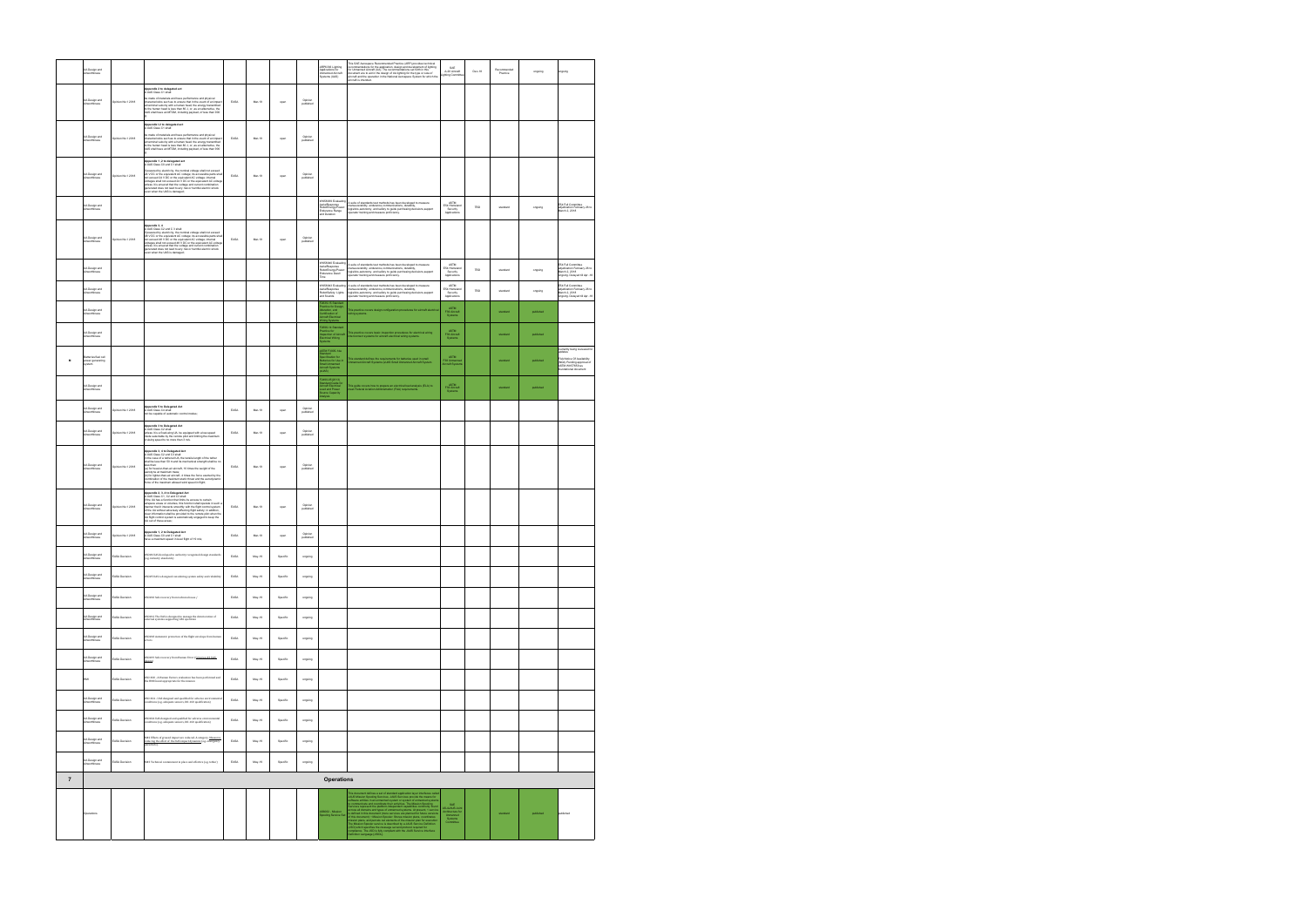|                | <b>UA Design and</b><br>nvorthiness                |                   |                                                                                                                                                                                                                                                                                                                                                                                                                                                                                                                                                                       |                              |          |          |                      | ARP6336 Lighting<br>Applications for<br>Unmanned Aircraft<br>Systems (UAS)                   | This SAE Aerospace Recommended Practice (ARP) provides technical<br>recommendations for the application, design and development of lighting<br>for Ummaned Aircraft (UA). The recommendations set forth in this<br>document are to ald                  | SAE<br>A-20 Aircraft<br>Jghting Committe                                                                                                    | $Dec-18$ | Recommended<br>Practice | ongoing   | ngoing                                                                                                                                        |
|----------------|----------------------------------------------------|-------------------|-----------------------------------------------------------------------------------------------------------------------------------------------------------------------------------------------------------------------------------------------------------------------------------------------------------------------------------------------------------------------------------------------------------------------------------------------------------------------------------------------------------------------------------------------------------------------|------------------------------|----------|----------|----------------------|----------------------------------------------------------------------------------------------|---------------------------------------------------------------------------------------------------------------------------------------------------------------------------------------------------------------------------------------------------------|---------------------------------------------------------------------------------------------------------------------------------------------|----------|-------------------------|-----------|-----------------------------------------------------------------------------------------------------------------------------------------------|
|                | <b>UA Design and</b><br><i><b>Unvorthiness</b></i> | Opinion No.1 2018 | <b>Appendix 2 to delegated act</b><br>A UAS Class C1 shall:<br>be made of materials and have performance and physical<br>characterístics such as to ensure that in the event of an impact<br>at terminal velocity with a human head, the energy transmitted<br>to the human head is less than 80 J, or, as an alternative, the<br>UAS shall have an MTOM, includ                                                                                                                                                                                                      | EASA                         | Mar-19   | open     | Opinion<br>published |                                                                                              |                                                                                                                                                                                                                                                         |                                                                                                                                             |          |                         |           |                                                                                                                                               |
|                | <b>UA Design and</b>                               | Joinion No.1 2018 | Appendix I.2 to delegated act<br>A UAS Class C1 shall:<br>be made of materials and have performance and physical<br>Se move on measurements for the presentation of the event of an impact<br>characteristics such as to ensure that in the event of an impact<br>at terminal velocity with a human head, the energy transmitted to<br>the human head is l                                                                                                                                                                                                            | EASA                         | Mar-19   | open     | Opinion<br>published |                                                                                              |                                                                                                                                                                                                                                                         |                                                                                                                                             |          |                         |           |                                                                                                                                               |
|                | <b>UA Design and</b><br>Airworthiness              | Opinion No.1 2018 | Appendix 1,2 to delegated act<br>A UAS Class C0 and C1 shall:<br>If powered by electricity, the nominal voltage shall not exceed<br>24 V DC or the equivalent AC voltage; its accessible parts shall<br>not exceed 24 V DC or the equivalent AC voltage; internal<br>voltages shall not exceed 24 V DC or the equivalent AC voltag<br>ottages shall not exceed a we use or use experiments we see<br>interest it is ensured that the voltage and current combination<br>generated does not lead to any risk or hammld electric shock<br>even when the UAS is damaged; | EASA                         | Mar-19   | open     | Opinion<br>published |                                                                                              |                                                                                                                                                                                                                                                         |                                                                                                                                             |          |                         |           |                                                                                                                                               |
|                | <b>UA Design and</b><br>Airworthiness              |                   |                                                                                                                                                                                                                                                                                                                                                                                                                                                                                                                                                                       |                              |          |          |                      | VK58939 Evaluating<br>AerialResponse<br>RobotEnergy/Power:<br>Endurance Range<br>nd Duration | A suite of standards test methods has been developed to measure<br>nanueverability, endurance.communications, durability,<br>logisitics,autonomy, and safety to guide purchasing decisions,support<br>sperator training and measure proficiency.        | <b>ASTM</b><br>E54 Homeland<br>Security<br>Applications                                                                                     | TBD      | standard                | orgoing   | FS4 Full Committee<br>adjudication February 26 to<br>March 2, 2018                                                                            |
|                | UA Design and<br>Airworthiness                     | Joinion No.1 2018 | Appendix 3, 4<br>A UAS Class C2 and C 3 shall:<br>A Use Classi C2 and C is structured voltage shall not exceed as your control of the structure of the structure of the structure of the structure of the structure of the structure of the structure of the structure of the s                                                                                                                                                                                                                                                                                       | EASA                         | Mar-19   | open     | Opinion<br>published |                                                                                              |                                                                                                                                                                                                                                                         |                                                                                                                                             |          |                         |           |                                                                                                                                               |
|                | <b>UA Design and</b><br><i><b>Unvorthiness</b></i> |                   |                                                                                                                                                                                                                                                                                                                                                                                                                                                                                                                                                                       |                              |          |          |                      | rK58940 Evaluatin<br>erialResponse<br>obotEnergy/Power<br>ndurance Dwell<br>me               | A suite of standards test methods has been developed to measure<br>manueverability, endurance,communications, durability,<br>ogisitics,autonomy, and safety to guide purchasing decisions,support<br>erator training and measure proficiency.           | ASTM<br>E54 Homeland<br>Security<br>Applications                                                                                            | TBD      | standard                | orgoing   | E54 Full Committee<br>adjudication February 26 to<br>March 2, 2018<br>ongoing. Delayed till Apr -18                                           |
|                | <b>UA Design and</b><br>nvorthiness                |                   |                                                                                                                                                                                                                                                                                                                                                                                                                                                                                                                                                                       |                              |          |          |                      | VK58943 Evaluati<br>ialResponse<br>totSafety: Lights<br>d Sounds                             | suite of standards test methods has been developed to measure<br>manueverability, endurance communications, durations our measure<br>registios,autonomy, and safety to guide purchasing decisions,support<br>sperator training and measure proficiency. | ASTM<br>E54 Homeland<br>Security<br>Applications                                                                                            | TBD      | standard                | ongoing   | E54 Full Committee<br>ED41 to Common<br>adjudication February 26 to<br>March 2, 2018<br>ongoing. Delayed till Apr -18                         |
|                | <b>UA Design and</b><br>ürworthiness               |                   |                                                                                                                                                                                                                                                                                                                                                                                                                                                                                                                                                                       |                              |          |          |                      | 1939-15 Standa<br>Sciice for Desi<br>Station, and<br>Scraft Electrical<br>Craft Electrical   | .<br>This practice covers design configuration procedures for aircraft electrical                                                                                                                                                                       | ASTM<br>F39 Arcraft                                                                                                                         |          | standard                | published |                                                                                                                                               |
|                | <b>UA Design and</b><br><b>Ninvorthiness</b>       |                   |                                                                                                                                                                                                                                                                                                                                                                                                                                                                                                                                                                       |                              |          |          |                      | 2696-14 Standard<br>ctice for<br>ection of Aircraft<br>:trical Wiring                        | .<br>This practice covers basic inspection procedures for electrical wiring<br>nterconnect systems for aircraft electrical wiring systems.                                                                                                              | <b>ASTM</b><br>F39 Aircraft<br>Systems                                                                                                      |          | standard                | published |                                                                                                                                               |
| $\mathbf{M}$   | atteries/fuel cell<br>ower generating<br>ystem     |                   |                                                                                                                                                                                                                                                                                                                                                                                                                                                                                                                                                                       |                              |          |          |                      | STM F3005-14a<br>dion fo<br>ries for Use in<br>all Unmanned<br>craft Systems                 | .<br>This standard defines the requirements for batteries used in small<br>Inmanned Aircraft Systems (sUAS Small Unmanned Aircraft System                                                                                                               | ASTM<br>F38 Unmanne<br>Aircraft System                                                                                                      |          | standard                | published | Currently being reviewed for<br>odates<br>FAA Notice Of Availability<br>(NOA) Pending approval of<br>ASTM WK57659 as<br>foundational document |
|                | <b>UA Design and</b><br>nvorthiness                |                   |                                                                                                                                                                                                                                                                                                                                                                                                                                                                                                                                                                       |                              |          |          |                      | 2490-05(2013)<br>tandard Guide for<br>iscraft Electrical<br>pad and Power<br>roe Capacity    | his guide covers how to prepare an electrical load analysis (ELA) to<br>reet Federal Aviation Administration (FAA) requirements.                                                                                                                        | ASTM<br>F39 Aircraft<br>Systems                                                                                                             |          | standard                | published |                                                                                                                                               |
|                | UA Design and<br>Airworthiness                     | pinion No.1 2018  | Appendix 5 to Delegated Act<br>UAS Class C4 shall:<br>ot be capable of automatic control modes;                                                                                                                                                                                                                                                                                                                                                                                                                                                                       | EASA                         | Mar-19   | oper     | Opinion<br>published |                                                                                              |                                                                                                                                                                                                                                                         |                                                                                                                                             |          |                         |           |                                                                                                                                               |
|                | <b>UA Design and</b><br>Airworthiness              | Joinion No.1 2018 | Appendix 3 to Delegated Act<br>A UAS Class C2 shall:                                                                                                                                                                                                                                                                                                                                                                                                                                                                                                                  | EASA                         | Mar-19   | open     | Opinion<br>published |                                                                                              |                                                                                                                                                                                                                                                         |                                                                                                                                             |          |                         |           |                                                                                                                                               |
|                | <b>UA Design and</b>                               | pinion No.1 2018  | Appendix 3, 4 to Delegated Act<br>sperman o, was been garen was.<br>I UAS Class C2 and C3 shall:<br>hall be less than 50 m and its mechanical strength shall be no<br>hall be less than 50 m and its mechanical strength shall be no<br>less than:<br>(a) for heavier-than-air aircraft, 10 times the weight of the<br>aerodyne at maximum mass;<br>(b) for lighter-than-air aircraft, 4 times the force exerted by the<br>ation of the maximum static thrust and the aerodynami<br>midmo<br>rce of the maximum allowed wind speed in flight;                         | EASA                         | Mar-19   | open     | Opinion<br>published |                                                                                              |                                                                                                                                                                                                                                                         |                                                                                                                                             |          |                         |           |                                                                                                                                               |
|                | <b>UA Design and</b><br><i><b>Unverthingss</b></i> | Opinion No.1 2018 | Appendix 2, 3, 4 to Delegated Act<br>A UAS Class C1, C2 and C3 shall:<br>If the UA has a function that limits its access to certain<br>airspace areas or volumes, this function shall operate in such a<br>manner that it interacts smoothly with the flight control system<br>of the UA without adversely affecting flight safety, in addition,<br>clear information shall be provided to the remote plot when the<br>clear information shall be provided to the remote plot when the<br>UA out of these areas;                                                      | EASA                         | Mar-19   | open     | Opinion<br>published |                                                                                              |                                                                                                                                                                                                                                                         |                                                                                                                                             |          |                         |           |                                                                                                                                               |
|                | .<br>UA Design and<br>Airworthiness                | pinion No.1 2018  | lppendix 1, 2 to Delegated Act<br>LUAS Class C0 and C1 shall:<br>lave a maximum speed in level flight of 19 mls;                                                                                                                                                                                                                                                                                                                                                                                                                                                      | EASA                         | Mar-19   | open     | Opinion<br>published |                                                                                              |                                                                                                                                                                                                                                                         |                                                                                                                                             |          |                         |           |                                                                                                                                               |
|                | <b>UA Design and</b><br>Airworthiness              | EASA Decision     | $0\mathrm{SO44}$ UAS developed to authority recognized design standards (e.g. industry standards)                                                                                                                                                                                                                                                                                                                                                                                                                                                                     | EASA                         | May-19   | Specific | ongoing              |                                                                                              |                                                                                                                                                                                                                                                         |                                                                                                                                             |          |                         |           |                                                                                                                                               |
|                | UA Design and<br>Airworthiness                     | EASA Decision     | 0S045 UAS is designed considering system safety and reliability                                                                                                                                                                                                                                                                                                                                                                                                                                                                                                       | EASA                         | $May-19$ | Specific | ongoing              |                                                                                              |                                                                                                                                                                                                                                                         |                                                                                                                                             |          |                         |           |                                                                                                                                               |
|                | <b>UA Design and</b><br>Airworthiness              | EASA Decision     | OSO#10 Safe recovery from technical issue /                                                                                                                                                                                                                                                                                                                                                                                                                                                                                                                           | EASA                         | May-19   | Specific | ongoing              |                                                                                              |                                                                                                                                                                                                                                                         |                                                                                                                                             |          |                         |           |                                                                                                                                               |
|                | UA Design and<br>Airworthiness                     | EASA Decision     | $0\mathrm{SO}\#12$ The UAS is designed to manage the deterioration of external systems supporting UAS operation                                                                                                                                                                                                                                                                                                                                                                                                                                                       | EASA                         | $May-19$ | Specific | ongoing              |                                                                                              |                                                                                                                                                                                                                                                         |                                                                                                                                             |          |                         |           |                                                                                                                                               |
|                | <b>UA Design and</b><br>Airworthiness              | EASA Decision     | OSO#18 Automatic protection of the flight envelope from human<br>rrors                                                                                                                                                                                                                                                                                                                                                                                                                                                                                                | EASA                         | May-19   | Specific | ongoing              |                                                                                              |                                                                                                                                                                                                                                                         |                                                                                                                                             |          |                         |           |                                                                                                                                               |
|                | .<br>UA Design and<br>Airworthiness                | EASA Decision     | 050#19 Safe recovery from Human Error (Criterion #3 UAS<br>iim)                                                                                                                                                                                                                                                                                                                                                                                                                                                                                                       | EASA                         | $May-19$ | Specific | ongoing              |                                                                                              |                                                                                                                                                                                                                                                         |                                                                                                                                             |          |                         |           |                                                                                                                                               |
|                | HMI                                                | EASA Decision     | 0S0 #20 - A Human Factors evaluation has been performed and<br>the HMI found appropriate for the mission                                                                                                                                                                                                                                                                                                                                                                                                                                                              | EASA                         | May-19   | Specific | ongoing              |                                                                                              |                                                                                                                                                                                                                                                         |                                                                                                                                             |          |                         |           |                                                                                                                                               |
|                | <b>UA Design and</b><br>Airworthiness              | EASA Decision     | $050\text{ }\#24\text{ } \text{-} \text{ }UAS\text{ designed and qualified for adverse environment}$ conditions (e.g. adequate sensors, $D0\text{-}160$ qualification)                                                                                                                                                                                                                                                                                                                                                                                                | EASA                         | $May-19$ | Specific | ongoing              |                                                                                              |                                                                                                                                                                                                                                                         |                                                                                                                                             |          |                         |           |                                                                                                                                               |
|                | <b>UA Design and</b><br><b>Airworthiness</b>       | EASA Decision     | 050#24 UAS designed and qualified for adverse environmental<br>conditions (e.g. adequate sensors, DO-160 qualification)                                                                                                                                                                                                                                                                                                                                                                                                                                               | EASA                         | May-19   | Specific | ongoing              |                                                                                              |                                                                                                                                                                                                                                                         |                                                                                                                                             |          |                         |           |                                                                                                                                               |
|                | <b>UA Design and</b><br><i>invorthiness</i>        | EASA Decision     | $\texttt{MA2}$ Effects of ground impact are reduced. A category. <u>Measures</u> reducing the effect of the UAS impact dynamics (e.g. emergency parachute).                                                                                                                                                                                                                                                                                                                                                                                                           | $\ensuremath{\mathsf{EASA}}$ | $May-19$ | Specific | ongoing              |                                                                                              |                                                                                                                                                                                                                                                         |                                                                                                                                             |          |                         |           |                                                                                                                                               |
|                | <b>UA Design and</b><br><b>Airworthiness</b>       | EASA Decision     | M#3 Technical containment in place and effective (e.g. tether)                                                                                                                                                                                                                                                                                                                                                                                                                                                                                                        | EASA                         | May-19   | Specific | ongoing              |                                                                                              |                                                                                                                                                                                                                                                         |                                                                                                                                             |          |                         |           |                                                                                                                                               |
| $\overline{7}$ |                                                    |                   |                                                                                                                                                                                                                                                                                                                                                                                                                                                                                                                                                                       |                              |          |          |                      | <b>Operations</b>                                                                            |                                                                                                                                                                                                                                                         |                                                                                                                                             |          |                         |           |                                                                                                                                               |
|                | Operations                                         |                   |                                                                                                                                                                                                                                                                                                                                                                                                                                                                                                                                                                       |                              |          |          |                      | 56062 - Mission<br>pooling Service Se                                                        | The decrease of the space and controlled particles are related to the controlled particle and the space of the space of the space of the space of the space of the space of the space of the space of the space of the space                            | $\begin{array}{r} \text{SAE} \\ \text{AS-4.JALIS Join} \\ \text{Architecture for Ummerned} \\ \text{System} \\ \text{Commitie} \end{array}$ |          | standard                | published | published                                                                                                                                     |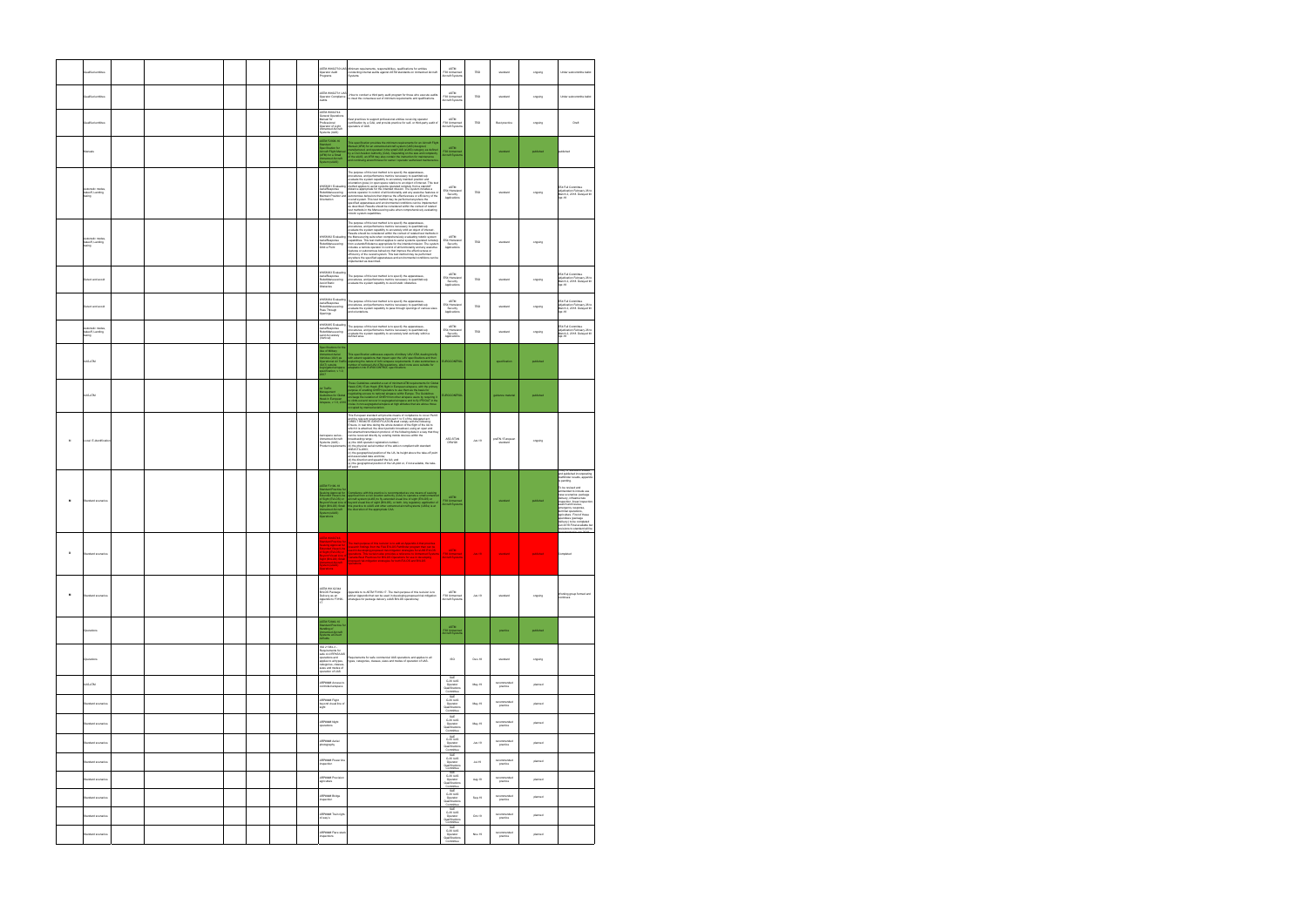|                | ualfied entities                                     |  |  |  |                                                                                                                                                                                                               | ASTM WK62730 UAS Minimum requirements, responsibilities, qualifications for entities<br>Operator Audit conducting internal audits against ASTM standards on Unmanned Aircraft<br>Programs Systems                                                                                                                                                                                                                                                                                                                                                                                                                                                                                                                              | ASTM<br>F38 Unmanned<br>Aircraft Systems                                                                                      | TBD                | standard                                          | ongoing            | Under subcommitte ballot                                                                                                                                                                                                                                                                                                                                                                                                         |
|----------------|------------------------------------------------------|--|--|--|---------------------------------------------------------------------------------------------------------------------------------------------------------------------------------------------------------------|--------------------------------------------------------------------------------------------------------------------------------------------------------------------------------------------------------------------------------------------------------------------------------------------------------------------------------------------------------------------------------------------------------------------------------------------------------------------------------------------------------------------------------------------------------------------------------------------------------------------------------------------------------------------------------------------------------------------------------|-------------------------------------------------------------------------------------------------------------------------------|--------------------|---------------------------------------------------|--------------------|----------------------------------------------------------------------------------------------------------------------------------------------------------------------------------------------------------------------------------------------------------------------------------------------------------------------------------------------------------------------------------------------------------------------------------|
|                | jualified entitites                                  |  |  |  | ASTM WK62731 LIAS<br>Operator Compliance<br>Audits                                                                                                                                                            | -How to conduct a third party audit program for those who execute audits<br>to meet the consensus set of minimum requirements and qualifications.                                                                                                                                                                                                                                                                                                                                                                                                                                                                                                                                                                              | ASTM<br>F38 Unmanned<br>Aircraft Systems                                                                                      | TBD                | standard                                          | ongoing            | Under subcommitte ballot                                                                                                                                                                                                                                                                                                                                                                                                         |
|                | Qualified entitites                                  |  |  |  | ASTM WK62744<br>General Operations<br>Manual for<br>Professional<br>Doerator of Light<br><b>Inmanned Aircraft</b><br>iystems (UAS)                                                                            | Best practices to support professional entities receiving operator<br>certification by a CAA, and provide practice for self- or third-party audit o<br>operators of UAS.                                                                                                                                                                                                                                                                                                                                                                                                                                                                                                                                                       | <b>ASTM</b><br>F38 Unmanned<br>Aircraft System                                                                                | TBD                | Best practice                                     | orgoing            | Draft                                                                                                                                                                                                                                                                                                                                                                                                                            |
|                |                                                      |  |  |  | STM F2908-16<br>ecification for<br>craft Flight Manu<br>FM) for a Small<br>manned Aircraft<br>Istem (sLIAS)                                                                                                   | This specification provides the minimum requirements for an Aircraft Fight<br>Manual (AFM) for an urunarned aircraft system (UAS) designed,<br>manufactured, and operated in the small UAS (sUAS) cetegory as defined<br>by a Civil Avi                                                                                                                                                                                                                                                                                                                                                                                                                                                                                        | ASTM<br>F38 Unmann<br>Aircraft Syste                                                                                          |                    | standard                                          | published          | sublished                                                                                                                                                                                                                                                                                                                                                                                                                        |
|                | <i>formatic</i> modes<br>takeoff, Landing,<br>taxing |  |  |  | VK58931 Evaluating<br>lerialResponse<br>RobotManeuvering<br>Maintain Position and<br>Drientation                                                                                                              | The purpose of this test method is to specify the apparatuses,<br>procedures, and performance metrics recossary to quantitatively groups<br>to approximate the system capability to accurately maintain position and<br>crimitation (p<br>remote operator in control of all functionality and any assistive features o<br>autonomous behaviors that improve the effectiveness or efficiency of the overall system. This test method may be performed anywhere the<br>specified apparatuses and environmental conditions can be implemented<br>as described. Results should be considered within the context of related<br>test methods in the Maneuvering suite when comprehensively evaluating<br>obotic system capabilities. | ASTM<br>E54 Homeland<br>Security<br>Applications                                                                              | TBD                | standard                                          | orgoing            | E54 Full Committee<br>adjudication February 26 to<br>March 2, 2018. Delayed till<br>Apr-18                                                                                                                                                                                                                                                                                                                                       |
|                | akeoff, Landing.<br>pnixat                           |  |  |  | VK58932 Evaluating<br>erialResponse<br>RobotManeuvering<br>Orbit a Point                                                                                                                                      | The purpose of this test method is to specify the apparatuses,<br>$\rho$ procedures, and performance metrics recossary to quantitatively experimentally<br>evaluate the system capability to accurately orbit an object of interest.<br><br>from a standoff distance appropriate for the intended mission. The syster<br>includes a remote operator in control of all functionality and any assistive<br>features or autonomous behaviors that improve the effectiveness or<br>efficiency of the overall system. This test method may be performed<br>anywhere the specified apparatuses and environmental conditions can b<br>molemented as described.                                                                        | ASTM<br>E54 Homeland<br>Security<br>Applications                                                                              | TBD                | standard                                          | ongoing            |                                                                                                                                                                                                                                                                                                                                                                                                                                  |
|                | Detect and avoid                                     |  |  |  | WK58933 Evaluatin<br>WKoowaa ---------<br>AerialResponse<br>RobotManeuvering<br>wold Statio<br>Obstacles                                                                                                      | The purpose of this test method is to specify the apparatuses,<br>procedures, and performance metrics necessary to quantitatively<br>evaluate the system capability to avoid static obstacles.                                                                                                                                                                                                                                                                                                                                                                                                                                                                                                                                 | ASTM<br>E54 Homeland<br>Security<br>Applications                                                                              | TBD                | standard                                          | ongoing            | E54 Full Committee<br>adjudication February 26 to<br>March 2, 2018. Delayed till<br>Apr-18                                                                                                                                                                                                                                                                                                                                       |
|                | Detect and avoid                                     |  |  |  | WK58934 Evaluatin<br>rialResponse<br>RobotManeuvering<br>Pass Through<br>Openings                                                                                                                             | The purpose of this test method is to specify the apparatuses,<br>procedures, and performance metrics necessary to quantitatively<br>evaluate the system capability to pass through openings of various sizes<br>and orientations.                                                                                                                                                                                                                                                                                                                                                                                                                                                                                             | ASTM<br>E54 Homeland<br>Security<br>Applications                                                                              | TBD                | standard                                          | ongoing            | E54 Full Committee<br>adjudication February 26 to<br>March 2, 2018. Delayed till<br>Apr-18                                                                                                                                                                                                                                                                                                                                       |
|                | Automatic modes<br>takeoff, Landing,<br>taxing       |  |  |  | WK58935 Evaluating<br>AerialResponse<br>RobotManeuvering<br>and Accurately<br>Vertical)                                                                                                                       | The purpose of this test method is to specify the apparatuses,<br>procedures, and performance metrics necessary to quantitatively<br>evaluate the system capability to accurately land vertically within a<br>lefined area.                                                                                                                                                                                                                                                                                                                                                                                                                                                                                                    | ASTM<br>E54 Homeland<br>Security<br>Applications                                                                              | TBD                | standard                                          | orgoing            | E54 Full Committee<br>adjudication February 26 to<br>March 2, 2018. Delayed till<br>Apr-18                                                                                                                                                                                                                                                                                                                                       |
|                | UAS-ATM                                              |  |  |  | fications for th<br>se of Military<br>Inmanned Aerial<br>Iehicles (UAV) as<br>perational Air Traffic<br>DAT) outside<br>sgregated airspace<br>secification, v 1.0,                                            | This specification addresses aspects of military LAV ATM, dealing briefly<br>with extant regulations that impact upon the LAV specifications and then<br>explaining the nature of LAV aimpace requirements. It also summarises<br>numbe                                                                                                                                                                                                                                                                                                                                                                                                                                                                                        | <b>EUROCONTROL</b>                                                                                                            |                    | specification                                     | published          |                                                                                                                                                                                                                                                                                                                                                                                                                                  |
|                | <b>UAS-ATM</b>                                       |  |  |  | ir Traffic<br>anagement<br>Jidelines for Globa<br>awk in European<br>irspace, v 1.0, 2010                                                                                                                     | These Guidelines establish a set of minimum ATM requirements for Global proposes and the process control of the primary and process and the process control process proposes and an appropriate process and the process propo                                                                                                                                                                                                                                                                                                                                                                                                                                                                                                  | <b>EUROCONTROL</b>                                                                                                            |                    | guidance material                                 | published          |                                                                                                                                                                                                                                                                                                                                                                                                                                  |
| $\overline{M}$ | ocal E-identificatio                                 |  |  |  | <b>Jonanned Aircraft</b><br>Systems (LIAS) -<br>Product requireme                                                                                                                                             | This European standard will provide means of compliance to cover Part 6<br>and the relevant requirements from part 1 to 5 of the delegated act.<br>and the relevant model method for the first of the dislogated and<br>$\sim$ Defence in the control of the control of the control of the control of<br>Defence in the control of the control of the control of the control of<br>Andre an<br>ANSINGTA-2015)<br>(c) the geographical position of the UA, its height above the take-off point<br>and associated date and time;<br>(d) the direction and speedof the UA; and<br>(e) the geographical position of the UA pilot or, if not available, the take-off point                                                          | ASD-STAN<br>D5WG8                                                                                                             | Jun.19             | preEN / European<br>standard                      | ongoing            | of standard rev                                                                                                                                                                                                                                                                                                                                                                                                                  |
|                | Standard scenarios                                   |  |  |  | ASTM F3196-18<br>As IM F318-18<br>Standard Practice for<br>Seeking Approval for<br>Extended Visual Line<br>Assyond Visual Line of<br>Bight (BVLOS) Small<br>Unmanned Aircraft<br>System (sULAS)<br>Prace/form | mpliance with this practice is recommended as one means of seeking<br>-uniquence With the procede is recoffiteriable as one means of seeking<br>approval from a civil aviation authority (CAA) to operate a small unmanner<br>aircart system (cIAAS) to fly extended visual line of sight (EMLOS) or<br>beyon                                                                                                                                                                                                                                                                                                                                                                                                                  | <b>ASTM</b><br>F38 Unmanner<br>Nircraft System                                                                                |                    | standard                                          | published          | nd published incorporating<br>Jathfinder results, appendix<br>s pending.<br>To be revised and<br>ammended to include use<br>sase scenarios: package<br>felivery infrastructure<br>nspection, linear inspectic<br>search and rescue,<br>emergency response,<br>terminal operations,<br>agriculture. First of these<br>pendixes (package<br>elivery) to be completed<br>Jun 2018.Final available bu<br>visions to standard will be |
|                |                                                      |  |  |  | TM WK60746<br>dard Practice fo<br>iking Approval for<br>Inded Visual Line                                                                                                                                     | .<br>The main purpose of this revision is to add an Appendix A that provides<br>research findings from the FAA EV1.05 Pathfinder program than can be<br>used in developing proposed risk mitigation strategies for sUAS EV1.05<br>ision also provides a reference to Unmarried Syste<br>paradia Best Practices for BVLOS Operations for use in developing<br>reposed risk mitigation strategies for both EVLOS and BVLOS                                                                                                                                                                                                                                                                                                       | <b>ASTM</b>                                                                                                                   |                    |                                                   |                    |                                                                                                                                                                                                                                                                                                                                                                                                                                  |
| $\mathbf{M}$   | Standard scenarios                                   |  |  |  | ASTM WK 62344<br>BVLOS Package<br>Delivery as an<br>Appendix to F3196-<br>17                                                                                                                                  | endix to to ASTM F3196-17. The main purpose of this revision is to<br>add an Appendix that can be used in developing proposed risk mitigation<br>strategies for package delivery sLIAS BVLOS operationsy                                                                                                                                                                                                                                                                                                                                                                                                                                                                                                                       | <b>ASTM</b><br>F38 Unmanned<br>Aircraft Systems                                                                               | Jun.19             | standard                                          | ongoing            | Working group formed and<br>continues                                                                                                                                                                                                                                                                                                                                                                                            |
|                | Operations                                           |  |  |  | STM F2849-10<br>nding of<br>nding of<br>stems at Divert<br>dields                                                                                                                                             |                                                                                                                                                                                                                                                                                                                                                                                                                                                                                                                                                                                                                                                                                                                                | ASTM<br>F38 Unmanne<br>Aircraft System                                                                                        |                    | practice                                          | published          |                                                                                                                                                                                                                                                                                                                                                                                                                                  |
|                | Operation                                            |  |  |  | ISO 21384-3 -<br>ments for<br>safe civil RPAS/UAS<br>operations and<br>applies to all types,<br>categories, classes,<br>sizes and modes of<br>operation of UAS                                                | Requirements for safe commercial UAS operations and applies to all<br>types, categories, classes, sizes and modes of operation of UAS.                                                                                                                                                                                                                                                                                                                                                                                                                                                                                                                                                                                         | $_{\rm ISO}$                                                                                                                  | $Dec-18$           | standard                                          | ongoing            |                                                                                                                                                                                                                                                                                                                                                                                                                                  |
|                | <b>UAS-ATM</b>                                       |  |  |  | ARP#### Access to<br>controlled airspace                                                                                                                                                                      |                                                                                                                                                                                                                                                                                                                                                                                                                                                                                                                                                                                                                                                                                                                                | SAE<br>G-30 UAS<br>Operator<br>Qualifications<br>Committee<br>SAE                                                             | May-19             | recommended<br>practice                           | planned            |                                                                                                                                                                                                                                                                                                                                                                                                                                  |
|                | <b>Standard scenarios</b>                            |  |  |  | ARP#### Flight                                                                                                                                                                                                |                                                                                                                                                                                                                                                                                                                                                                                                                                                                                                                                                                                                                                                                                                                                | G-30 UAS<br>Operator<br>Qualifications<br>Committee<br>SAE                                                                    | May-19             | recommended<br>practice                           | planned            |                                                                                                                                                                                                                                                                                                                                                                                                                                  |
|                | Standard scenario                                    |  |  |  | RP#### Nght<br>perations                                                                                                                                                                                      |                                                                                                                                                                                                                                                                                                                                                                                                                                                                                                                                                                                                                                                                                                                                | G-30 UAS<br>Operator<br>Qualificatio<br>Committee<br>SAE<br>G-30 UAS                                                          | May-19             | recommended<br>practice                           | planned            |                                                                                                                                                                                                                                                                                                                                                                                                                                  |
|                | Standard scenarios                                   |  |  |  | ARP#### Aerial<br>photography                                                                                                                                                                                 |                                                                                                                                                                                                                                                                                                                                                                                                                                                                                                                                                                                                                                                                                                                                | Operator<br>Qualification<br>Committee                                                                                        | Jun.19             | recommended<br>practice                           | planned            |                                                                                                                                                                                                                                                                                                                                                                                                                                  |
|                | tandard scenarios                                    |  |  |  | ARP#### Power line<br>spection                                                                                                                                                                                |                                                                                                                                                                                                                                                                                                                                                                                                                                                                                                                                                                                                                                                                                                                                | SAE<br>G-30 UAS<br>Operator<br>Qualifications<br>Committee<br>SAE                                                             | $Jd-19$            | ecommended<br>practice                            | planned            |                                                                                                                                                                                                                                                                                                                                                                                                                                  |
|                | Standard scenarios                                   |  |  |  | RP#### Precision<br>griculture                                                                                                                                                                                |                                                                                                                                                                                                                                                                                                                                                                                                                                                                                                                                                                                                                                                                                                                                | G-30 UAS<br>Operator<br>Qualification<br>Committee<br>SAE                                                                     | Aug-19             | recommended<br>practice                           | planned            |                                                                                                                                                                                                                                                                                                                                                                                                                                  |
|                | andard scenarios                                     |  |  |  | ARP#### Bridge<br>ispection<br><b>ARP#### Train right</b>                                                                                                                                                     |                                                                                                                                                                                                                                                                                                                                                                                                                                                                                                                                                                                                                                                                                                                                | G-30 UAS<br>Operator<br>Qualification<br>Committee<br>SAE<br>G-30 UAS                                                         | Sep-19             | recommended<br>$\operatorname{practive}$          | planned            |                                                                                                                                                                                                                                                                                                                                                                                                                                  |
|                | Standard scenarios<br>Standard scenarios             |  |  |  | st-way's<br>RP#### Flare stack<br>spections                                                                                                                                                                   |                                                                                                                                                                                                                                                                                                                                                                                                                                                                                                                                                                                                                                                                                                                                | Operator<br>Qualification<br>$\frac{\mathsf{SAE}}{\mathsf{G}\text{-}\mathsf{30}\,\mathsf{UAS}}$<br>Operator<br>Qualifications | $Oct-19$<br>Nov-19 | recommended<br>practice<br>ecommended<br>practice | planned<br>planned |                                                                                                                                                                                                                                                                                                                                                                                                                                  |
|                |                                                      |  |  |  |                                                                                                                                                                                                               |                                                                                                                                                                                                                                                                                                                                                                                                                                                                                                                                                                                                                                                                                                                                | Committee                                                                                                                     |                    |                                                   |                    |                                                                                                                                                                                                                                                                                                                                                                                                                                  |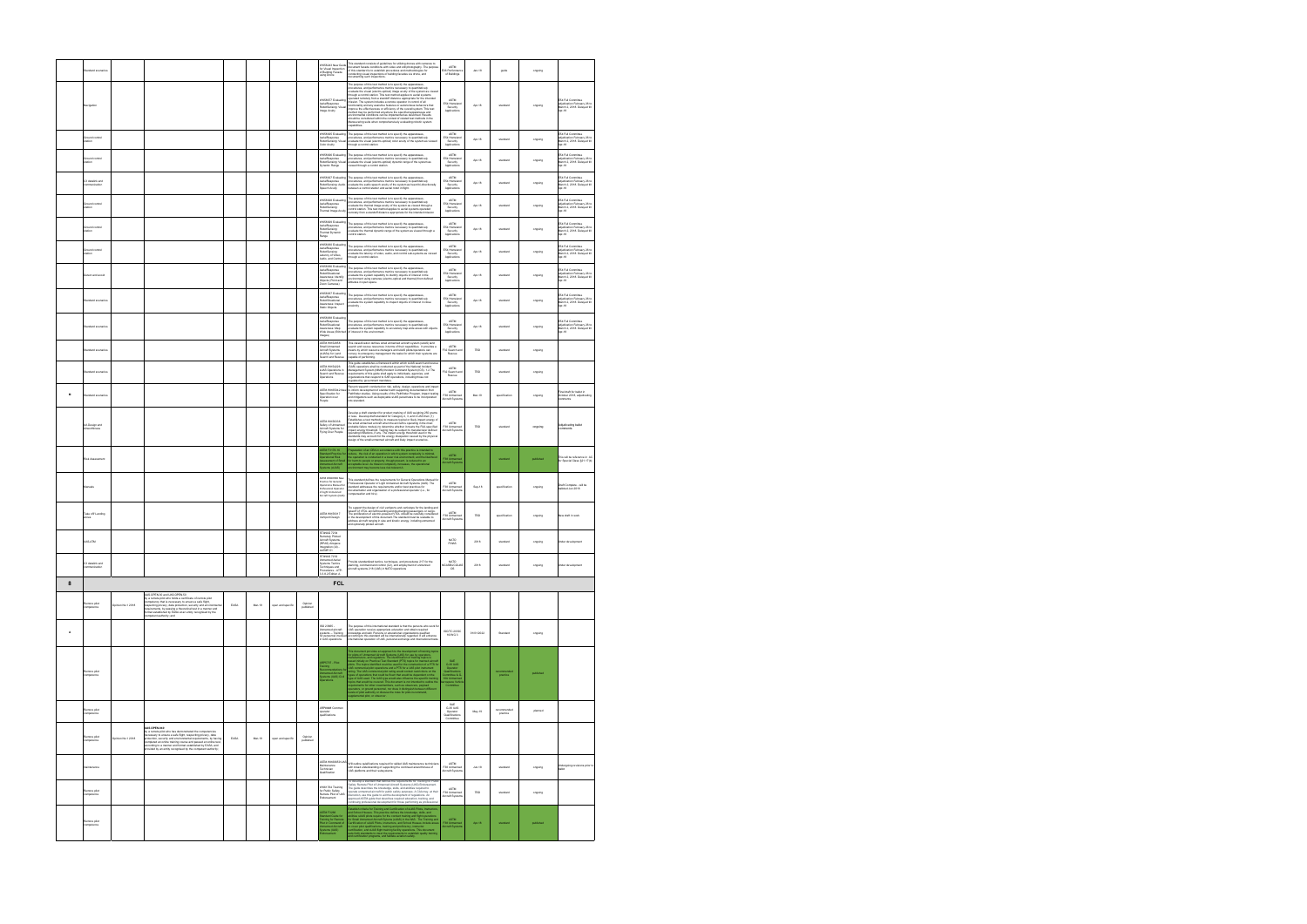|        | tandard scenarios                    |                   |                                                                                                                                                                                                                                                                                                                                                                                                                            |      |        |                   |                      | WK58243 New Guide<br>or Visual Inspection<br>f Building Facade<br>using Drone                                                           | This slandard consists of guidelines for utilizing drones with cameras to<br>document facade conditions with video and still photography. The purpos<br>of this standard is to establish procedures and methodologies for<br>conducting                                                                                                                                                                                                                                                                                                                                                                                                                                                                                                                                                                                         | <b>ASTM</b><br>E06 Performanc<br>of Buildings                                                                                                                                                                | $Jan-18$   | guide                   | orgoing   |                                                                                                       |
|--------|--------------------------------------|-------------------|----------------------------------------------------------------------------------------------------------------------------------------------------------------------------------------------------------------------------------------------------------------------------------------------------------------------------------------------------------------------------------------------------------------------------|------|--------|-------------------|----------------------|-----------------------------------------------------------------------------------------------------------------------------------------|---------------------------------------------------------------------------------------------------------------------------------------------------------------------------------------------------------------------------------------------------------------------------------------------------------------------------------------------------------------------------------------------------------------------------------------------------------------------------------------------------------------------------------------------------------------------------------------------------------------------------------------------------------------------------------------------------------------------------------------------------------------------------------------------------------------------------------|--------------------------------------------------------------------------------------------------------------------------------------------------------------------------------------------------------------|------------|-------------------------|-----------|-------------------------------------------------------------------------------------------------------|
|        | Navigation                           |                   |                                                                                                                                                                                                                                                                                                                                                                                                                            |      |        |                   |                      | /K58677 Evaluatin<br>rialResponse<br>RobotSensing: Visual<br>mage Aculty                                                                | The purpose of this test method is to specify the apparatuses,<br>procedures, and performance metrics moossary to quantitatively<br>evaluate the visual (electro-optical) image acuity of the system as vi<br>through a control station<br>perated remotely from a standoff distance appropriate for the intended<br>rission. The system includes a remote operator in control of all<br>functionality and any assistive features or autonomous behaviors that<br>improve the effectiveness or efficiency of the overall system. This test<br>method may be performed anywhere the specified apparatuses and<br>environmental conditions can be implemented as described. Results<br>should be considered within the context of related test methods in the<br>Maneuvering suite when comprehensively evaluating robotic system | ASTM<br>E54 Homeland<br>Security<br>Applications                                                                                                                                                             | Apr-18     | standard                | orgoing   | E54 Full Committee<br>adjudication February 26 to<br>March 2, 2018. Delayed till<br>Apr-18            |
|        | iround control<br>tation             |                   |                                                                                                                                                                                                                                                                                                                                                                                                                            |      |        |                   |                      | WK58925 Evaluating<br><b>IobotSensing:</b> Vis<br>Color Acuity                                                                          | anahilities<br>The purpose of this test method is to specify the apparatuses,<br>procedures, and performance metrics necessary to quantitatively<br>evaluate the visual (electro-optical) color acuity of the system as viewed<br>through a control st                                                                                                                                                                                                                                                                                                                                                                                                                                                                                                                                                                          | ASTM<br>E54 Homel<br>Security<br>Application                                                                                                                                                                 | Apr-18     | standard                | orgoing   | E54 Full Committee<br>adjudication February 26 to<br>March 2, 2018. Delayed till<br>Ass 40<br>Apr-18  |
|        | round control<br>tation              |                   |                                                                                                                                                                                                                                                                                                                                                                                                                            |      |        |                   |                      | WK58926 Evaluating<br>n risusus Evanamig<br>AerialResponse<br>RobotSensing: Visual<br>Dynamic Range                                     | The purpose of this test method is to specify the apparatuses,<br>procedures, and performance metrics recossary to quantitatively<br>evaluate the visual (electro-optical) dynamic range of the system as<br>viewed through a control s                                                                                                                                                                                                                                                                                                                                                                                                                                                                                                                                                                                         | ASTM<br>E54 Homelar<br>Security<br>Applications                                                                                                                                                              | Apr-18     | standard                | ongoing   | E54 Full Committee<br>adjudication February 26 to<br>March 2, 2018. Delayed till<br>Apr-18            |
|        | C3 datalink and<br>munication        |                   |                                                                                                                                                                                                                                                                                                                                                                                                                            |      |        |                   |                      | VK58927 Evaluating<br>erialResponse<br>RobotSensing: Audio<br>Speech Acuity                                                             | The purpose of this test method is to specify the apparatuses,<br>procedures, and performance metrics necessary to quantitatively<br>evaluate the audio speech acuity of the system as heard bi-directionally<br>tween a control station and aerial robot in flight.                                                                                                                                                                                                                                                                                                                                                                                                                                                                                                                                                            | ASTM<br>E54 Homelan<br>Security<br>Applications                                                                                                                                                              | Apr-18     | standard                | orgoing   | E54 Full Committee<br>adjudication February 26 to<br>March 2, 2018. Delayed till<br>Apr-18            |
|        | Ground control<br>station            |                   |                                                                                                                                                                                                                                                                                                                                                                                                                            |      |        |                   |                      | VK58928 Evalua<br>AerialResponse<br>RobotSensing:<br>Thermal Image Acuity                                                               | The purpose of this test method is to specify the apparatuses,<br>procedures, and performance metrics necessary to quantitatively<br>evaluate the thermal image acuity of the system as viewed through a control station. This test method applies to aerial systems operated<br>emotely from a standoff distance appropriate for the intended mission                                                                                                                                                                                                                                                                                                                                                                                                                                                                          | ASTM<br>E54 Homeland<br>Security<br>Applications                                                                                                                                                             | Apr-18     | standard                | orgoing   | E54 Full Committee<br>adjudication February 26 to<br>March 2, 2018. Delayed till<br>Apr-18            |
|        | Ground control<br>station            |                   |                                                                                                                                                                                                                                                                                                                                                                                                                            |      |        |                   |                      | VK58929 Evaluati<br>AerialResponse<br>RobotSensing:<br>Thermal Dynamic<br>tange                                                         | The purpose of this test method is to specify the apparatuses,<br>procedures, and performance metrics necessary to quantitatively<br>evaluate the thermal dynamic range of the system as viewed through a<br>ontrol station.                                                                                                                                                                                                                                                                                                                                                                                                                                                                                                                                                                                                    | ASTM<br>E54 Homeland<br>Security<br>Applications                                                                                                                                                             | Apr-18     | standard                | orgoing   | E54 Full Committee<br>adjudication February 26 to<br>March 2, 2018. Delayed till<br>Apr-18            |
|        | <b>3round control</b><br>station     |                   |                                                                                                                                                                                                                                                                                                                                                                                                                            |      |        |                   |                      | VK58930 Evaluati<br>AerialResponse<br>RobotSensing:<br>atency of Video.<br>Judio, and Control                                           | The purpose of this test method is to specify the apparatuses,<br>procedures, and performance metrics necessary to quantitatively<br>evaluate the latency of video, audio, and control sub-systems as viewed<br>rough a control station.                                                                                                                                                                                                                                                                                                                                                                                                                                                                                                                                                                                        | ASTM<br>E54 Homeland<br>Security<br>Applications                                                                                                                                                             | Apr-18     | standard                | orgoing   | E54 Full Committee<br>adjudication February 26 to<br>March 2, 2018. Delayed till<br>Apr-18            |
|        | Detect and avoid                     |                   |                                                                                                                                                                                                                                                                                                                                                                                                                            |      |        |                   |                      | WK58936 Evaluati<br>AerialResponse<br>RobotSituational<br>Awareness: Identify<br>Objects (Point and<br>Zoom Cameras)                    | The purpose of this test method is to specify the apparatuses.<br>rocedures, and performance metrics necessary to quantitatively<br>waluate the system capability to identify objects of interest in the<br>environment using cameras (electro-optical and thermal) from defined<br>altitudes in open space.                                                                                                                                                                                                                                                                                                                                                                                                                                                                                                                    | <b>ASTM</b><br>E54 Homeland<br>Security<br>Applications                                                                                                                                                      | Apr-18     | standard                | orgoing   | E54 Full Committee<br>adiudication February 26 to<br>March 2, 2018. Delayed till<br>Apr-18            |
|        | tandard scenarios                    |                   |                                                                                                                                                                                                                                                                                                                                                                                                                            |      |        |                   |                      | VK58937 Evaluati<br>\erialResponse<br>RobotSituational<br>Awareness: Inspect<br>Static Objects                                          | The purpose of this test method is to specify the apparatuses,<br>procedures, and performance metrics recessary to quantitatively<br>evaluate the system capability to inspect objects of interest in close<br>oximity.                                                                                                                                                                                                                                                                                                                                                                                                                                                                                                                                                                                                         | ASTM<br>E54 Homelan<br>Security<br>Applications                                                                                                                                                              | Apr-18     | standard                | orgoing   | F <sub>54</sub> Full Committe<br>adjudication February 26 to<br>March 2, 2018. Delayed till<br>Apr-18 |
|        | tandard scenarios                    |                   |                                                                                                                                                                                                                                                                                                                                                                                                                            |      |        |                   |                      | WK58938 Evaluatin<br>AerialResponse<br>RobotSituational<br>nuomassa:<br>Awareness: Map<br>Wide Areas (Stitc)<br>Images)                 | The purpose of this test method is to specify the apparatuses,<br>procedures, and performance metrics necessary to quantitatively<br>evaluate the system capability to accurately map wide areas with objects<br>of interest in the env                                                                                                                                                                                                                                                                                                                                                                                                                                                                                                                                                                                         | <b>ASTM</b><br>E54 Homeland<br>Security<br>Application                                                                                                                                                       | Apr-18     | standard                | ongoing   | FS4 Full Committee<br>adiudication February 26 to<br>March 2, 2018. Delayed till<br>Apr-18            |
|        | Standard scenarios                   |                   |                                                                                                                                                                                                                                                                                                                                                                                                                            |      |        |                   |                      | <b>ASTM WK52858</b><br>mall Unmanned<br><b>Nitcraft Systems</b><br>sUASs) for Land<br>learch and Rescue                                 | This classification defines small unmanned aircraft system (sUAS) land<br>search and rescue resources in terms of their capabilities. It provides a<br>means by which resource managers and sLIAS picks/operators can<br>convey to emergency management the tasks for which their systems are<br>capable of performing.                                                                                                                                                                                                                                                                                                                                                                                                                                                                                                         | ASTM<br>F32 Search and<br>Rescue                                                                                                                                                                             | TBD        | standard                | orgoing   |                                                                                                       |
|        | Standard scenarios                   |                   |                                                                                                                                                                                                                                                                                                                                                                                                                            |      |        |                   |                      | <b>ASTM WK54226</b><br><b>LIAS Operations in</b><br>Search and Rescue<br>probations                                                     | This guide establishes a framework within which sUAS search and rescu<br>(SAR) operations shall be conducted as part of the National Incident<br>Management System (NIMS)/Incident Command System (ICS). 1.2 The<br>equirements of this quide shall apply to individuals, agencies, and<br>ganizations that respond to SAR operations, including those not<br>gulated by government mandates.                                                                                                                                                                                                                                                                                                                                                                                                                                   | <b>ASTM</b><br>F32 Search and<br>Rescue                                                                                                                                                                      | TBD        | standard                | ongoing   |                                                                                                       |
| M      | Standard scenarios                   |                   |                                                                                                                                                                                                                                                                                                                                                                                                                            |      |        |                   |                      | ASTM WK65042 New<br>Specification for<br>Operation over<br>eopie                                                                        | Recent research conducted on risk, safety, design, operations and impa-<br>to inform development of standard with supporting documentation from<br>Pathfinder studies. Using results of the Pathfinder Program, impact testing<br>and mitigations such as deployable sUAS parachutes to be incorporated into standard.                                                                                                                                                                                                                                                                                                                                                                                                                                                                                                          | <b>ASTM</b><br>F38 Unmanned<br>Aircraft System                                                                                                                                                               | Mar-19     | specification           | orgoing   | Final draft for ballot in<br>October 2018, adjudicating<br>atnamno                                    |
|        | <b>UA Design and</b><br>irworthiness |                   |                                                                                                                                                                                                                                                                                                                                                                                                                            |      |        |                   |                      | ASTM WK56338<br>Safety of Unmanned<br>Aircraft Systems for<br>Ving Over People                                                          | Jevelop a draft standard for product marking of UAS weighing 250 grams<br>or less. Develop draft standard for Category 2, 3, and 4 UAS that: (1)<br>Establishes a test method(s) to measure typical or likely impact energy of<br>the small unmanned aircraft when the aircraft is operating in the most<br>probable failure mode(s) to determine whether it meets the FAA specified<br>processes means modes and conservative means in a mean one reservation in<br>poperating limitations, if any. The impact energy threshold standards may be<br>established standards may account for the energy dissipation caused by                                                                                                                                                                                                     | ASTM<br>F38 Unmanned<br>Aircraft Systems                                                                                                                                                                     | TBD        | standard                | ongoing   | Adjudicating ballot<br>omments                                                                        |
|        | Risk Assessment                      |                   |                                                                                                                                                                                                                                                                                                                                                                                                                            |      |        |                   |                      | STM F3178-16<br>ndard Practice fo<br>erational Risk<br>lessment of Smal<br>nanned Aircraft<br>tems (sUAS)                               | paration of an ORA in accordance with this practice is intended to<br>reduce. The risk of an operation in which system companity is minimal:<br>the operation is considered in a boar risk environment, and the tender<br>of the minimal considered in a boar risk environment, and the tender<br>of the min                                                                                                                                                                                                                                                                                                                                                                                                                                                                                                                    | <b>ASTM</b><br>F38 Unmanne<br>Aircraft Syster                                                                                                                                                                |            | standard                | published | This will be reference in <i>AC</i><br>Ior Special Class §21.17(b)                                    |
|        | Manuals                              |                   |                                                                                                                                                                                                                                                                                                                                                                                                                            |      |        |                   |                      | STM WK60938 Net<br>hractice for General<br>Operations Manual for<br>refessional Operator<br>of Light Unmanned<br>Aircraft Systems (UAS) | his standard defines the requirements for General Operations Manual<br>rofessional Operator of Light Unmanned Aircraft Systems (UAS). The<br>standard addresses the requirements and/or best practices for<br>documentation and organization of a professional operator (i.e., for<br>interior and hire.                                                                                                                                                                                                                                                                                                                                                                                                                                                                                                                        | ASTM<br>F38 Unmanned<br>Aircraft System                                                                                                                                                                      | Sep-18     | specification           | orgoing   | Draft Complete - will be<br>alloted Jun 2018                                                          |
|        | Take off/ Landing<br>sones           |                   |                                                                                                                                                                                                                                                                                                                                                                                                                            |      |        |                   |                      | ASTM WK69317<br>ertiport Design                                                                                                         | Tto support the design of civil vertiports and vertistops for the landing an<br>Ito support the obseque of owl versports and vertications for the landing arrivation states takeoff of VTCL aircraft boarding and discharging passengers or cargo.<br>The problemation of electrics-powered VTCL should be caref                                                                                                                                                                                                                                                                                                                                                                                                                                                                                                                | ASTM<br>no im<br>F38 Unmanned<br>Aircraft Systems                                                                                                                                                            | TBD        | specification           | orgoing   | New draft in work                                                                                     |
|        | <b>UAS-ATM</b>                       |                   |                                                                                                                                                                                                                                                                                                                                                                                                                            |      |        |                   |                      | STANAG 7234<br>Remotely Piloted<br>Aircraft Systems<br>RPAS) Airspace<br>ntegration (AI) -<br>AATMP-51                                  |                                                                                                                                                                                                                                                                                                                                                                                                                                                                                                                                                                                                                                                                                                                                                                                                                                 | NATO<br><b>FINAS</b>                                                                                                                                                                                         | 2018       | standard                | orgoing   | <b>Under development</b>                                                                              |
|        | C3 datalink and<br>mmunication       |                   |                                                                                                                                                                                                                                                                                                                                                                                                                            |      |        |                   |                      | STANAG 7232<br><b>Unmanned Aerial</b><br>Systems Tactics<br>Techniques and<br>Procedures - ATP-<br>3.3.8.2 Edition A                    | Provide standardized tactics, techniques, and procedures 217 for the<br>river assumed and control (C2), and employment of unmanned<br>planning, command and control (C2), and employment of unmanned<br>aircraft systems 218 (UAS) in NATO operations                                                                                                                                                                                                                                                                                                                                                                                                                                                                                                                                                                           | <b>NATO</b><br>MCASB/JCGUAS<br>os                                                                                                                                                                            | 2018       | standard                | ongoing   | Linder development                                                                                    |
| 8      |                                      |                   | JAS.OPEN.30 and UAS.OPEN.50                                                                                                                                                                                                                                                                                                                                                                                                |      |        |                   |                      | <b>FCL</b>                                                                                                                              |                                                                                                                                                                                                                                                                                                                                                                                                                                                                                                                                                                                                                                                                                                                                                                                                                                 |                                                                                                                                                                                                              |            |                         |           |                                                                                                       |
|        | emore pilot<br>ompetence             | Opinion No.1 2018 | ,<br>y a remote pilot who holds a certificate of remote pilot<br>ompetency that is necessary to ensure a safe flight,<br>especting privacy, data protection, security and environme<br>equirements, by passing a theoretical test in a manner and<br>ormat established by EASA at an entity recognised by the<br>ompetent authority: and                                                                                   | EASA | Mar-19 | open and specifi  | Opinion<br>published |                                                                                                                                         |                                                                                                                                                                                                                                                                                                                                                                                                                                                                                                                                                                                                                                                                                                                                                                                                                                 |                                                                                                                                                                                                              |            |                         |           |                                                                                                       |
| $\,$ A |                                      |                   |                                                                                                                                                                                                                                                                                                                                                                                                                            |      |        |                   |                      | ISO 23665-<br>Document<br>Systems -- Training<br>for personnel involve<br>in LIAS operations                                            | The purpose of this international standard is that the persons who work f<br>$\sigma$ in perpension receive appropriate education and obtain required (UAS operation receive appropriate education and obtain required (UAS operation receive appropriate education and obtain required according and other ac                                                                                                                                                                                                                                                                                                                                                                                                                                                                                                                  | ISO/TC 20/SC<br>16/WG 3                                                                                                                                                                                      | 01/01/2022 | Standard                | ongoing   |                                                                                                       |
|        | emore pilot<br>ompetence             |                   |                                                                                                                                                                                                                                                                                                                                                                                                                            |      |        |                   |                      | RP5707 - Pilot<br>ting<br>ommendations f<br>anned Aircraft<br>Amed Aircraft<br>Ams (UAS) Civil<br>Kions                                 | The state of the most decomposition in the formulation of the state of the state of the state of the state of the state of the state of the state of the state of the state of the state of the state of the state of the sta                                                                                                                                                                                                                                                                                                                                                                                                                                                                                                                                                                                                   | $\begin{array}{c} \text{SAE} \\ \text{G-30 UAS} \\ \text{Operator} \\ \text{Qualification} \\ \text{Comfinite} \ \text{A G} \\ \text{10U Limmence} \\ \text{arcspace Vetic} \\ \text{Commitite} \end{array}$ |            | practice                | published |                                                                                                       |
|        | Remore pilot<br>competence           |                   |                                                                                                                                                                                                                                                                                                                                                                                                                            |      |        |                   |                      | ARP#### Common<br>operator<br><b>ualifications</b>                                                                                      |                                                                                                                                                                                                                                                                                                                                                                                                                                                                                                                                                                                                                                                                                                                                                                                                                                 | SAE<br>G-30 UAS<br>Operator<br>Qualifications<br>Committee                                                                                                                                                   | May-19     | recommended<br>practice | planned   |                                                                                                       |
|        | temore pilot<br>mpetence             | Opinion No.1 2018 | <b>JAS.OPEN.040</b><br>we currence we<br>y a remote pilot who has demonstrated the competencies<br>ecessary to ensure a safe flight, respecting privacy, data<br>rotection, security and environmental requirements, by having<br>completed an online training course and passed an online test,<br>coording to a manner and format established by EASA, and<br>ovided by an entity recognised by the competent authority; | EASA | Mar-19 | open and specific | Opinion<br>published |                                                                                                                                         |                                                                                                                                                                                                                                                                                                                                                                                                                                                                                                                                                                                                                                                                                                                                                                                                                                 |                                                                                                                                                                                                              |            |                         |           |                                                                                                       |
|        | aintenance                           |                   |                                                                                                                                                                                                                                                                                                                                                                                                                            |      |        |                   |                      | ASTM WK60659 UAS<br>Maintenance<br>Fechnician<br>Qualification                                                                          | Will outline quialfications required for skilled UAS maintenance technicia<br>with broad understanding of supporting the continued airworthiness of<br>UAS platforms and their subsystems.                                                                                                                                                                                                                                                                                                                                                                                                                                                                                                                                                                                                                                      | <b>ASTM</b><br>F38 Unmanned<br>Aircraft System                                                                                                                                                               | $Jun-18$   | standard                | ongoing   | <b>Undergoing revisions prior to</b><br>ballot                                                        |
|        | more pilot                           |                   |                                                                                                                                                                                                                                                                                                                                                                                                                            |      |        |                   |                      | WK61764 Training<br>or Public Safe<br>Remote Pilot o<br>cite Pilot of UAS<br>ndorsement                                                 | To develop a standard that defines the requirements for Training for Publi<br>afety Remote Pilot of Unmanned Aircraft Systems (UAS) Endorsement.<br>The guide describes the knowledge, skills, and abilities required to<br>repeate unmanned aircraft for public safety purposes. A CAA may, at their<br>discretion, use this guide to aid the development of regulations. An<br>discretion, use this guide that describes required education, training, and<br>con                                                                                                                                                                                                                                                                                                                                                             | ASTM<br>F38 Unmanned<br>Aircraft System                                                                                                                                                                      | TBD        | standard                | ongoing   |                                                                                                       |
|        | Remore pilot<br>competence           |                   |                                                                                                                                                                                                                                                                                                                                                                                                                            |      |        |                   |                      | ASTM F3266<br>Standard Guide for<br>Training for Remote<br>Pilot in Command of<br>Unmanned Aircraft<br>Systems (UAS)                    | Establish of<br>the last "Training and Coeffication of slight Plate, Instruction, and<br>indicate slightly positive from the Training and Tapi operations and<br>the scalar big from the second training and the condition of<br>the Samu                                                                                                                                                                                                                                                                                                                                                                                                                                                                                                                                                                                       | ASTM<br>F38 Unmanned<br>Aircraft Systems                                                                                                                                                                     | Apr-18     | standard                | published |                                                                                                       |